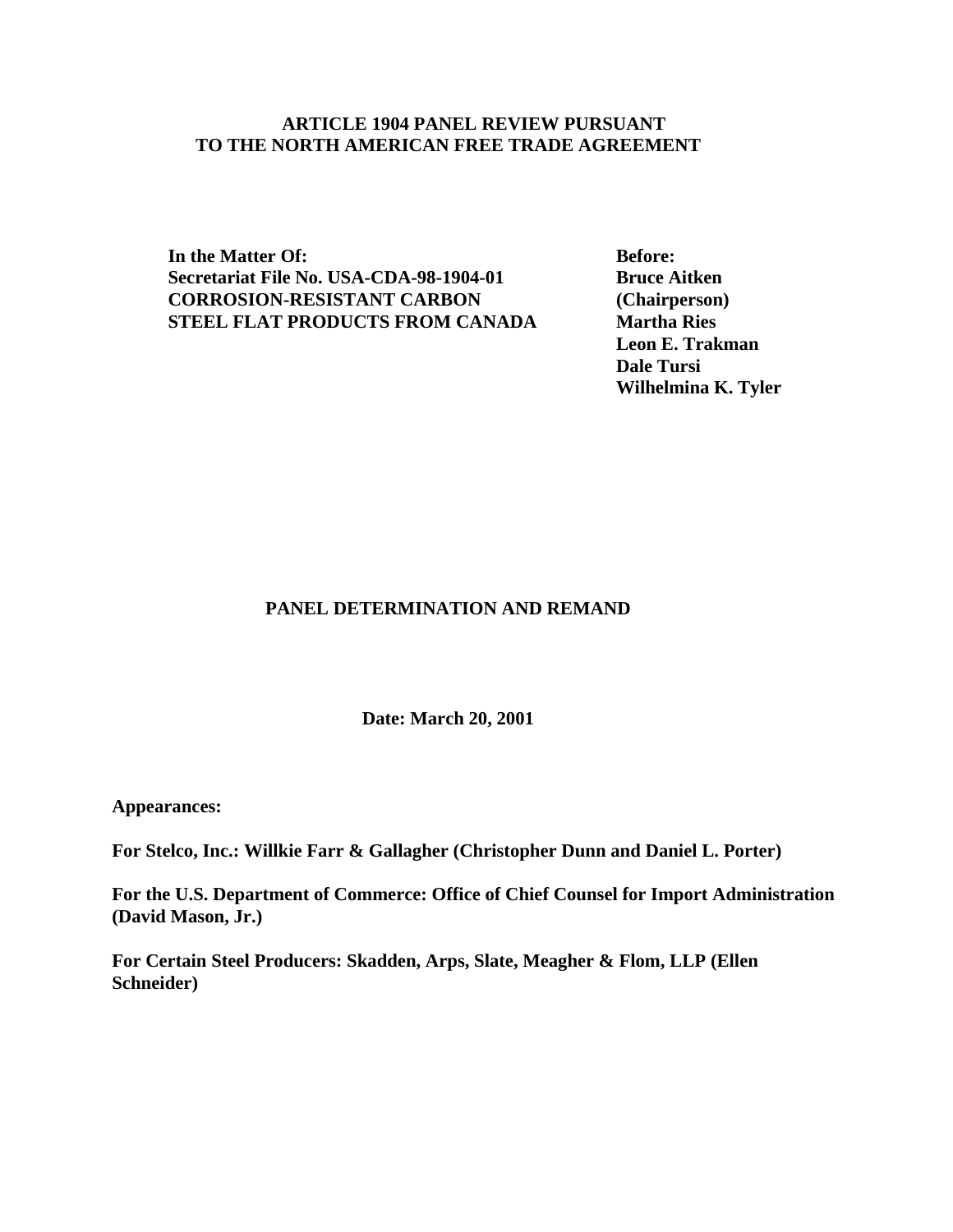# **ARTICLE 1904 PANEL REVIEW PURSUANT TO THE NORTH AMERICAN FREE TRADE AGREEMENT**

**In the Matter Of: Before: Secretariat File No. USA-CDA-98-1904-01 Bruce Aitken CORROSION-RESISTANT CARBON (Chairperson) STEEL FLAT PRODUCTS FROM CANADA Martha Ries** 

**Leon E. Trakman Dale Tursi Wilhelmina K. Tyler**

# **PANEL DETERMINATION AND REMAND**

**Date: March 20, 2001**

**Appearances:**

**For Stelco, Inc.: Willkie Farr & Gallagher (Christopher Dunn and Daniel L. Porter)**

**For the U.S. Department of Commerce: Office of Chief Counsel for Import Administration (David Mason, Jr.)**

**For Certain Steel Producers: Skadden, Arps, Slate, Meagher & Flom, LLP (Ellen Schneider)**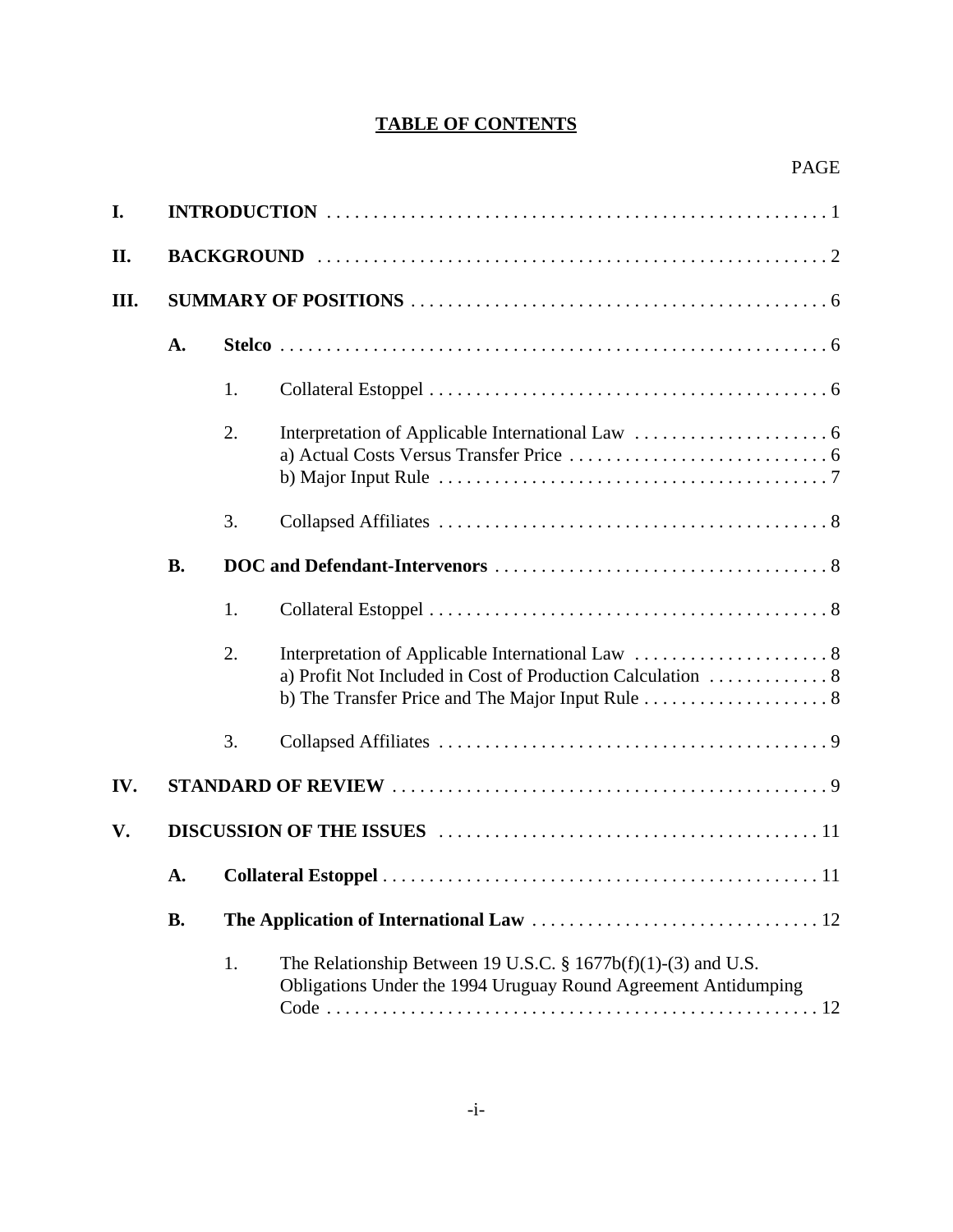# **TABLE OF CONTENTS**

| I.  |                 |    |                                                                                                                                   |  |
|-----|-----------------|----|-----------------------------------------------------------------------------------------------------------------------------------|--|
| П.  |                 |    |                                                                                                                                   |  |
| Ш.  |                 |    |                                                                                                                                   |  |
|     | A.              |    |                                                                                                                                   |  |
|     |                 | 1. |                                                                                                                                   |  |
|     |                 | 2. |                                                                                                                                   |  |
|     |                 | 3. |                                                                                                                                   |  |
|     | <b>B.</b>       |    |                                                                                                                                   |  |
|     |                 | 1. |                                                                                                                                   |  |
|     |                 | 2. |                                                                                                                                   |  |
|     |                 | 3. |                                                                                                                                   |  |
| IV. |                 |    |                                                                                                                                   |  |
| V.  |                 |    |                                                                                                                                   |  |
|     | A.<br><b>B.</b> |    |                                                                                                                                   |  |
|     |                 |    |                                                                                                                                   |  |
|     |                 | 1. | The Relationship Between 19 U.S.C. § $1677b(f)(1)-(3)$ and U.S.<br>Obligations Under the 1994 Uruguay Round Agreement Antidumping |  |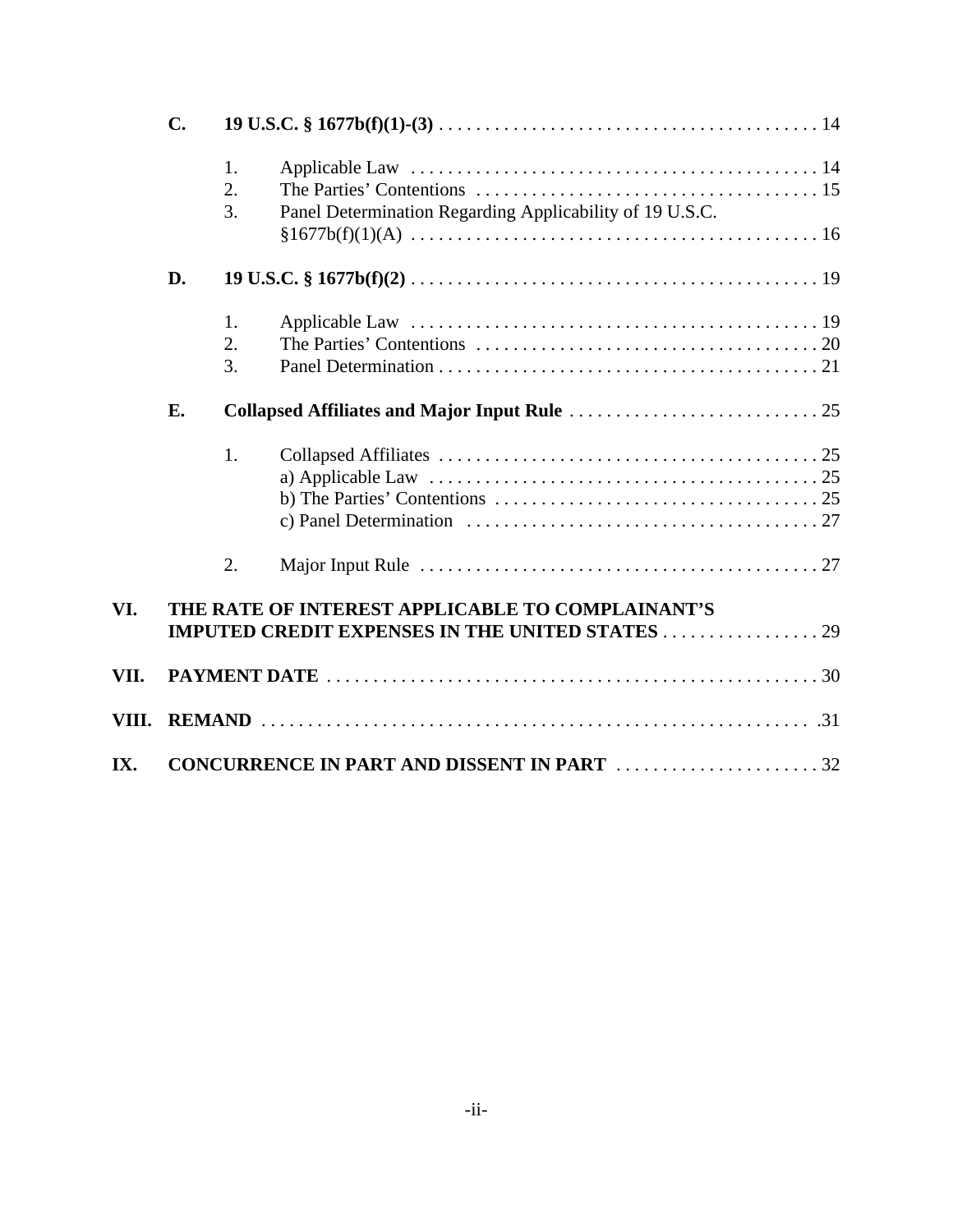|       | $\mathbf{C}$ .                                    |          |                                                                                                                 |  |  |  |  |
|-------|---------------------------------------------------|----------|-----------------------------------------------------------------------------------------------------------------|--|--|--|--|
|       |                                                   | 1.<br>2. |                                                                                                                 |  |  |  |  |
|       |                                                   | 3.       | Panel Determination Regarding Applicability of 19 U.S.C.                                                        |  |  |  |  |
|       | D.                                                |          |                                                                                                                 |  |  |  |  |
|       |                                                   | 1.       |                                                                                                                 |  |  |  |  |
|       |                                                   | 2.       |                                                                                                                 |  |  |  |  |
|       |                                                   | 3.       |                                                                                                                 |  |  |  |  |
|       | E.                                                |          |                                                                                                                 |  |  |  |  |
|       |                                                   | 1.       |                                                                                                                 |  |  |  |  |
|       |                                                   |          |                                                                                                                 |  |  |  |  |
|       |                                                   |          |                                                                                                                 |  |  |  |  |
|       |                                                   |          | c) Panel Determination $\ldots \ldots \ldots \ldots \ldots \ldots \ldots \ldots \ldots \ldots \ldots \ldots 27$ |  |  |  |  |
|       |                                                   | 2.       |                                                                                                                 |  |  |  |  |
| VI.   | THE RATE OF INTEREST APPLICABLE TO COMPLAINANT'S  |          |                                                                                                                 |  |  |  |  |
| VII.  |                                                   |          |                                                                                                                 |  |  |  |  |
| VIII. |                                                   |          |                                                                                                                 |  |  |  |  |
| IX.   | <b>CONCURRENCE IN PART AND DISSENT IN PART 32</b> |          |                                                                                                                 |  |  |  |  |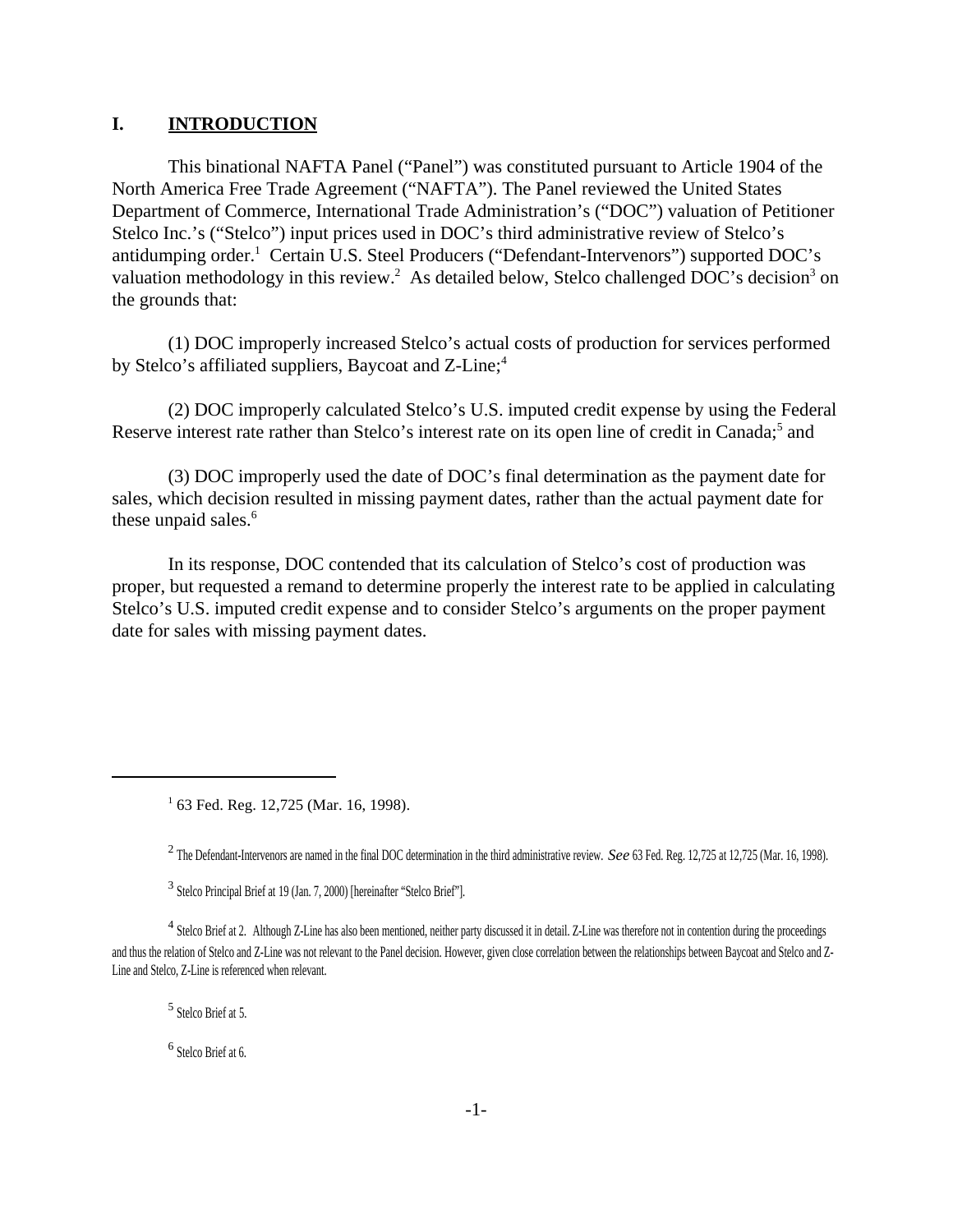### **I. INTRODUCTION**

This binational NAFTA Panel ("Panel") was constituted pursuant to Article 1904 of the North America Free Trade Agreement ("NAFTA"). The Panel reviewed the United States Department of Commerce, International Trade Administration's ("DOC") valuation of Petitioner Stelco Inc.'s ("Stelco") input prices used in DOC's third administrative review of Stelco's antidumping order.<sup>1</sup> Certain U.S. Steel Producers ("Defendant-Intervenors") supported DOC's valuation methodology in this review.<sup>2</sup> As detailed below, Stelco challenged DOC's decision<sup>3</sup> on the grounds that:

(1) DOC improperly increased Stelco's actual costs of production for services performed by Stelco's affiliated suppliers, Baycoat and Z-Line;<sup>4</sup>

(2) DOC improperly calculated Stelco's U.S. imputed credit expense by using the Federal Reserve interest rate rather than Stelco's interest rate on its open line of credit in Canada;<sup>5</sup> and

(3) DOC improperly used the date of DOC's final determination as the payment date for sales, which decision resulted in missing payment dates, rather than the actual payment date for these unpaid sales.<sup>6</sup>

In its response, DOC contended that its calculation of Stelco's cost of production was proper, but requested a remand to determine properly the interest rate to be applied in calculating Stelco's U.S. imputed credit expense and to consider Stelco's arguments on the proper payment date for sales with missing payment dates.

5 Stelco Brief at 5.

6 Stelco Brief at 6.

<sup>&</sup>lt;sup>1</sup> 63 Fed. Reg. 12,725 (Mar. 16, 1998).

<sup>2</sup> The Defendant-Intervenors are named in the final DOC determination in the third administrative review. *See* 63 Fed. Reg. 12,725 at 12,725 (Mar. 16, 1998).

<sup>&</sup>lt;sup>3</sup> Stelco Principal Brief at 19 (Jan. 7, 2000) [hereinafter "Stelco Brief"].

 $<sup>4</sup>$  Stelco Brief at 2. Although Z-Line has also been mentioned, neither party discussed it in detail. Z-Line was therefore not in contention during the proceedings</sup> and thus the relation of Stelco and Z-Line was not relevant to the Panel decision. However, given close correlation between the relationships between Baycoat and Stelco and Z-Line and Stelco, Z-Line is referenced when relevant.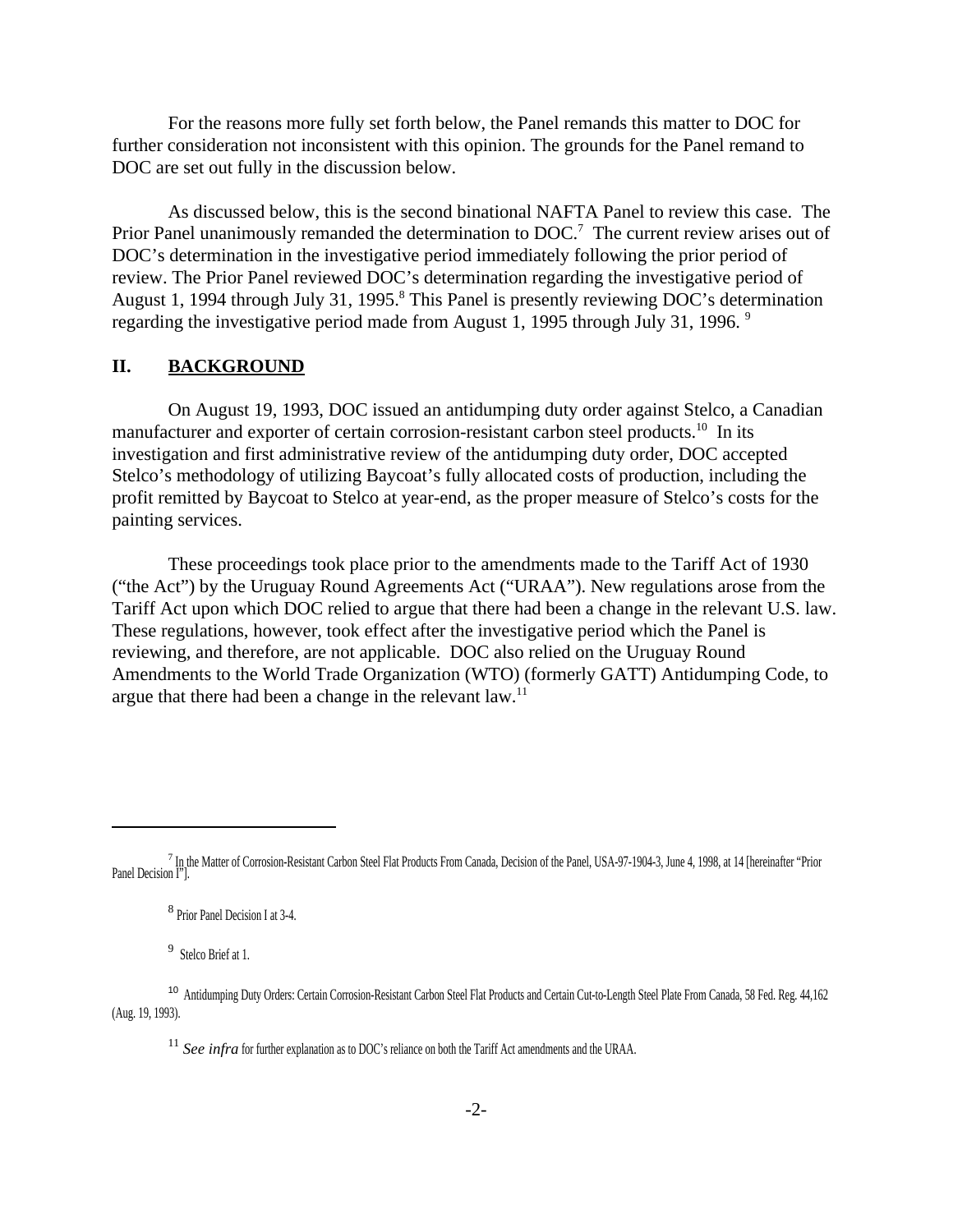For the reasons more fully set forth below, the Panel remands this matter to DOC for further consideration not inconsistent with this opinion. The grounds for the Panel remand to DOC are set out fully in the discussion below.

As discussed below, this is the second binational NAFTA Panel to review this case. The Prior Panel unanimously remanded the determination to DOC.<sup>7</sup> The current review arises out of DOC's determination in the investigative period immediately following the prior period of review. The Prior Panel reviewed DOC's determination regarding the investigative period of August 1, 1994 through July 31, 1995.<sup>8</sup> This Panel is presently reviewing DOC's determination regarding the investigative period made from August 1, 1995 through July 31, 1996. 9

#### **II. BACKGROUND**

On August 19, 1993, DOC issued an antidumping duty order against Stelco, a Canadian manufacturer and exporter of certain corrosion-resistant carbon steel products.<sup>10</sup> In its investigation and first administrative review of the antidumping duty order, DOC accepted Stelco's methodology of utilizing Baycoat's fully allocated costs of production, including the profit remitted by Baycoat to Stelco at year-end, as the proper measure of Stelco's costs for the painting services.

These proceedings took place prior to the amendments made to the Tariff Act of 1930 ("the Act") by the Uruguay Round Agreements Act ("URAA"). New regulations arose from the Tariff Act upon which DOC relied to argue that there had been a change in the relevant U.S. law. These regulations, however, took effect after the investigative period which the Panel is reviewing, and therefore, are not applicable. DOC also relied on the Uruguay Round Amendments to the World Trade Organization (WTO) (formerly GATT) Antidumping Code, to argue that there had been a change in the relevant law.<sup>11</sup>

9 Stelco Brief at 1.

<sup>7</sup> In the Matter of Corrosion-Resistant Carbon Steel Flat Products From Canada, Decision of the Panel, USA-97-1904-3, June 4, 1998, at 14 [hereinafter "Prior Panel Decision I"].

<sup>8</sup> Prior Panel Decision I at 3-4.

<sup>&</sup>lt;sup>10</sup> Antidumping Duty Orders: Certain Corrosion-Resistant Carbon Steel Flat Products and Certain Cut-to-Length Steel Plate From Canada, 58 Fed. Reg. 44,162 (Aug. 19, 1993).

<sup>&</sup>lt;sup>11</sup> *See infra* for further explanation as to DOC's reliance on both the Tariff Act amendments and the URAA.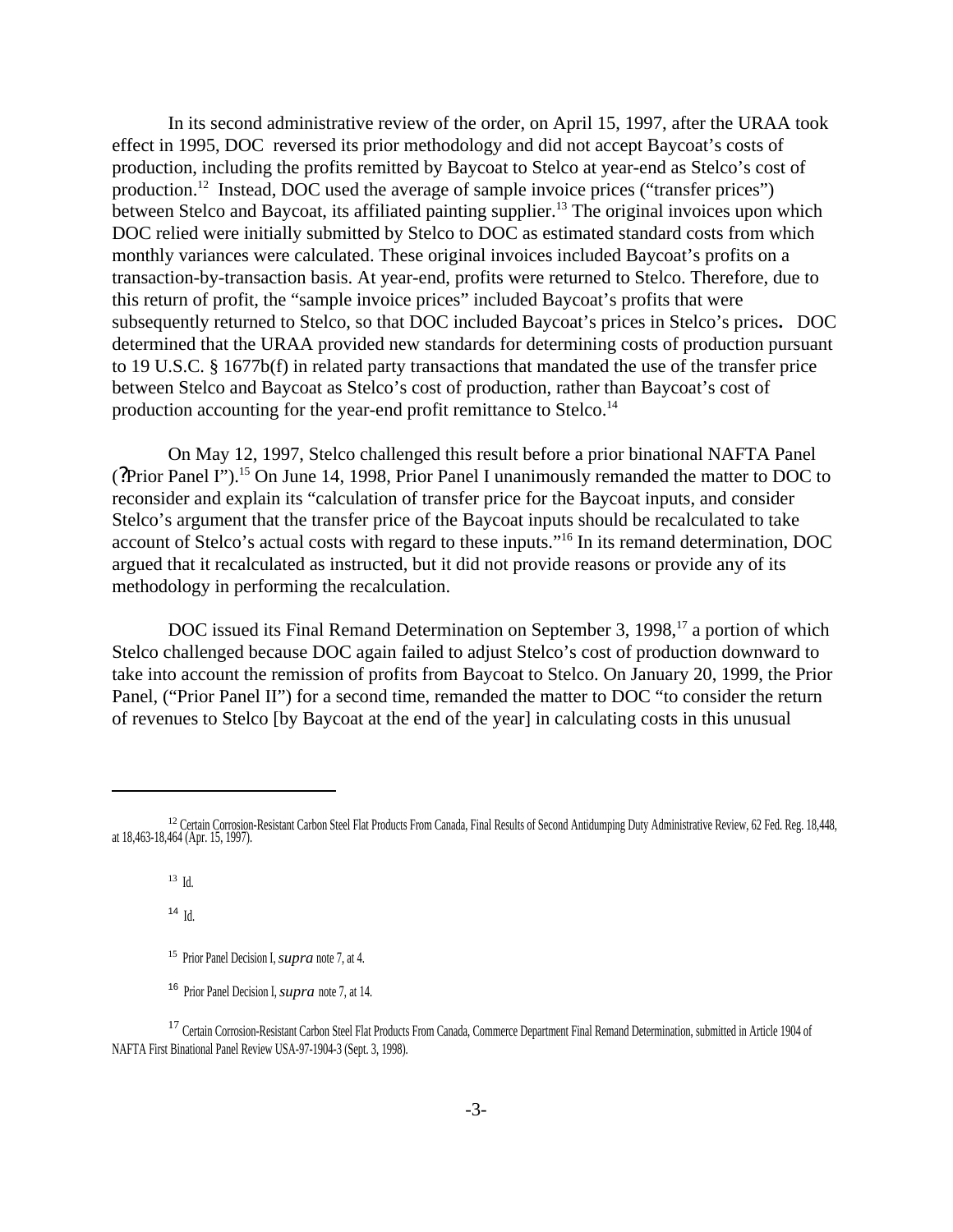In its second administrative review of the order, on April 15, 1997, after the URAA took effect in 1995, DOC reversed its prior methodology and did not accept Baycoat's costs of production, including the profits remitted by Baycoat to Stelco at year-end as Stelco's cost of production.<sup>12</sup> Instead, DOC used the average of sample invoice prices ("transfer prices") between Stelco and Baycoat, its affiliated painting supplier.<sup>13</sup> The original invoices upon which DOC relied were initially submitted by Stelco to DOC as estimated standard costs from which monthly variances were calculated. These original invoices included Baycoat's profits on a transaction-by-transaction basis. At year-end, profits were returned to Stelco. Therefore, due to this return of profit, the "sample invoice prices" included Baycoat's profits that were subsequently returned to Stelco, so that DOC included Baycoat's prices in Stelco's prices**.** DOC determined that the URAA provided new standards for determining costs of production pursuant to 19 U.S.C. § 1677b(f) in related party transactions that mandated the use of the transfer price between Stelco and Baycoat as Stelco's cost of production, rather than Baycoat's cost of production accounting for the year-end profit remittance to Stelco.<sup>14</sup>

On May 12, 1997, Stelco challenged this result before a prior binational NAFTA Panel (?Prior Panel I").<sup>15</sup> On June 14, 1998, Prior Panel I unanimously remanded the matter to DOC to reconsider and explain its "calculation of transfer price for the Baycoat inputs, and consider Stelco's argument that the transfer price of the Baycoat inputs should be recalculated to take account of Stelco's actual costs with regard to these inputs."<sup>16</sup> In its remand determination, DOC argued that it recalculated as instructed, but it did not provide reasons or provide any of its methodology in performing the recalculation.

DOC issued its Final Remand Determination on September 3, 1998,<sup>17</sup> a portion of which Stelco challenged because DOC again failed to adjust Stelco's cost of production downward to take into account the remission of profits from Baycoat to Stelco. On January 20, 1999, the Prior Panel, ("Prior Panel II") for a second time, remanded the matter to DOC "to consider the return of revenues to Stelco [by Baycoat at the end of the year] in calculating costs in this unusual

<sup>14</sup> Id.

<sup>&</sup>lt;sup>12</sup> Certain Corrosion-Resistant Carbon Steel Flat Products From Canada, Final Results of Second Antidumping Duty Administrative Review, 62 Fed. Reg. 18,448,<br>at 18,463-18,464 (Apr. 15, 1997).

<sup>13</sup> Id.

<sup>15</sup> Prior Panel Decision I, *supra* note 7, at 4.

<sup>16</sup> Prior Panel Decision I, *supra* note 7, at 14.

<sup>&</sup>lt;sup>17</sup> Certain Corrosion-Resistant Carbon Steel Flat Products From Canada, Commerce Department Final Remand Determination, submitted in Article 1904 of NAFTA First Binational Panel Review USA-97-1904-3 (Sept. 3, 1998).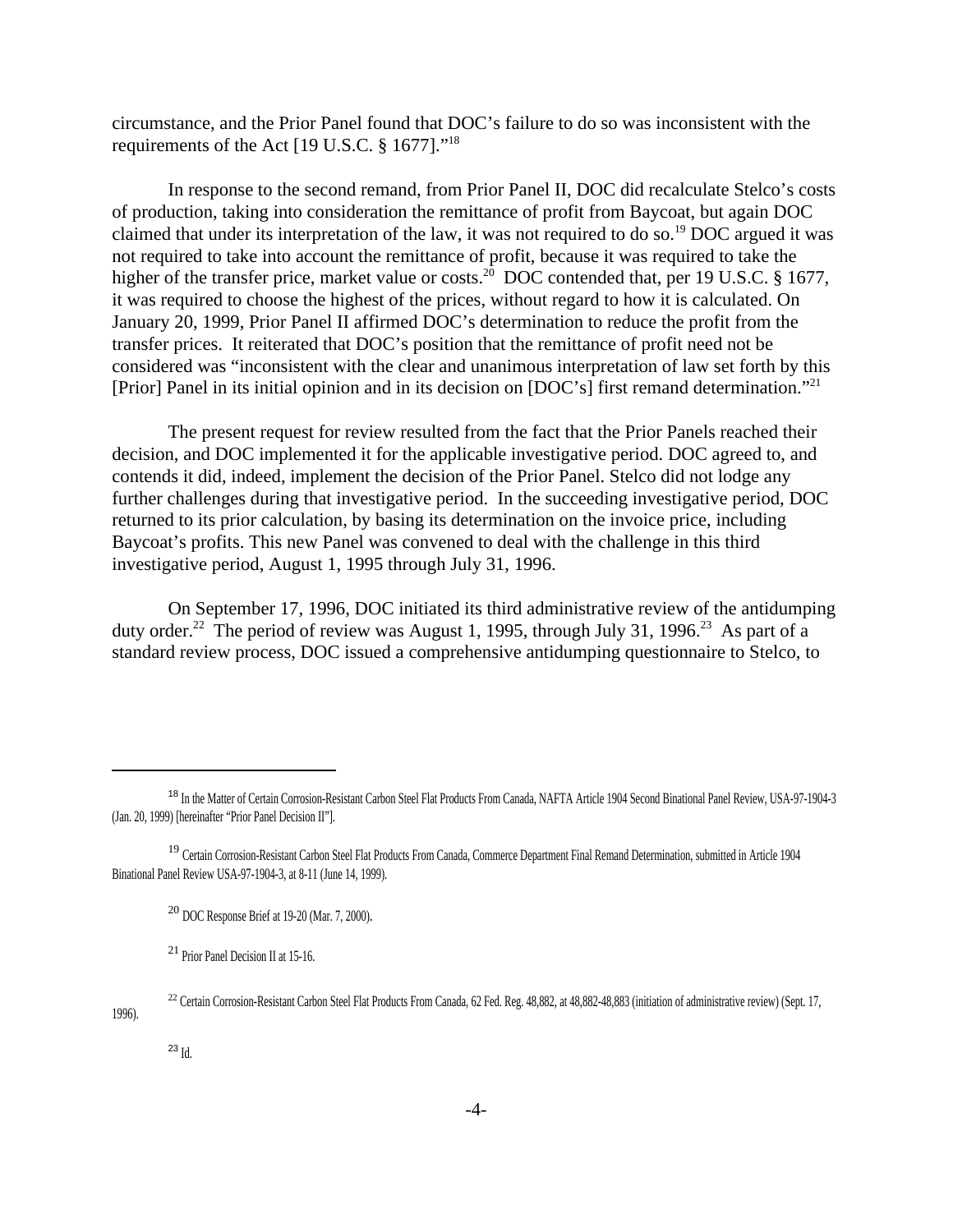circumstance, and the Prior Panel found that DOC's failure to do so was inconsistent with the requirements of the Act [19 U.S.C. § 1677]."<sup>18</sup>

In response to the second remand, from Prior Panel II, DOC did recalculate Stelco's costs of production, taking into consideration the remittance of profit from Baycoat, but again DOC claimed that under its interpretation of the law, it was not required to do so.<sup>19</sup> DOC argued it was not required to take into account the remittance of profit, because it was required to take the higher of the transfer price, market value or costs.<sup>20</sup> DOC contended that, per 19 U.S.C. § 1677, it was required to choose the highest of the prices, without regard to how it is calculated. On January 20, 1999, Prior Panel II affirmed DOC's determination to reduce the profit from the transfer prices. It reiterated that DOC's position that the remittance of profit need not be considered was "inconsistent with the clear and unanimous interpretation of law set forth by this [Prior] Panel in its initial opinion and in its decision on [DOC's] first remand determination."<sup>21</sup>

The present request for review resulted from the fact that the Prior Panels reached their decision, and DOC implemented it for the applicable investigative period. DOC agreed to, and contends it did, indeed, implement the decision of the Prior Panel. Stelco did not lodge any further challenges during that investigative period. In the succeeding investigative period, DOC returned to its prior calculation, by basing its determination on the invoice price, including Baycoat's profits. This new Panel was convened to deal with the challenge in this third investigative period, August 1, 1995 through July 31, 1996.

On September 17, 1996, DOC initiated its third administrative review of the antidumping duty order.<sup>22</sup> The period of review was August 1, 1995, through July 31, 1996.<sup>23</sup> As part of a standard review process, DOC issued a comprehensive antidumping questionnaire to Stelco, to

<sup>22</sup> Certain Corrosion-Resistant Carbon Steel Flat Products From Canada, 62 Fed. Reg. 48,882, at 48,882-48,883 (initiation of administrative review) (Sept. 17,

1996).

<sup>&</sup>lt;sup>18</sup> In the Matter of Certain Corrosion-Resistant Carbon Steel Flat Products From Canada, NAFTA Article 1904 Second Binational Panel Review, USA-97-1904-3 (Jan. 20, 1999) [hereinafter "Prior Panel Decision II"].

<sup>&</sup>lt;sup>19</sup> Certain Corrosion-Resistant Carbon Steel Flat Products From Canada, Commerce Department Final Remand Determination, submitted in Article 1904 Binational Panel Review USA-97-1904-3, at 8-11 (June 14, 1999).

<sup>20</sup> DOC Response Brief at 19-20 (Mar. 7, 2000).

<sup>&</sup>lt;sup>21</sup> Prior Panel Decision II at 15-16.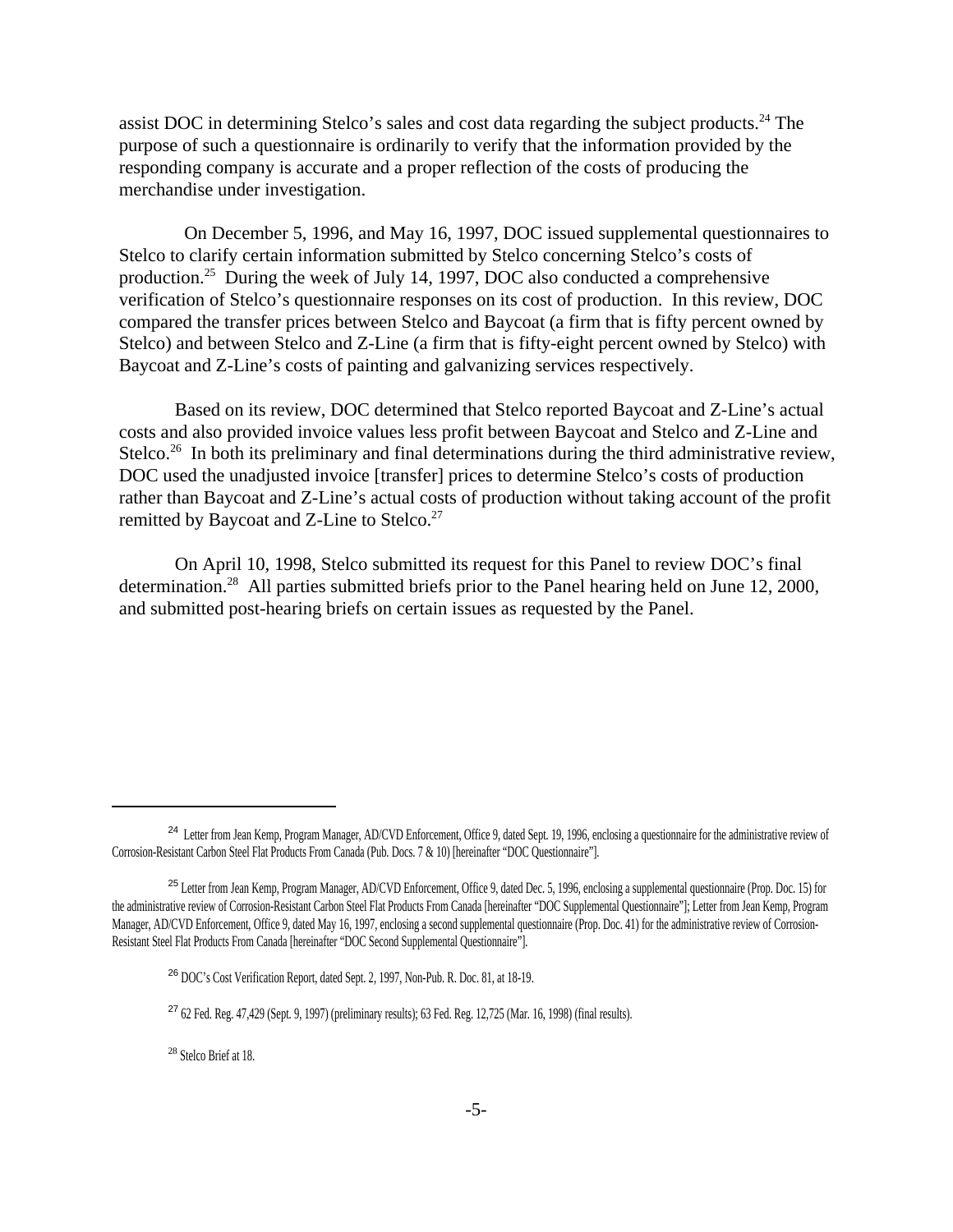assist DOC in determining Stelco's sales and cost data regarding the subject products.<sup>24</sup> The purpose of such a questionnaire is ordinarily to verify that the information provided by the responding company is accurate and a proper reflection of the costs of producing the merchandise under investigation.

 On December 5, 1996, and May 16, 1997, DOC issued supplemental questionnaires to Stelco to clarify certain information submitted by Stelco concerning Stelco's costs of production.<sup>25</sup> During the week of July 14, 1997, DOC also conducted a comprehensive verification of Stelco's questionnaire responses on its cost of production. In this review, DOC compared the transfer prices between Stelco and Baycoat (a firm that is fifty percent owned by Stelco) and between Stelco and Z-Line (a firm that is fifty-eight percent owned by Stelco) with Baycoat and Z-Line's costs of painting and galvanizing services respectively.

Based on its review, DOC determined that Stelco reported Baycoat and Z-Line's actual costs and also provided invoice values less profit between Baycoat and Stelco and Z-Line and Stelco.<sup>26</sup> In both its preliminary and final determinations during the third administrative review, DOC used the unadjusted invoice [transfer] prices to determine Stelco's costs of production rather than Baycoat and Z-Line's actual costs of production without taking account of the profit remitted by Baycoat and Z-Line to Stelco.<sup>27</sup>

On April 10, 1998, Stelco submitted its request for this Panel to review DOC's final determination.<sup>28</sup> All parties submitted briefs prior to the Panel hearing held on June 12, 2000, and submitted post-hearing briefs on certain issues as requested by the Panel.

<sup>&</sup>lt;sup>24</sup> Letter from Jean Kemp, Program Manager, AD/CVD Enforcement, Office 9, dated Sept. 19, 1996, enclosing a questionnaire for the administrative review of Corrosion-Resistant Carbon Steel Flat Products From Canada (Pub. Docs. 7 & 10) [hereinafter "DOC Questionnaire"].

<sup>&</sup>lt;sup>25</sup> Letter from Jean Kemp, Program Manager, AD/CVD Enforcement, Office 9, dated Dec. 5, 1996, enclosing a supplemental questionnaire (Prop. Doc. 15) for the administrative review of Corrosion-Resistant Carbon Steel Flat Products From Canada [hereinafter "DOC Supplemental Questionnaire"]; Letter from Jean Kemp, Program Manager, AD/CVD Enforcement, Office 9, dated May 16, 1997, enclosing a second supplemental questionnaire (Prop. Doc. 41) for the administrative review of Corrosion-Resistant Steel Flat Products From Canada [hereinafter "DOC Second Supplemental Questionnaire"].

<sup>26</sup> DOC's Cost Verification Report, dated Sept. 2, 1997, Non-Pub. R. Doc. 81, at 18-19.

<sup>27</sup> 62 Fed. Reg. 47,429 (Sept. 9, 1997) (preliminary results); 63 Fed. Reg. 12,725 (Mar. 16, 1998) (final results).

<sup>28</sup> Stelco Brief at 18.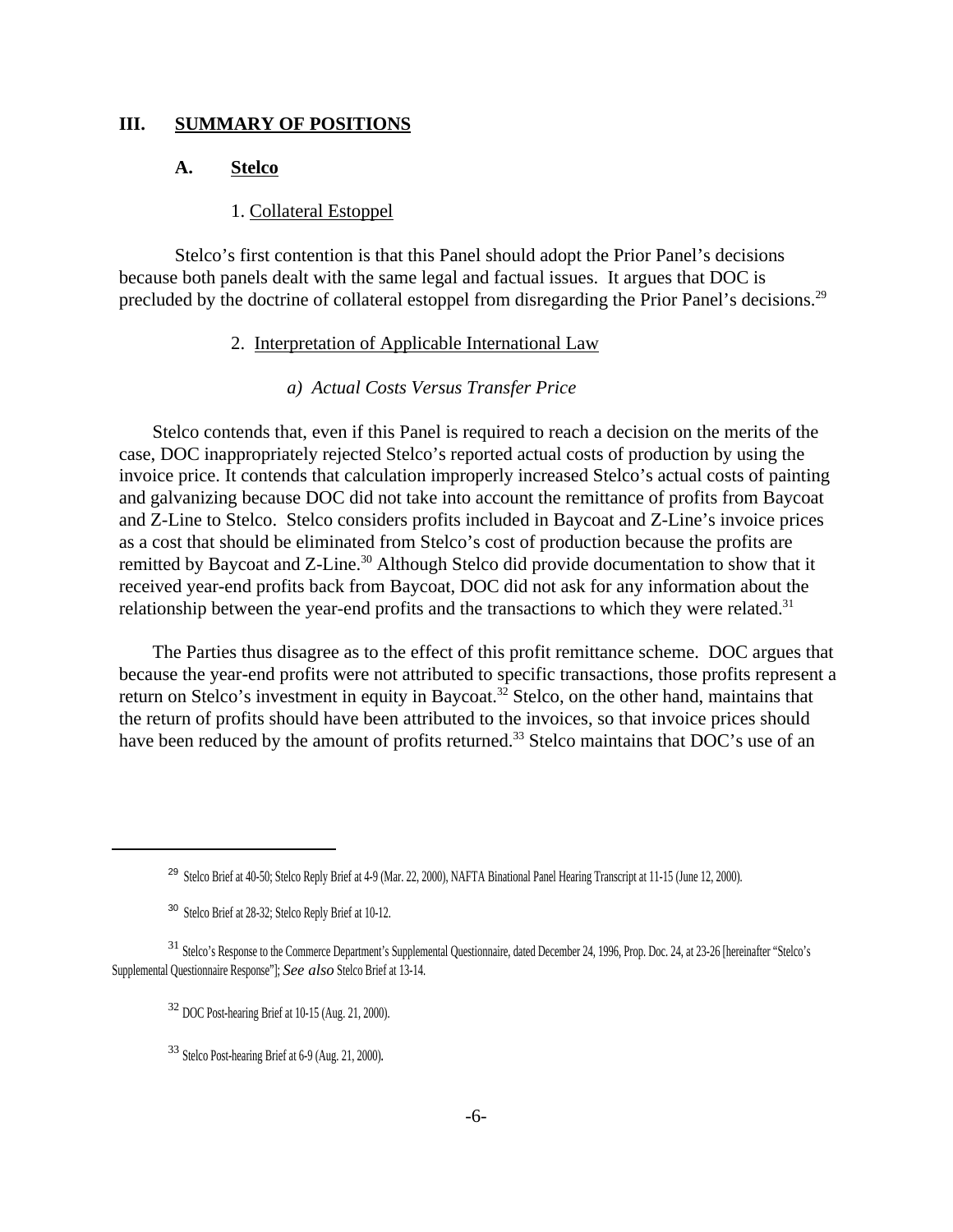#### **III. SUMMARY OF POSITIONS**

#### **A. Stelco**

# 1. Collateral Estoppel

Stelco's first contention is that this Panel should adopt the Prior Panel's decisions because both panels dealt with the same legal and factual issues. It argues that DOC is precluded by the doctrine of collateral estoppel from disregarding the Prior Panel's decisions.<sup>29</sup>

### 2. Interpretation of Applicable International Law

### *a) Actual Costs Versus Transfer Price*

Stelco contends that, even if this Panel is required to reach a decision on the merits of the case, DOC inappropriately rejected Stelco's reported actual costs of production by using the invoice price. It contends that calculation improperly increased Stelco's actual costs of painting and galvanizing because DOC did not take into account the remittance of profits from Baycoat and Z-Line to Stelco. Stelco considers profits included in Baycoat and Z-Line's invoice prices as a cost that should be eliminated from Stelco's cost of production because the profits are remitted by Baycoat and Z-Line.<sup>30</sup> Although Stelco did provide documentation to show that it received year-end profits back from Baycoat, DOC did not ask for any information about the relationship between the year-end profits and the transactions to which they were related.<sup>31</sup>

The Parties thus disagree as to the effect of this profit remittance scheme. DOC argues that because the year-end profits were not attributed to specific transactions, those profits represent a return on Stelco's investment in equity in Baycoat.<sup>32</sup> Stelco, on the other hand, maintains that the return of profits should have been attributed to the invoices, so that invoice prices should have been reduced by the amount of profits returned.<sup>33</sup> Stelco maintains that DOC's use of an

<sup>&</sup>lt;sup>29</sup> Stelco Brief at 40-50; Stelco Reply Brief at 4-9 (Mar. 22, 2000), NAFTA Binational Panel Hearing Transcript at 11-15 (June 12, 2000).

<sup>30</sup> Stelco Brief at 28-32; Stelco Reply Brief at 10-12.

<sup>31</sup> Stelco's Response to the Commerce Department's Supplemental Questionnaire, dated December 24, 1996, Prop. Doc. 24, at 23-26 [hereinafter "Stelco's Supplemental Questionnaire Response"]; *See also* Stelco Brief at 13-14.

<sup>32</sup> DOC Post-hearing Brief at 10-15 (Aug. 21, 2000).

<sup>33</sup> Stelco Post-hearing Brief at 6-9 (Aug. 21, 2000).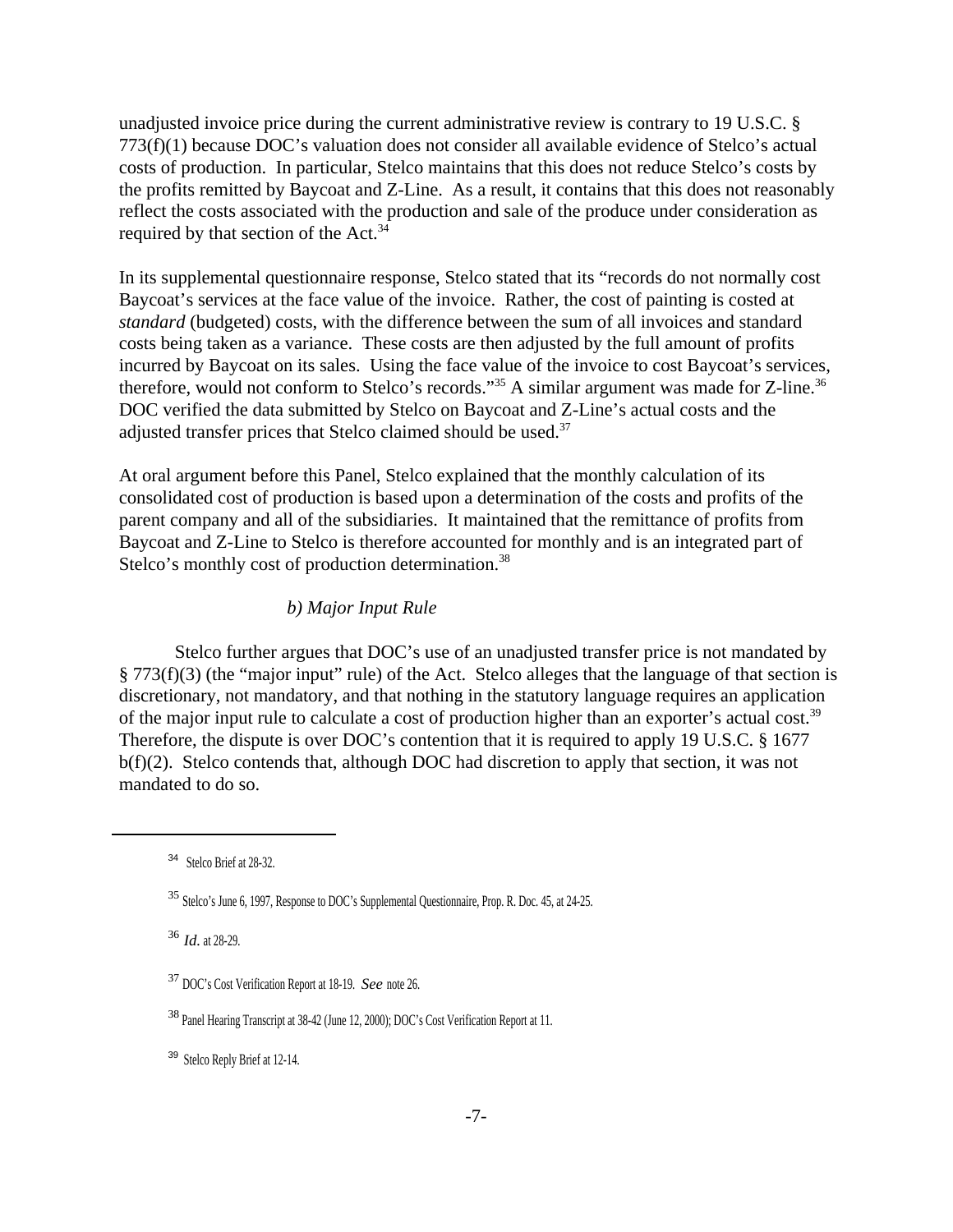unadjusted invoice price during the current administrative review is contrary to 19 U.S.C. § 773(f)(1) because DOC's valuation does not consider all available evidence of Stelco's actual costs of production. In particular, Stelco maintains that this does not reduce Stelco's costs by the profits remitted by Baycoat and Z-Line. As a result, it contains that this does not reasonably reflect the costs associated with the production and sale of the produce under consideration as required by that section of the Act.<sup>34</sup>

In its supplemental questionnaire response, Stelco stated that its "records do not normally cost Baycoat's services at the face value of the invoice. Rather, the cost of painting is costed at *standard* (budgeted) costs, with the difference between the sum of all invoices and standard costs being taken as a variance. These costs are then adjusted by the full amount of profits incurred by Baycoat on its sales. Using the face value of the invoice to cost Baycoat's services, therefore, would not conform to Stelco's records."<sup>35</sup> A similar argument was made for Z-line.<sup>36</sup> DOC verified the data submitted by Stelco on Baycoat and Z-Line's actual costs and the adjusted transfer prices that Stelco claimed should be used.<sup>37</sup>

At oral argument before this Panel, Stelco explained that the monthly calculation of its consolidated cost of production is based upon a determination of the costs and profits of the parent company and all of the subsidiaries. It maintained that the remittance of profits from Baycoat and Z-Line to Stelco is therefore accounted for monthly and is an integrated part of Stelco's monthly cost of production determination.<sup>38</sup>

### *b) Major Input Rule*

Stelco further argues that DOC's use of an unadjusted transfer price is not mandated by § 773(f)(3) (the "major input" rule) of the Act. Stelco alleges that the language of that section is discretionary, not mandatory, and that nothing in the statutory language requires an application of the major input rule to calculate a cost of production higher than an exporter's actual cost.<sup>39</sup> Therefore, the dispute is over DOC's contention that it is required to apply 19 U.S.C. § 1677 b(f)(2). Stelco contends that, although DOC had discretion to apply that section, it was not mandated to do so.

<sup>36</sup> *Id.* at 28-29.

<sup>39</sup> Stelco Reply Brief at 12-14.

<sup>34</sup> Stelco Brief at 28-32.

<sup>35</sup> Stelco's June 6, 1997, Response to DOC's Supplemental Questionnaire, Prop. R. Doc. 45, at 24-25.

<sup>37</sup> DOC's Cost Verification Report at 18-19. *See* note 26.

<sup>38</sup> Panel Hearing Transcript at 38-42 (June 12, 2000); DOC's Cost Verification Report at 11.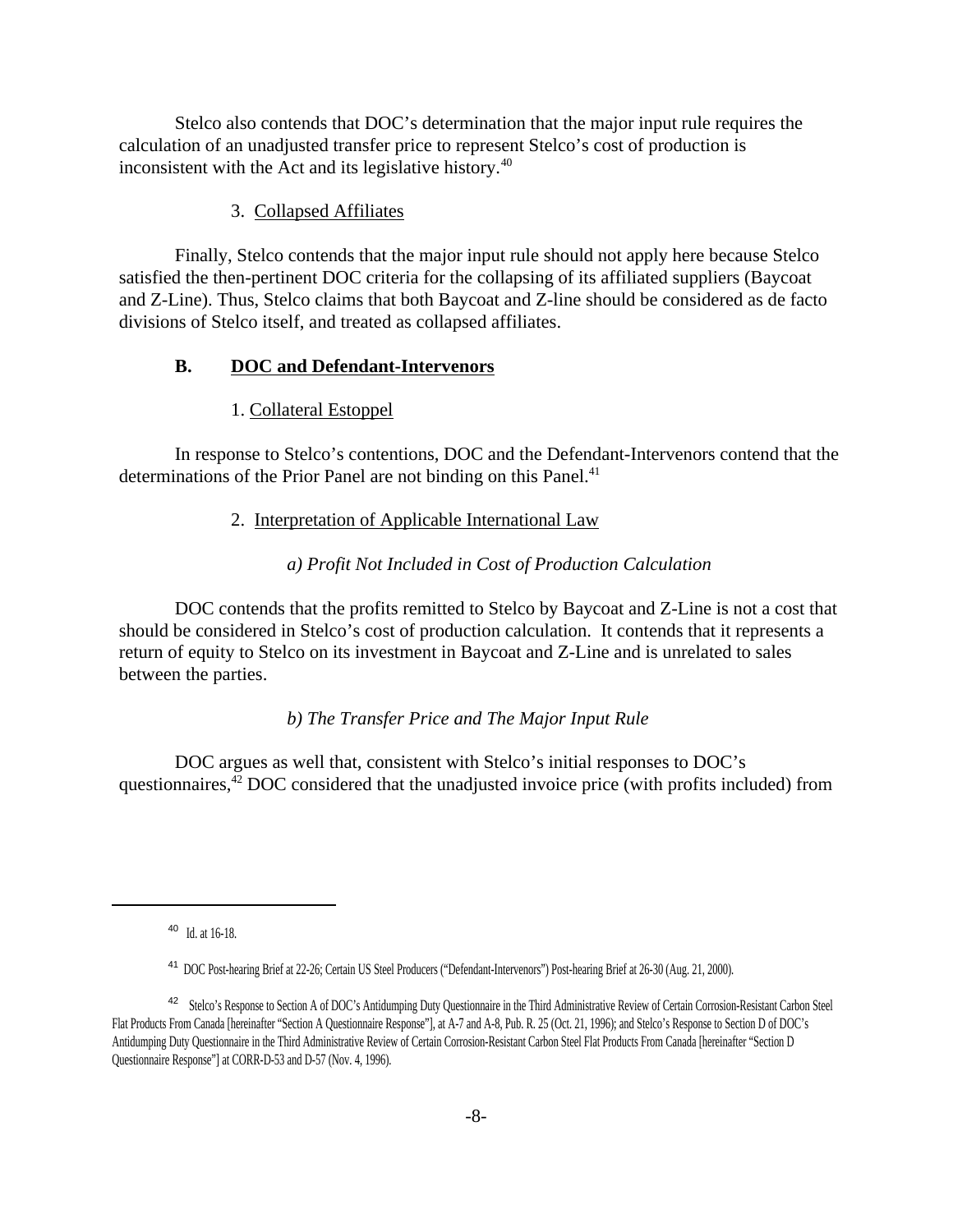Stelco also contends that DOC's determination that the major input rule requires the calculation of an unadjusted transfer price to represent Stelco's cost of production is inconsistent with the Act and its legislative history.<sup>40</sup>

### 3. Collapsed Affiliates

Finally, Stelco contends that the major input rule should not apply here because Stelco satisfied the then-pertinent DOC criteria for the collapsing of its affiliated suppliers (Baycoat and Z-Line). Thus, Stelco claims that both Baycoat and Z-line should be considered as de facto divisions of Stelco itself, and treated as collapsed affiliates.

### **B. DOC and Defendant-Intervenors**

### 1. Collateral Estoppel

In response to Stelco's contentions, DOC and the Defendant-Intervenors contend that the determinations of the Prior Panel are not binding on this Panel.<sup>41</sup>

### 2. Interpretation of Applicable International Law

# *a) Profit Not Included in Cost of Production Calculation*

DOC contends that the profits remitted to Stelco by Baycoat and Z-Line is not a cost that should be considered in Stelco's cost of production calculation. It contends that it represents a return of equity to Stelco on its investment in Baycoat and Z-Line and is unrelated to sales between the parties.

# *b) The Transfer Price and The Major Input Rule*

DOC argues as well that, consistent with Stelco's initial responses to DOC's questionnaires, $42$  DOC considered that the unadjusted invoice price (with profits included) from

40 Id. at 16-18.

<sup>41</sup> DOC Post-hearing Brief at 22-26; Certain US Steel Producers ("Defendant-Intervenors") Post-hearing Brief at 26-30 (Aug. 21, 2000).

<sup>&</sup>lt;sup>42</sup> Stelco's Response to Section A of DOC's Antidumping Duty Questionnaire in the Third Administrative Review of Certain Corrosion-Resistant Carbon Steel Flat Products From Canada [hereinafter "Section A Questionnaire Response"], at A-7 and A-8, Pub. R. 25 (Oct. 21, 1996); and Stelco's Response to Section D of DOC's Antidumping Duty Questionnaire in the Third Administrative Review of Certain Corrosion-Resistant Carbon Steel Flat Products From Canada [hereinafter "Section D Questionnaire Response"] at CORR-D-53 and D-57 (Nov. 4, 1996).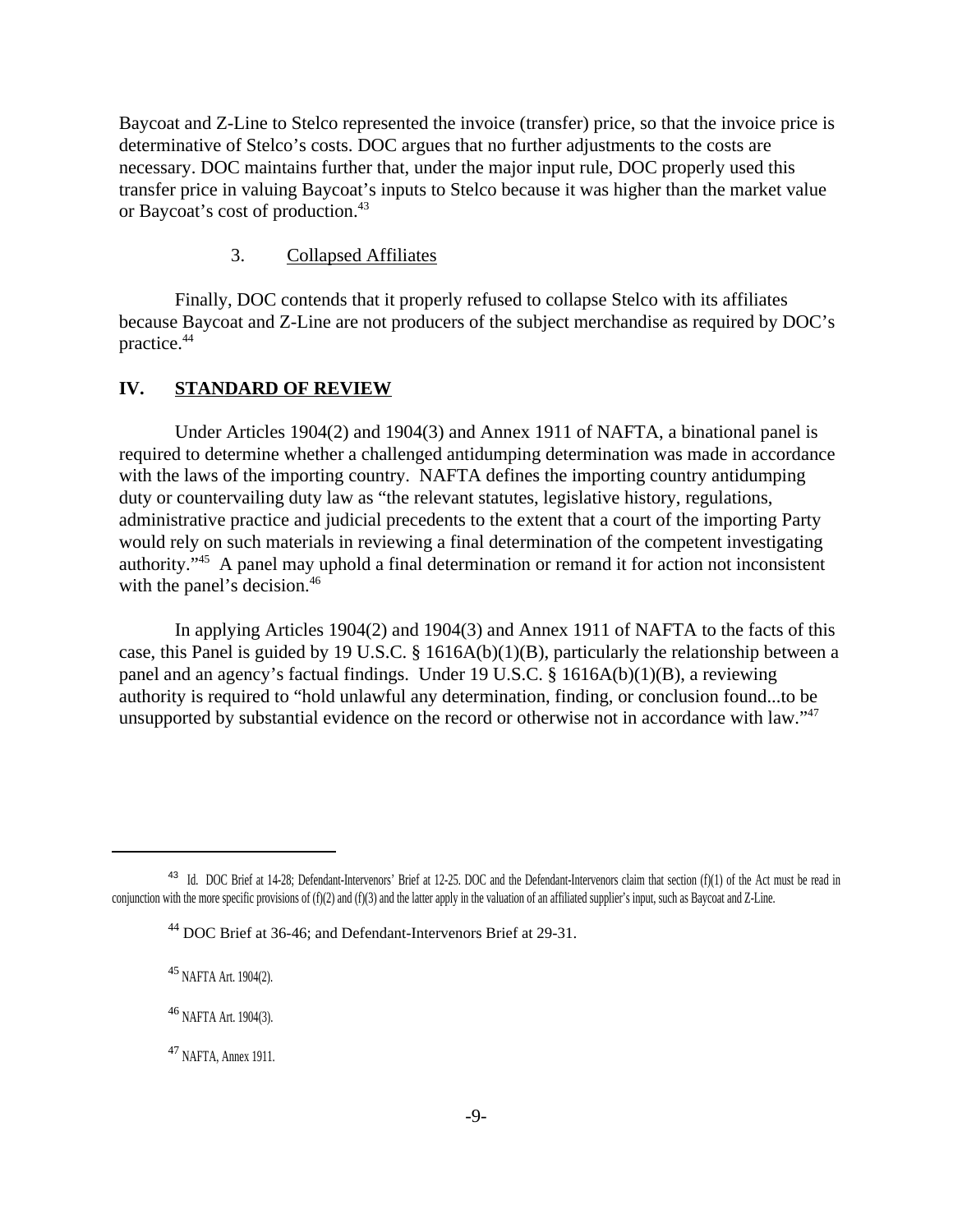Baycoat and Z-Line to Stelco represented the invoice (transfer) price, so that the invoice price is determinative of Stelco's costs. DOC argues that no further adjustments to the costs are necessary. DOC maintains further that, under the major input rule, DOC properly used this transfer price in valuing Baycoat's inputs to Stelco because it was higher than the market value or Baycoat's cost of production.<sup>43</sup>

### 3. Collapsed Affiliates

Finally, DOC contends that it properly refused to collapse Stelco with its affiliates because Baycoat and Z-Line are not producers of the subject merchandise as required by DOC's practice.<sup>44</sup>

### **IV. STANDARD OF REVIEW**

Under Articles 1904(2) and 1904(3) and Annex 1911 of NAFTA, a binational panel is required to determine whether a challenged antidumping determination was made in accordance with the laws of the importing country. NAFTA defines the importing country antidumping duty or countervailing duty law as "the relevant statutes, legislative history, regulations, administrative practice and judicial precedents to the extent that a court of the importing Party would rely on such materials in reviewing a final determination of the competent investigating authority."<sup>45</sup> A panel may uphold a final determination or remand it for action not inconsistent with the panel's decision.<sup>46</sup>

In applying Articles 1904(2) and 1904(3) and Annex 1911 of NAFTA to the facts of this case, this Panel is guided by 19 U.S.C. § 1616A(b)(1)(B), particularly the relationship between a panel and an agency's factual findings. Under 19 U.S.C. § 1616A(b)(1)(B), a reviewing authority is required to "hold unlawful any determination, finding, or conclusion found...to be unsupported by substantial evidence on the record or otherwise not in accordance with law."47

<sup>&</sup>lt;sup>43</sup> Id. DOC Brief at 14-28; Defendant-Intervenors' Brief at 12-25. DOC and the Defendant-Intervenors claim that section (f)(1) of the Act must be read in conjunction with the more specific provisions of (f)(2) and (f)(3) and the latter apply in the valuation of an affiliated supplier's input, such as Baycoat and Z-Line.

<sup>&</sup>lt;sup>44</sup> DOC Brief at 36-46; and Defendant-Intervenors Brief at 29-31.

<sup>45</sup> NAFTA Art. 1904(2).

<sup>&</sup>lt;sup>46</sup> NAFTA Art. 1904(3).

<sup>&</sup>lt;sup>47</sup> NAFTA, Annex 1911.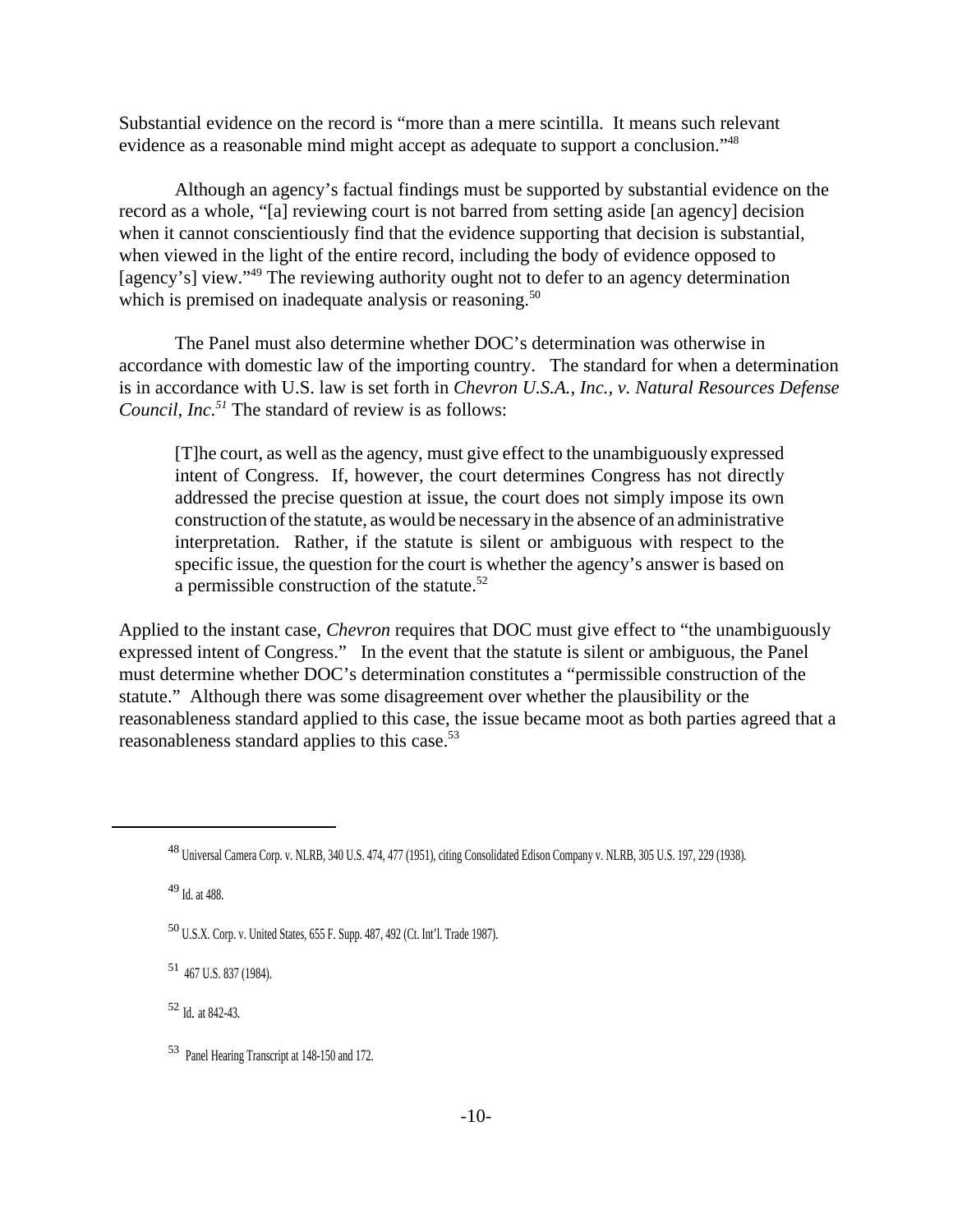Substantial evidence on the record is "more than a mere scintilla. It means such relevant evidence as a reasonable mind might accept as adequate to support a conclusion."<sup>48</sup>

Although an agency's factual findings must be supported by substantial evidence on the record as a whole, "[a] reviewing court is not barred from setting aside [an agency] decision when it cannot conscientiously find that the evidence supporting that decision is substantial, when viewed in the light of the entire record, including the body of evidence opposed to [agency's] view."<sup>49</sup> The reviewing authority ought not to defer to an agency determination which is premised on inadequate analysis or reasoning.<sup>50</sup>

The Panel must also determine whether DOC's determination was otherwise in accordance with domestic law of the importing country. The standard for when a determination is in accordance with U.S. law is set forth in *Chevron U.S.A., Inc., v. Natural Resources Defense Council, Inc.<sup>51</sup>* The standard of review is as follows:

[T]he court, as well asthe agency, must give effect to the unambiguously expressed intent of Congress. If, however, the court determines Congress has not directly addressed the precise question at issue, the court does not simply impose its own construction ofthe statute, as would be necessary in the absence of an administrative interpretation. Rather, if the statute is silent or ambiguous with respect to the specific issue, the question for the court is whether the agency's answer is based on a permissible construction of the statute.<sup>52</sup>

Applied to the instant case, *Chevron* requires that DOC must give effect to "the unambiguously expressed intent of Congress." In the event that the statute is silent or ambiguous, the Panel must determine whether DOC's determination constitutes a "permissible construction of the statute."Although there was some disagreement over whether the plausibility or the reasonableness standard applied to this case, the issue became moot as both parties agreed that a reasonableness standard applies to this case.53

 $49$  Id. at 488.

<sup>51</sup> 467 U.S. 837 (1984).

<sup>52</sup> Id*.* at 842-43.

<sup>48</sup> Universal Camera Corp. v. NLRB, 340 U.S. 474, 477 (1951), citing Consolidated Edison Company v. NLRB, 305 U.S. 197, 229 (1938).

<sup>50</sup> U.S.X. Corp. v. United States, 655 F. Supp. 487, 492 (Ct. Int'l. Trade 1987).

<sup>53</sup> Panel Hearing Transcript at 148-150 and 172.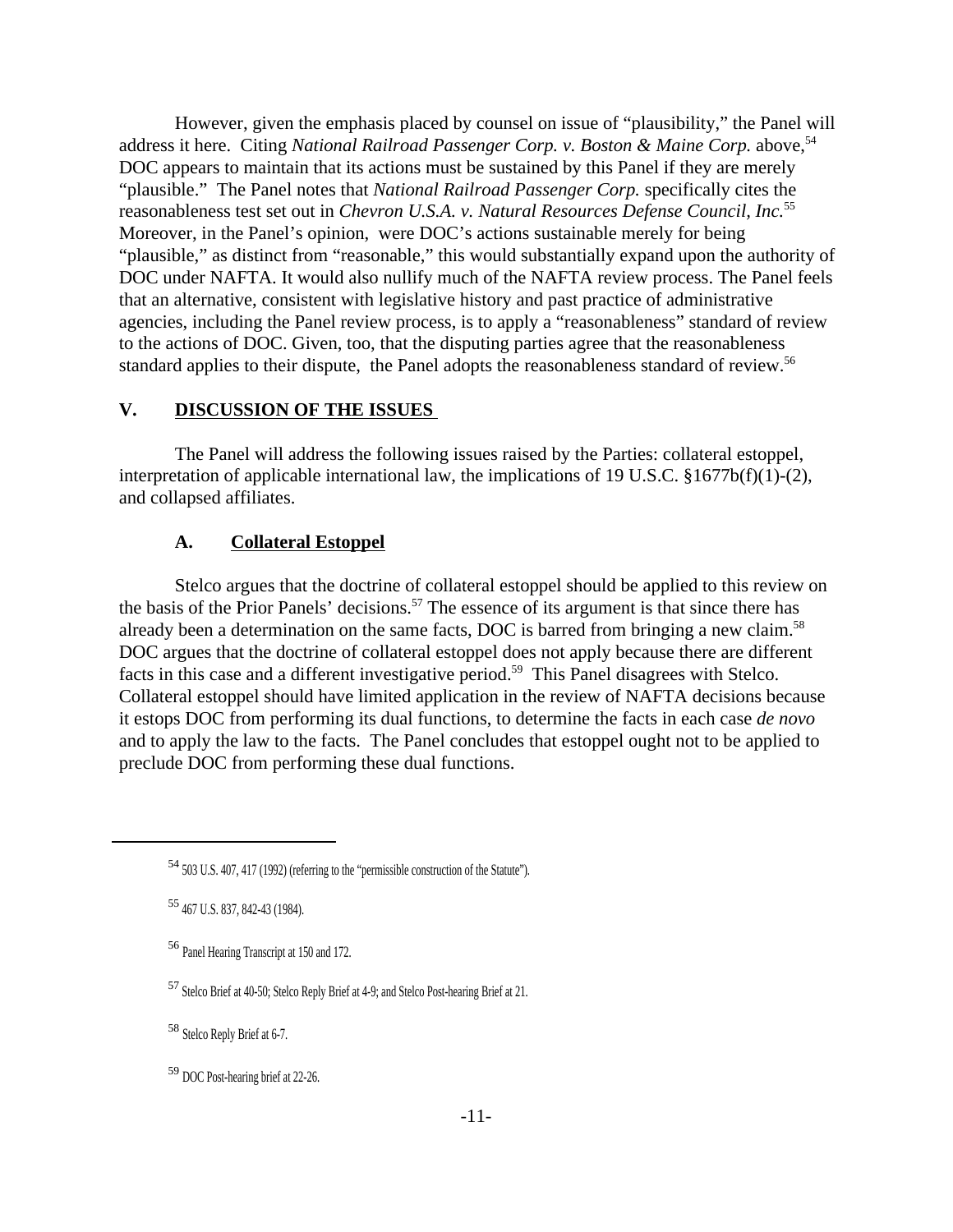However, given the emphasis placed by counsel on issue of "plausibility," the Panel will address it here. Citing *National Railroad Passenger Corp. v. Boston & Maine Corp.* above,<sup>54</sup> DOC appears to maintain that its actions must be sustained by this Panel if they are merely "plausible." The Panel notes that *National Railroad Passenger Corp.* specifically cites the reasonableness test set out in *Chevron U.S.A. v. Natural Resources Defense Council, Inc.*<sup>55</sup> Moreover, in the Panel's opinion, were DOC's actions sustainable merely for being "plausible," as distinct from "reasonable," this would substantially expand upon the authority of DOC under NAFTA. It would also nullify much of the NAFTA review process. The Panel feels that an alternative, consistent with legislative history and past practice of administrative agencies, including the Panel review process, is to apply a "reasonableness" standard of review to the actions of DOC. Given, too, that the disputing parties agree that the reasonableness standard applies to their dispute, the Panel adopts the reasonableness standard of review.<sup>56</sup>

### **V. DISCUSSION OF THE ISSUES**

The Panel will address the following issues raised by the Parties: collateral estoppel, interpretation of applicable international law, the implications of 19 U.S.C. §1677b(f)(1)-(2), and collapsed affiliates.

### **A. Collateral Estoppel**

Stelco argues that the doctrine of collateral estoppel should be applied to this review on the basis of the Prior Panels' decisions.<sup>57</sup> The essence of its argument is that since there has already been a determination on the same facts, DOC is barred from bringing a new claim.<sup>58</sup> DOC argues that the doctrine of collateral estoppel does not apply because there are different facts in this case and a different investigative period.<sup>59</sup> This Panel disagrees with Stelco. Collateral estoppel should have limited application in the review of NAFTA decisions because it estops DOC from performing its dual functions, to determine the facts in each case *de novo* and to apply the law to the facts. The Panel concludes that estoppel ought not to be applied to preclude DOC from performing these dual functions.

<sup>58</sup> Stelco Reply Brief at 6-7.

<sup>59</sup> DOC Post-hearing brief at 22-26.

<sup>54</sup>503 U.S. 407, 417 (1992) (referring to the "permissible construction of the Statute").

<sup>55</sup> 467 U.S. 837, 842-43 (1984).

<sup>56</sup> Panel Hearing Transcript at 150 and 172.

<sup>57</sup> Stelco Brief at 40-50; Stelco Reply Brief at 4-9; and Stelco Post-hearing Brief at 21.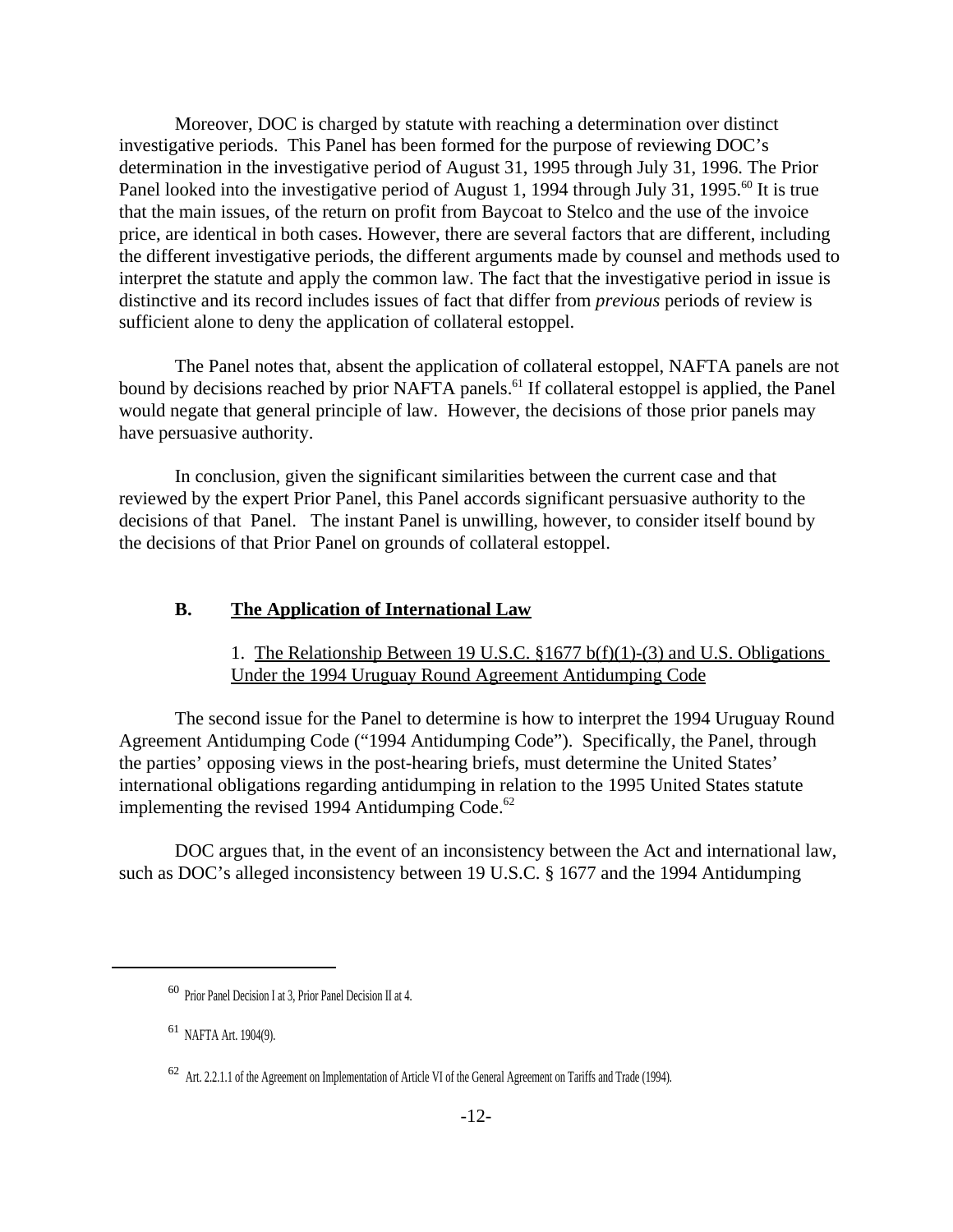Moreover, DOC is charged by statute with reaching a determination over distinct investigative periods. This Panel has been formed for the purpose of reviewing DOC's determination in the investigative period of August 31, 1995 through July 31, 1996. The Prior Panel looked into the investigative period of August 1, 1994 through July 31, 1995.<sup>60</sup> It is true that the main issues, of the return on profit from Baycoat to Stelco and the use of the invoice price, are identical in both cases. However, there are several factors that are different, including the different investigative periods, the different arguments made by counsel and methods used to interpret the statute and apply the common law. The fact that the investigative period in issue is distinctive and its record includes issues of fact that differ from *previous* periods of review is sufficient alone to deny the application of collateral estoppel.

The Panel notes that, absent the application of collateral estoppel, NAFTA panels are not bound by decisions reached by prior NAFTA panels.<sup>61</sup> If collateral estoppel is applied, the Panel would negate that general principle of law. However, the decisions of those prior panels may have persuasive authority.

In conclusion, given the significant similarities between the current case and that reviewed by the expert Prior Panel, this Panel accords significant persuasive authority to the decisions of that Panel. The instant Panel is unwilling, however, to consider itself bound by the decisions of that Prior Panel on grounds of collateral estoppel.

### **B. The Application of International Law**

### 1. The Relationship Between 19 U.S.C. §1677 b(f)(1)-(3) and U.S. Obligations Under the 1994 Uruguay Round Agreement Antidumping Code

The second issue for the Panel to determine is how to interpret the 1994 Uruguay Round Agreement Antidumping Code ("1994 Antidumping Code"). Specifically, the Panel, through the parties' opposing views in the post-hearing briefs, must determine the United States' international obligations regarding antidumping in relation to the 1995 United States statute implementing the revised 1994 Antidumping Code. $62$ 

DOC argues that, in the event of an inconsistency between the Act and international law, such as DOC's alleged inconsistency between 19 U.S.C. § 1677 and the 1994 Antidumping

<sup>60</sup> Prior Panel Decision I at 3, Prior Panel Decision II at 4.

<sup>61</sup> NAFTA Art. 1904(9).

 $62$  Art. 2.2.1.1 of the Agreement on Implementation of Article VI of the General Agreement on Tariffs and Trade (1994).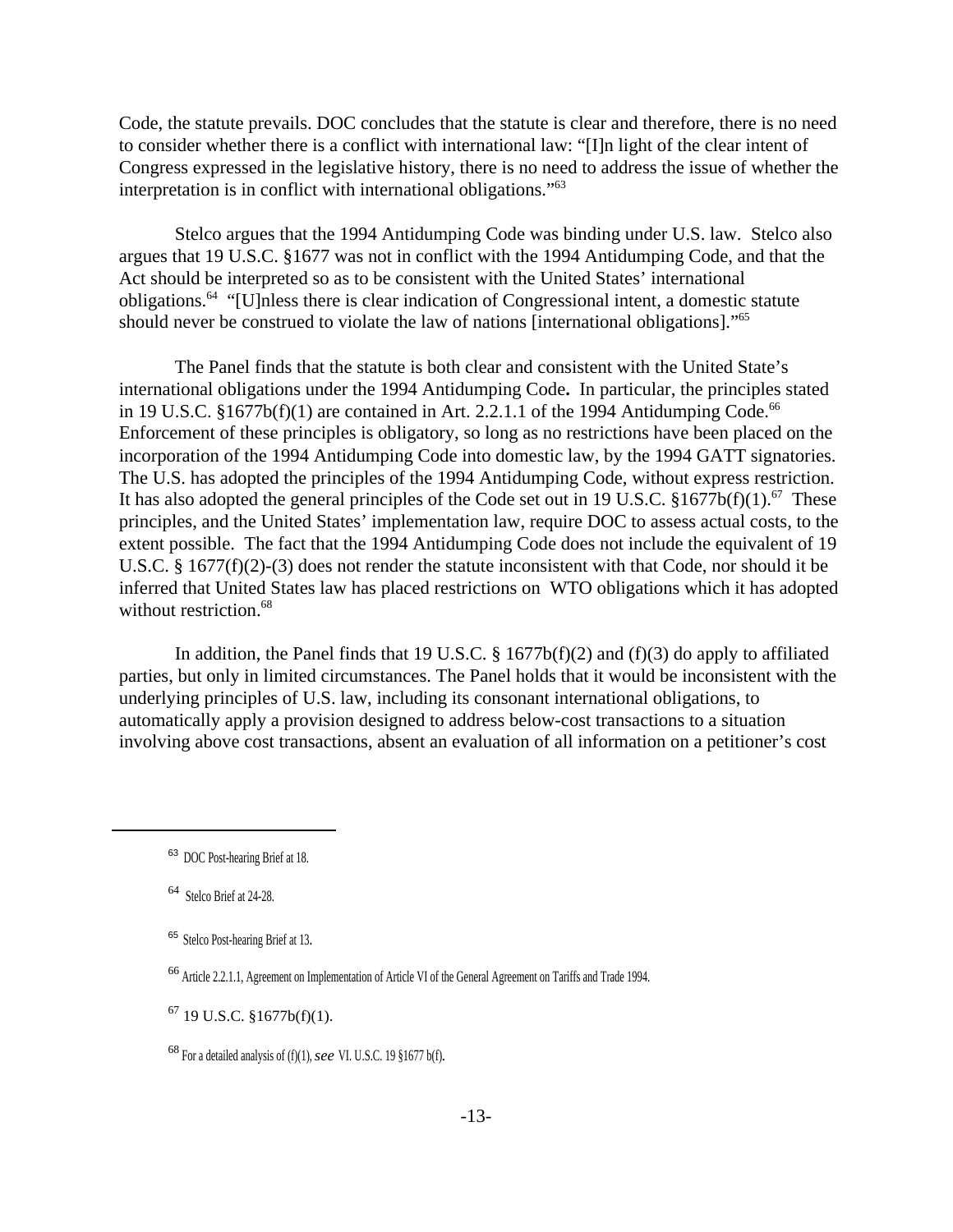Code, the statute prevails. DOC concludes that the statute is clear and therefore, there is no need to consider whether there is a conflict with international law: "[I]n light of the clear intent of Congress expressed in the legislative history, there is no need to address the issue of whether the interpretation is in conflict with international obligations."<sup>63</sup>

Stelco argues that the 1994 Antidumping Code was binding under U.S. law. Stelco also argues that 19 U.S.C. §1677 was not in conflict with the 1994 Antidumping Code, and that the Act should be interpreted so as to be consistent with the United States' international obligations.<sup>64</sup> "[U]nless there is clear indication of Congressional intent, a domestic statute should never be construed to violate the law of nations [international obligations]."<sup>65</sup>

The Panel finds that the statute is both clear and consistent with the United State's international obligations under the 1994 Antidumping Code**.** In particular, the principles stated in 19 U.S.C.  $$1677b(f)(1)$  are contained in Art. 2.2.1.1 of the 1994 Antidumping Code.<sup>66</sup> Enforcement of these principles is obligatory, so long as no restrictions have been placed on the incorporation of the 1994 Antidumping Code into domestic law, by the 1994 GATT signatories. The U.S. has adopted the principles of the 1994 Antidumping Code, without express restriction. It has also adopted the general principles of the Code set out in 19 U.S.C.  $$1677b(f)(1).$ <sup>67</sup> These principles, and the United States' implementation law, require DOC to assess actual costs, to the extent possible. The fact that the 1994 Antidumping Code does not include the equivalent of 19 U.S.C. § 1677(f)(2)-(3) does not render the statute inconsistent with that Code, nor should it be inferred that United States law has placed restrictions on WTO obligations which it has adopted without restriction.<sup>68</sup>

In addition, the Panel finds that 19 U.S.C.  $\S$  1677b(f)(2) and (f)(3) do apply to affiliated parties, but only in limited circumstances. The Panel holds that it would be inconsistent with the underlying principles of U.S. law, including its consonant international obligations, to automatically apply a provision designed to address below-cost transactions to a situation involving above cost transactions, absent an evaluation of all information on a petitioner's cost

<sup>63</sup> DOC Post-hearing Brief at 18.

<sup>64</sup> Stelco Brief at 24-28.

<sup>65</sup> Stelco Post-hearing Brief at 13.

<sup>66</sup> Article 2.2.1.1, Agreement on Implementation of Article VI of the General Agreement on Tariffs and Trade 1994.

 $67$  19 U.S.C. §1677b(f)(1).

<sup>68</sup> For a detailed analysis of (f)(1), *see* VI. U.S.C. 19 §1677 b(f)*.*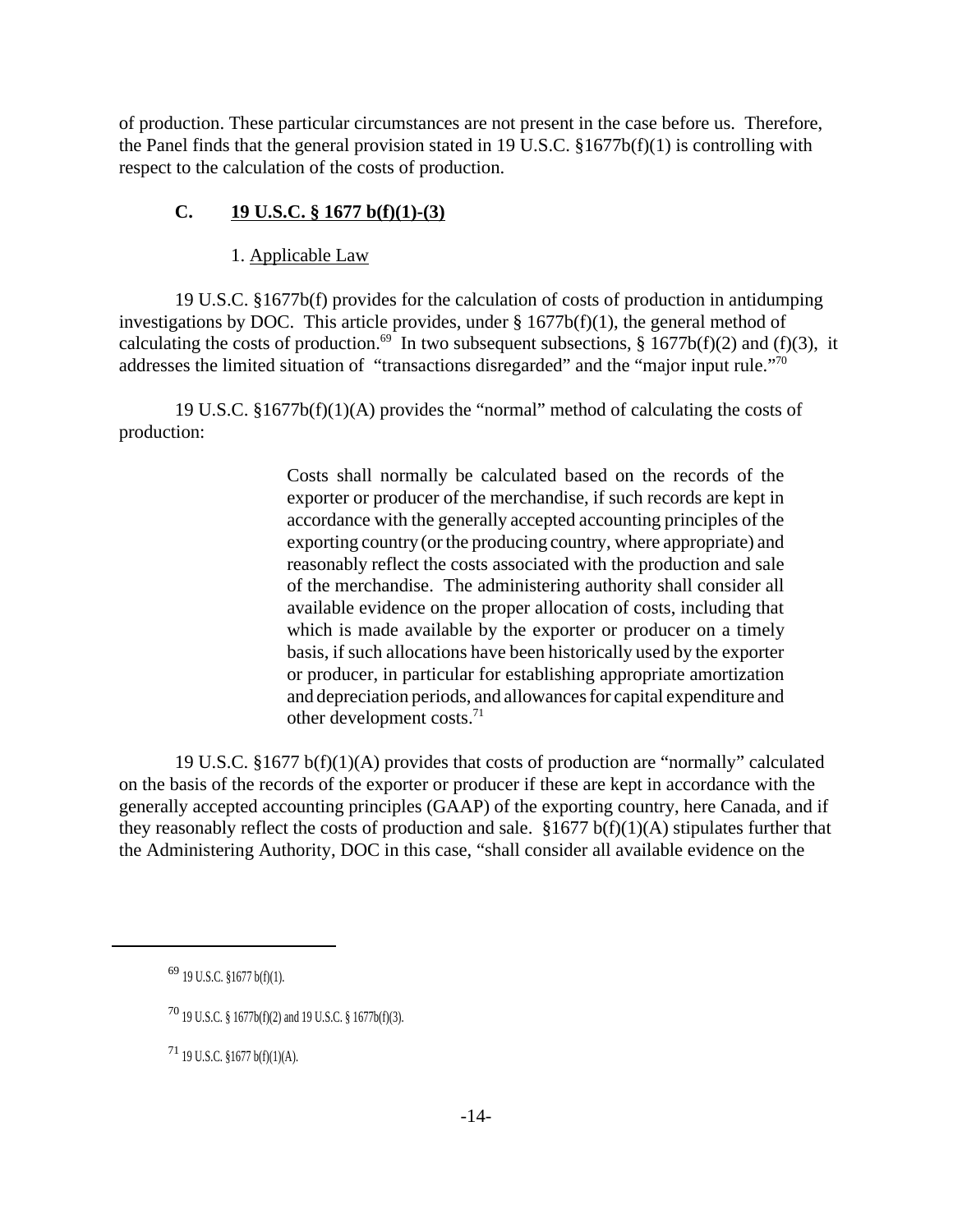of production. These particular circumstances are not present in the case before us. Therefore, the Panel finds that the general provision stated in 19 U.S.C. §1677b(f)(1) is controlling with respect to the calculation of the costs of production.

# **C. 19 U.S.C. § 1677 b(f)(1)-(3)**

1. Applicable Law

19 U.S.C. §1677b(f) provides for the calculation of costs of production in antidumping investigations by DOC. This article provides, under  $\S$  1677b(f)(1), the general method of calculating the costs of production.<sup>69</sup> In two subsequent subsections, § 1677b(f)(2) and (f)(3), it addresses the limited situation of "transactions disregarded" and the "major input rule."<sup>70</sup>

19 U.S.C. §1677b(f)(1)(A) provides the "normal" method of calculating the costs of production:

> Costs shall normally be calculated based on the records of the exporter or producer of the merchandise, if such records are kept in accordance with the generally accepted accounting principles of the exporting country (or the producing country, where appropriate) and reasonably reflect the costs associated with the production and sale of the merchandise. The administering authority shall consider all available evidence on the proper allocation of costs, including that which is made available by the exporter or producer on a timely basis, if such allocations have been historically used by the exporter or producer, in particular for establishing appropriate amortization and depreciation periods, and allowancesfor capital expenditure and other development costs.<sup>71</sup>

19 U.S.C. §1677 b(f)(1)(A) provides that costs of production are "normally" calculated on the basis of the records of the exporter or producer if these are kept in accordance with the generally accepted accounting principles (GAAP) of the exporting country, here Canada, and if they reasonably reflect the costs of production and sale.  $$1677 b(f)(1)(A)$  stipulates further that the Administering Authority, DOC in this case, "shall consider all available evidence on the

<sup>69</sup> 19 U.S.C. §1677 b(f)(1).

<sup>70</sup> 19 U.S.C. § 1677b(f)(2) and 19 U.S.C. § 1677b(f)(3).

<sup>71</sup> 19 U.S.C. §1677 b(f)(1)(A).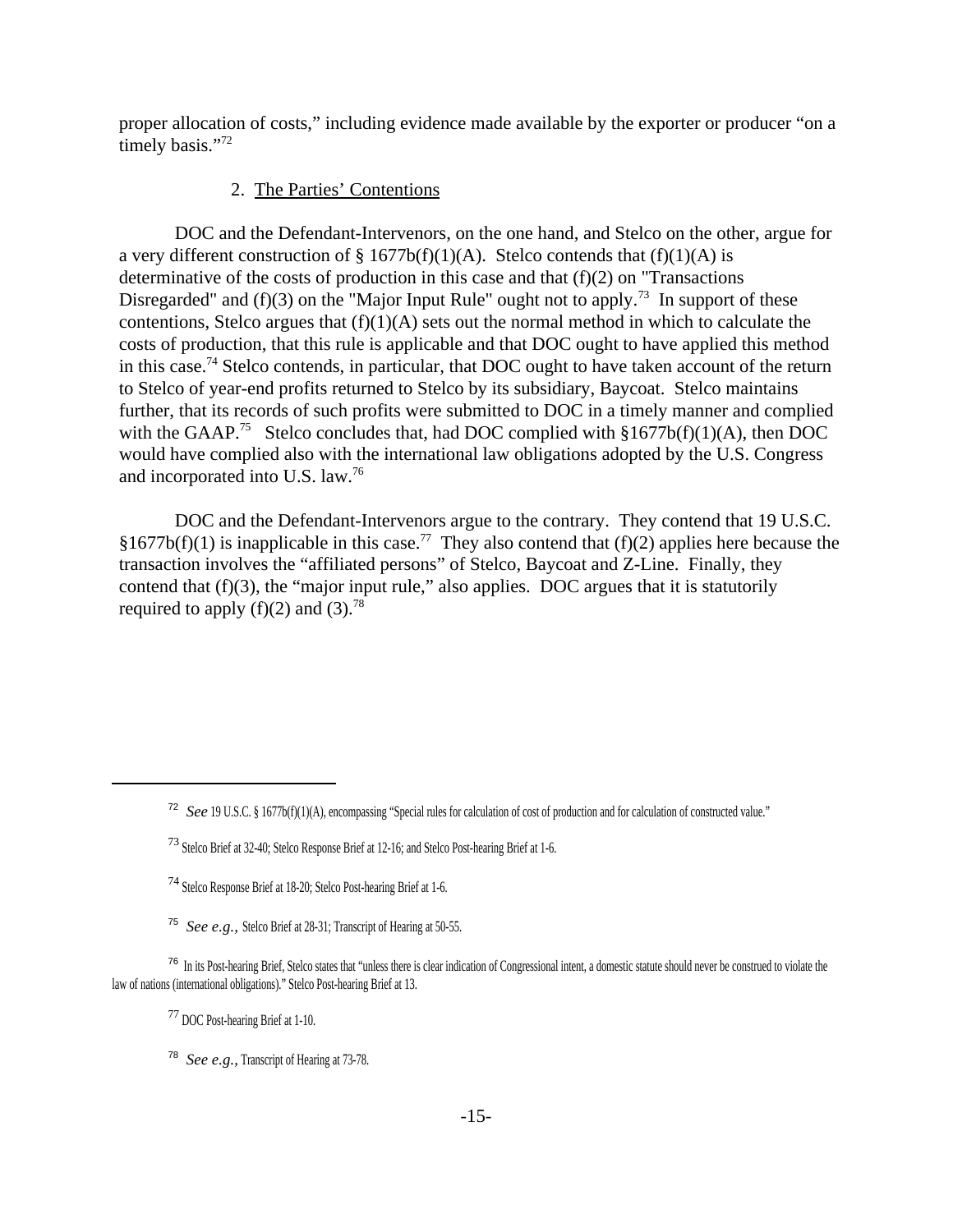proper allocation of costs," including evidence made available by the exporter or producer "on a timely basis."<sup>72</sup>

### 2. The Parties' Contentions

DOC and the Defendant-Intervenors, on the one hand, and Stelco on the other, argue for a very different construction of § 1677b(f)(1)(A). Stelco contends that (f)(1)(A) is determinative of the costs of production in this case and that (f)(2) on "Transactions Disregarded" and (f)(3) on the "Major Input Rule" ought not to apply.<sup>73</sup> In support of these contentions, Stelco argues that  $(f)(1)(A)$  sets out the normal method in which to calculate the costs of production, that this rule is applicable and that DOC ought to have applied this method in this case.<sup>74</sup> Stelco contends, in particular, that DOC ought to have taken account of the return to Stelco of year-end profits returned to Stelco by its subsidiary, Baycoat. Stelco maintains further, that its records of such profits were submitted to DOC in a timely manner and complied with the GAAP.<sup>75</sup> Stelco concludes that, had DOC complied with  $§1677b(f)(1)(A)$ , then DOC would have complied also with the international law obligations adopted by the U.S. Congress and incorporated into U.S. law.<sup>76</sup>

DOC and the Defendant-Intervenors argue to the contrary. They contend that 19 U.S.C. §1677b(f)(1) is inapplicable in this case.<sup>77</sup> They also contend that (f)(2) applies here because the transaction involves the "affiliated persons" of Stelco, Baycoat and Z-Line. Finally, they contend that  $(f)(3)$ , the "major input rule," also applies. DOC argues that it is statutorily required to apply (f)(2) and (3).<sup>78</sup>

<sup>72</sup> *See* 19 U.S.C. § 1677b(f)(1)(A), encompassing "Special rules for calculation of cost of production and for calculation of constructed value."

<sup>73</sup> Stelco Brief at 32-40; Stelco Response Brief at 12-16; and Stelco Post-hearing Brief at 1-6.

<sup>74</sup> Stelco Response Brief at 18-20; Stelco Post-hearing Brief at 1-6.

<sup>75</sup> *See e.g.,* Stelco Brief at 28-31; Transcript of Hearing at 50-55.

<sup>&</sup>lt;sup>76</sup> In its Post-hearing Brief, Stelco states that "unless there is clear indication of Congressional intent, a domestic statute should never be construed to violate the law of nations (international obligations)." Stelco Post-hearing Brief at 13.

<sup>77</sup> DOC Post-hearing Brief at 1-10.

<sup>78</sup> *See e.g.,* Transcript of Hearing at 73-78.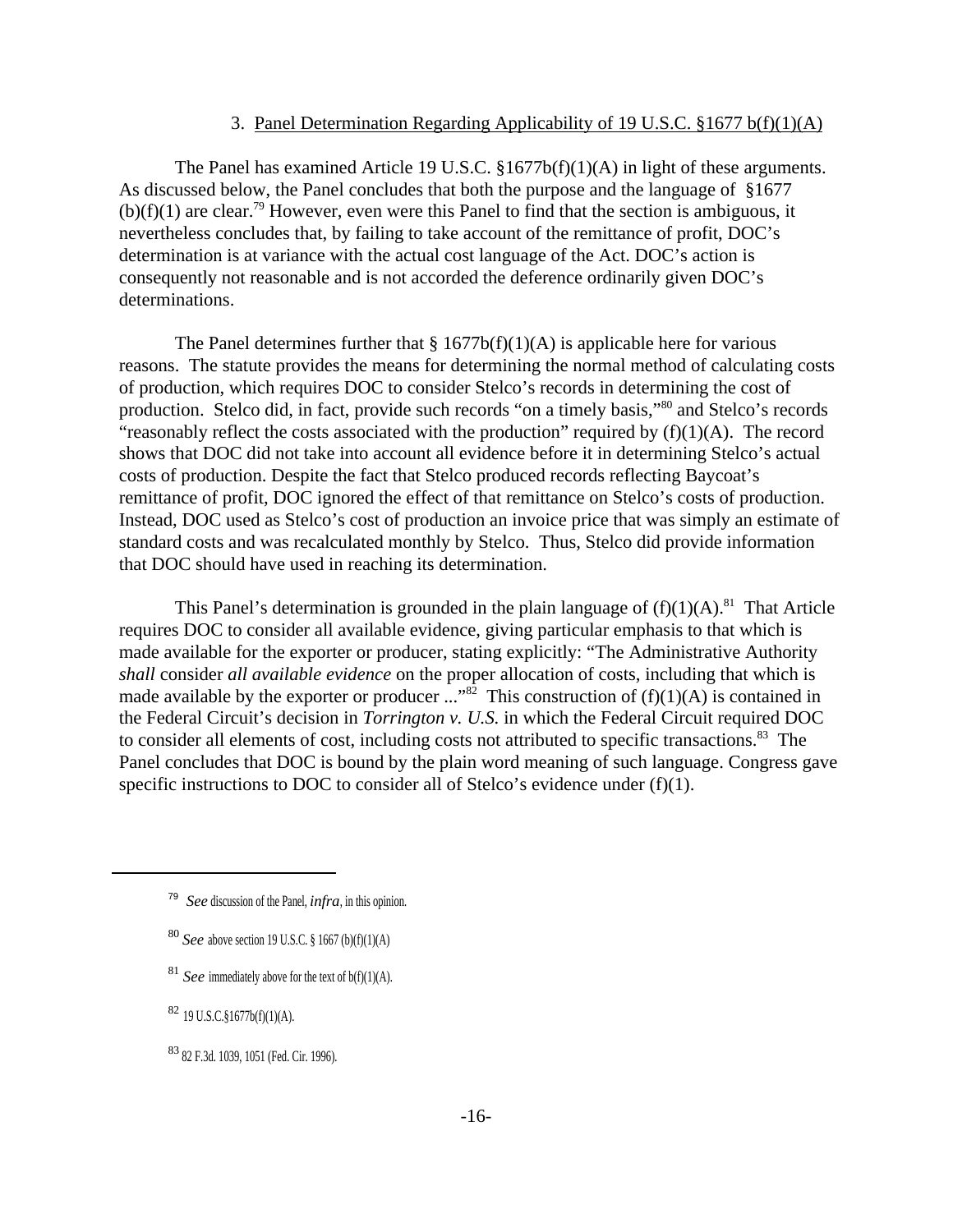### 3. Panel Determination Regarding Applicability of 19 U.S.C. §1677 b(f)(1)(A)

The Panel has examined Article 19 U.S.C. §1677b(f)(1)(A) in light of these arguments. As discussed below, the Panel concludes that both the purpose and the language of §1677  $(b)(f)(1)$  are clear.<sup>79</sup> However, even were this Panel to find that the section is ambiguous, it nevertheless concludes that, by failing to take account of the remittance of profit, DOC's determination is at variance with the actual cost language of the Act. DOC's action is consequently not reasonable and is not accorded the deference ordinarily given DOC's determinations.

The Panel determines further that  $\S 1677b(f)(1)(A)$  is applicable here for various reasons. The statute provides the means for determining the normal method of calculating costs of production, which requires DOC to consider Stelco's records in determining the cost of production. Stelco did, in fact, provide such records "on a timely basis,"<sup>80</sup> and Stelco's records "reasonably reflect the costs associated with the production" required by  $(f)(1)(A)$ . The record shows that DOC did not take into account all evidence before it in determining Stelco's actual costs of production. Despite the fact that Stelco produced records reflecting Baycoat's remittance of profit, DOC ignored the effect of that remittance on Stelco's costs of production. Instead, DOC used as Stelco's cost of production an invoice price that was simply an estimate of standard costs and was recalculated monthly by Stelco. Thus, Stelco did provide information that DOC should have used in reaching its determination.

This Panel's determination is grounded in the plain language of  $(f)(1)(A)$ .<sup>81</sup> That Article requires DOC to consider all available evidence, giving particular emphasis to that which is made available for the exporter or producer, stating explicitly: "The Administrative Authority *shall* consider *all available evidence* on the proper allocation of costs, including that which is made available by the exporter or producer ..."<sup>82</sup> This construction of  $(f)(1)(A)$  is contained in the Federal Circuit's decision in *Torrington v. U.S.* in which the Federal Circuit required DOC to consider all elements of cost, including costs not attributed to specific transactions.<sup>83</sup> The Panel concludes that DOC is bound by the plain word meaning of such language. Congress gave specific instructions to DOC to consider all of Stelco's evidence under (f)(1).

<sup>81</sup> *See* immediately above for the text of  $b(f)(1)(A)$ .

<sup>82</sup> 19 U.S.C.§1677b(f)(1)(A).

<sup>83</sup> 82 F.3d. 1039, 1051 (Fed. Cir. 1996).

<sup>79</sup> *See* discussion of the Panel, *infra*, in this opinion.

<sup>80</sup> *See* above section 19 U.S.C. § 1667 (b)(f)(1)(A)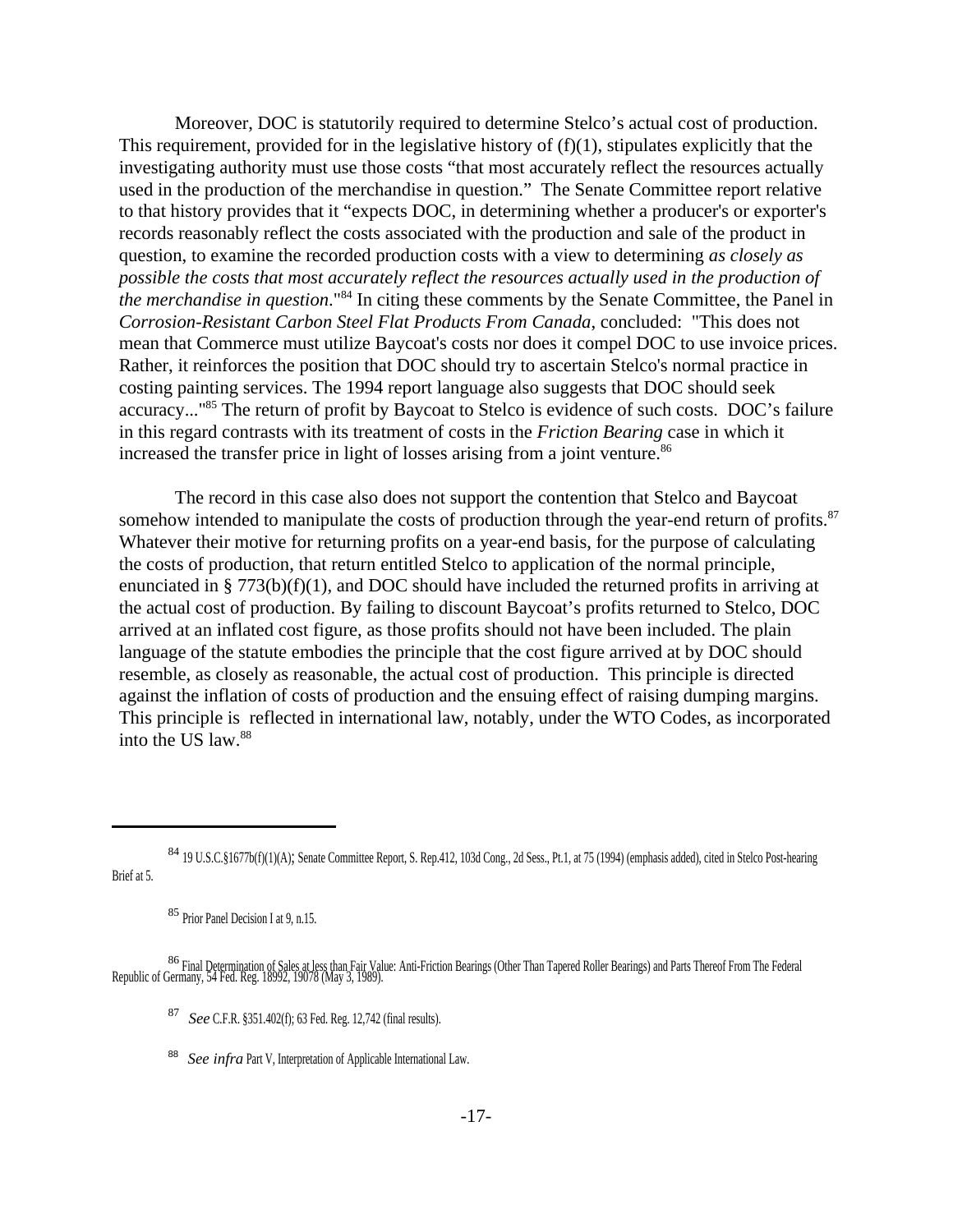Moreover, DOC is statutorily required to determine Stelco's actual cost of production. This requirement, provided for in the legislative history of  $(f)(1)$ , stipulates explicitly that the investigating authority must use those costs "that most accurately reflect the resources actually used in the production of the merchandise in question." The Senate Committee report relative to that history provides that it "expects DOC, in determining whether a producer's or exporter's records reasonably reflect the costs associated with the production and sale of the product in question, to examine the recorded production costs with a view to determining *as closely as possible the costs that most accurately reflect the resources actually used in the production of the merchandise in question*."<sup>84</sup> In citing these comments by the Senate Committee, the Panel in *Corrosion-Resistant Carbon Steel Flat Products From Canada*, concluded: "This does not mean that Commerce must utilize Baycoat's costs nor does it compel DOC to use invoice prices. Rather, it reinforces the position that DOC should try to ascertain Stelco's normal practice in costing painting services. The 1994 report language also suggests that DOC should seek accuracy..."<sup>85</sup> The return of profit by Baycoat to Stelco is evidence of such costs. DOC's failure in this regard contrasts with its treatment of costs in the *Friction Bearing* case in which it increased the transfer price in light of losses arising from a joint venture.<sup>86</sup>

The record in this case also does not support the contention that Stelco and Baycoat somehow intended to manipulate the costs of production through the year-end return of profits.<sup>87</sup> Whatever their motive for returning profits on a year-end basis, for the purpose of calculating the costs of production, that return entitled Stelco to application of the normal principle, enunciated in § 773(b)(f)(1), and DOC should have included the returned profits in arriving at the actual cost of production. By failing to discount Baycoat's profits returned to Stelco, DOC arrived at an inflated cost figure, as those profits should not have been included. The plain language of the statute embodies the principle that the cost figure arrived at by DOC should resemble, as closely as reasonable, the actual cost of production. This principle is directed against the inflation of costs of production and the ensuing effect of raising dumping margins. This principle is reflected in international law, notably, under the WTO Codes, as incorporated into the US law.88

- 87  *See* C.F.R. §351.402(f); 63 Fed. Reg. 12,742 (final results).
- <sup>88</sup> See infra Part V, Interpretation of Applicable International Law.

<sup>84</sup> 19 U.S.C.§1677b(f)(1)(A); Senate Committee Report, S. Rep.412, 103d Cong., 2d Sess., Pt.1, at 75 (1994) (emphasis added), cited in Stelco Post-hearing Brief at 5.

<sup>85</sup> Prior Panel Decision I at 9, n.15.

<sup>&</sup>lt;sup>86</sup> Final Determination of Sales at less than Fair Value: Anti-Friction Bearings (Other Than Tapered Roller Bearings) and Parts Thereof From The Federal Republic of Germany, 54 Fed. Reg. 18992, 19078 (May 3, 1989).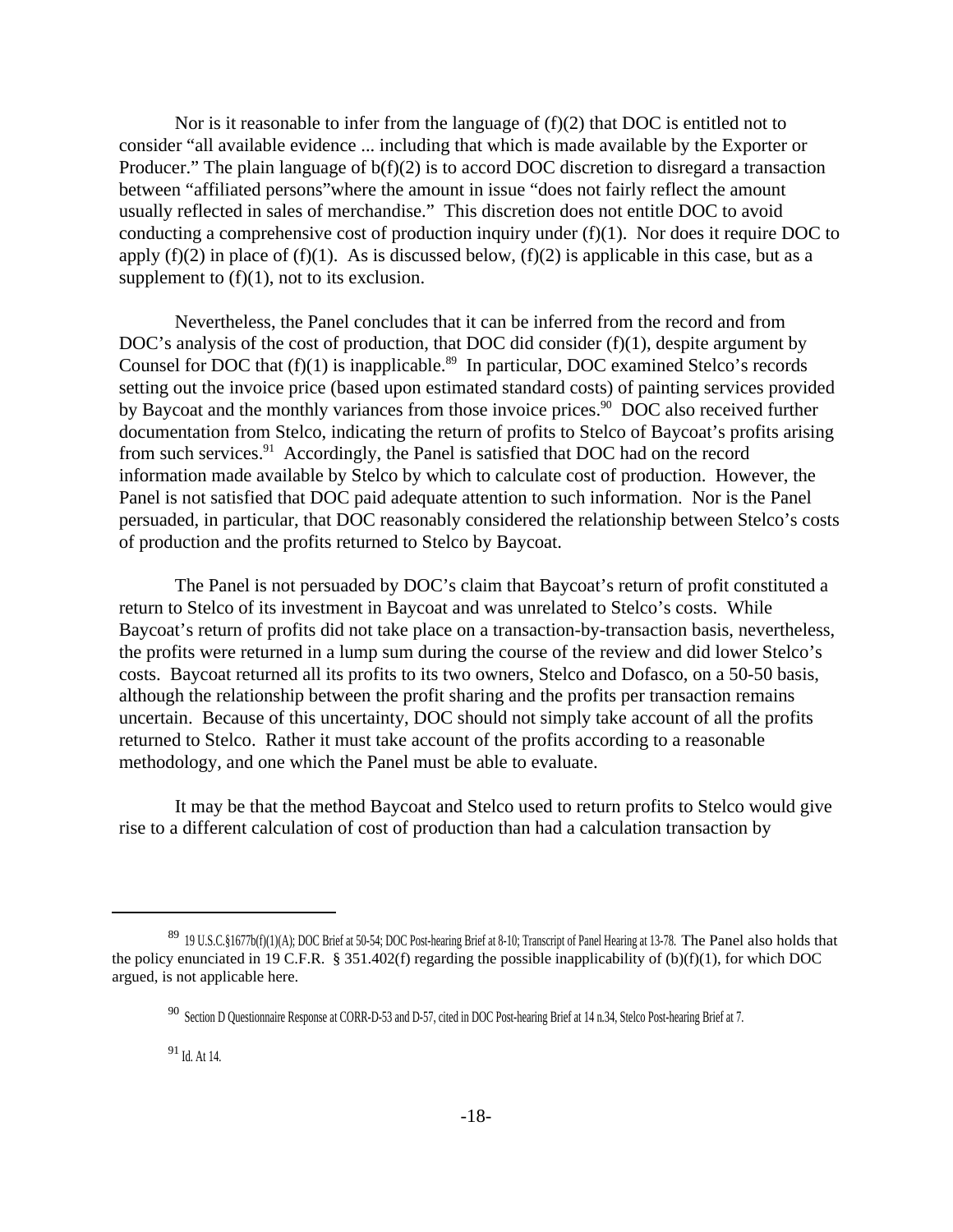Nor is it reasonable to infer from the language of  $(f)(2)$  that DOC is entitled not to consider "all available evidence ... including that which is made available by the Exporter or Producer." The plain language of  $b(f)(2)$  is to accord DOC discretion to disregard a transaction between "affiliated persons"where the amount in issue "does not fairly reflect the amount usually reflected in sales of merchandise." This discretion does not entitle DOC to avoid conducting a comprehensive cost of production inquiry under (f)(1). Nor does it require DOC to apply  $(f)(2)$  in place of  $(f)(1)$ . As is discussed below,  $(f)(2)$  is applicable in this case, but as a supplement to  $(f)(1)$ , not to its exclusion.

Nevertheless, the Panel concludes that it can be inferred from the record and from DOC's analysis of the cost of production, that DOC did consider (f)(1), despite argument by Counsel for DOC that  $(f)(1)$  is inapplicable.<sup>89</sup> In particular, DOC examined Stelco's records setting out the invoice price (based upon estimated standard costs) of painting services provided by Baycoat and the monthly variances from those invoice prices.<sup>90</sup> DOC also received further documentation from Stelco, indicating the return of profits to Stelco of Baycoat's profits arising from such services.<sup>91</sup> Accordingly, the Panel is satisfied that DOC had on the record information made available by Stelco by which to calculate cost of production. However, the Panel is not satisfied that DOC paid adequate attention to such information. Nor is the Panel persuaded, in particular, that DOC reasonably considered the relationship between Stelco's costs of production and the profits returned to Stelco by Baycoat.

The Panel is not persuaded by DOC's claim that Baycoat's return of profit constituted a return to Stelco of its investment in Baycoat and was unrelated to Stelco's costs. While Baycoat's return of profits did not take place on a transaction-by-transaction basis, nevertheless, the profits were returned in a lump sum during the course of the review and did lower Stelco's costs. Baycoat returned all its profits to its two owners, Stelco and Dofasco, on a 50-50 basis, although the relationship between the profit sharing and the profits per transaction remains uncertain. Because of this uncertainty, DOC should not simply take account of all the profits returned to Stelco. Rather it must take account of the profits according to a reasonable methodology, and one which the Panel must be able to evaluate.

It may be that the method Baycoat and Stelco used to return profits to Stelco would give rise to a different calculation of cost of production than had a calculation transaction by

<sup>89 19</sup> U.S.C.§1677b(f)(1)(A); DOC Brief at 50-54; DOC Post-hearing Brief at 8-10; Transcript of Panel Hearing at 13-78. The Panel also holds that the policy enunciated in 19 C.F.R. § 351.402(f) regarding the possible inapplicability of  $(b)(f)(1)$ , for which DOC argued, is not applicable here.

<sup>90</sup> Section D Questionnaire Response at CORR-D-53 and D-57, cited in DOC Post-hearing Brief at 14 n.34, Stelco Post-hearing Brief at 7.

<sup>91</sup> Id. At 14.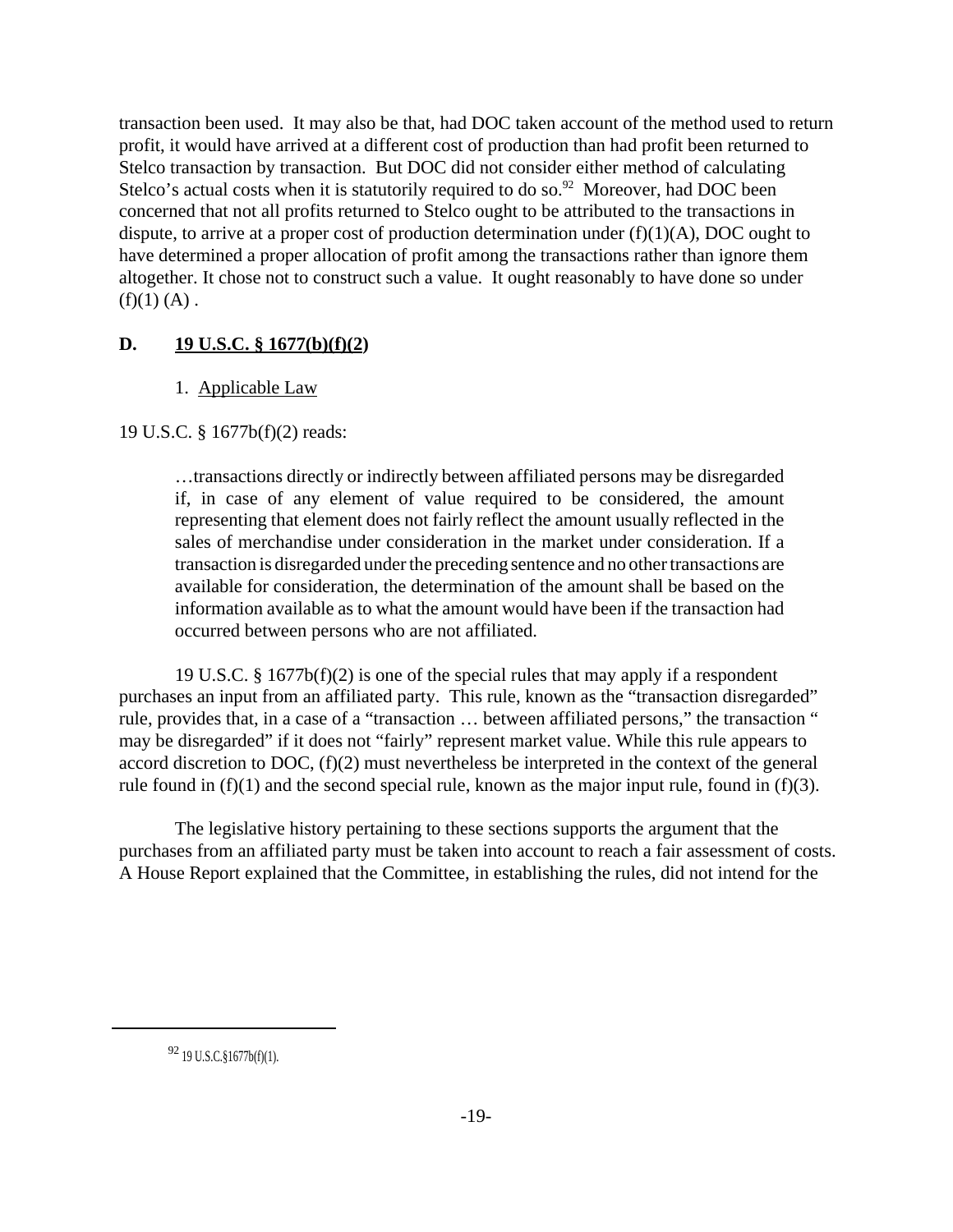transaction been used. It may also be that, had DOC taken account of the method used to return profit, it would have arrived at a different cost of production than had profit been returned to Stelco transaction by transaction. But DOC did not consider either method of calculating Stelco's actual costs when it is statutorily required to do so.<sup>92</sup> Moreover, had DOC been concerned that not all profits returned to Stelco ought to be attributed to the transactions in dispute, to arrive at a proper cost of production determination under  $(f)(1)(A)$ , DOC ought to have determined a proper allocation of profit among the transactions rather than ignore them altogether. It chose not to construct such a value. It ought reasonably to have done so under  $(f)(1)$  $(A)$ .

# **D. 19 U.S.C. § 1677(b)(f)(2)**

# 1. Applicable Law

19 U.S.C. § 1677b(f)(2) reads:

…transactions directly or indirectly between affiliated persons may be disregarded if, in case of any element of value required to be considered, the amount representing that element does not fairly reflect the amount usually reflected in the sales of merchandise under consideration in the market under consideration. If a transaction is disregarded under the preceding sentence and no other transactions are available for consideration, the determination of the amount shall be based on the information available as to what the amount would have been if the transaction had occurred between persons who are not affiliated.

19 U.S.C. § 1677b(f)(2) is one of the special rules that may apply if a respondent purchases an input from an affiliated party. This rule, known as the "transaction disregarded" rule, provides that, in a case of a "transaction … between affiliated persons," the transaction " may be disregarded" if it does not "fairly" represent market value. While this rule appears to accord discretion to DOC, (f)(2) must nevertheless be interpreted in the context of the general rule found in  $(f)(1)$  and the second special rule, known as the major input rule, found in  $(f)(3)$ .

The legislative history pertaining to these sections supports the argument that the purchases from an affiliated party must be taken into account to reach a fair assessment of costs. A House Report explained that the Committee, in establishing the rules, did not intend for the

<sup>92</sup> 19 U.S.C.§1677b(f)(1).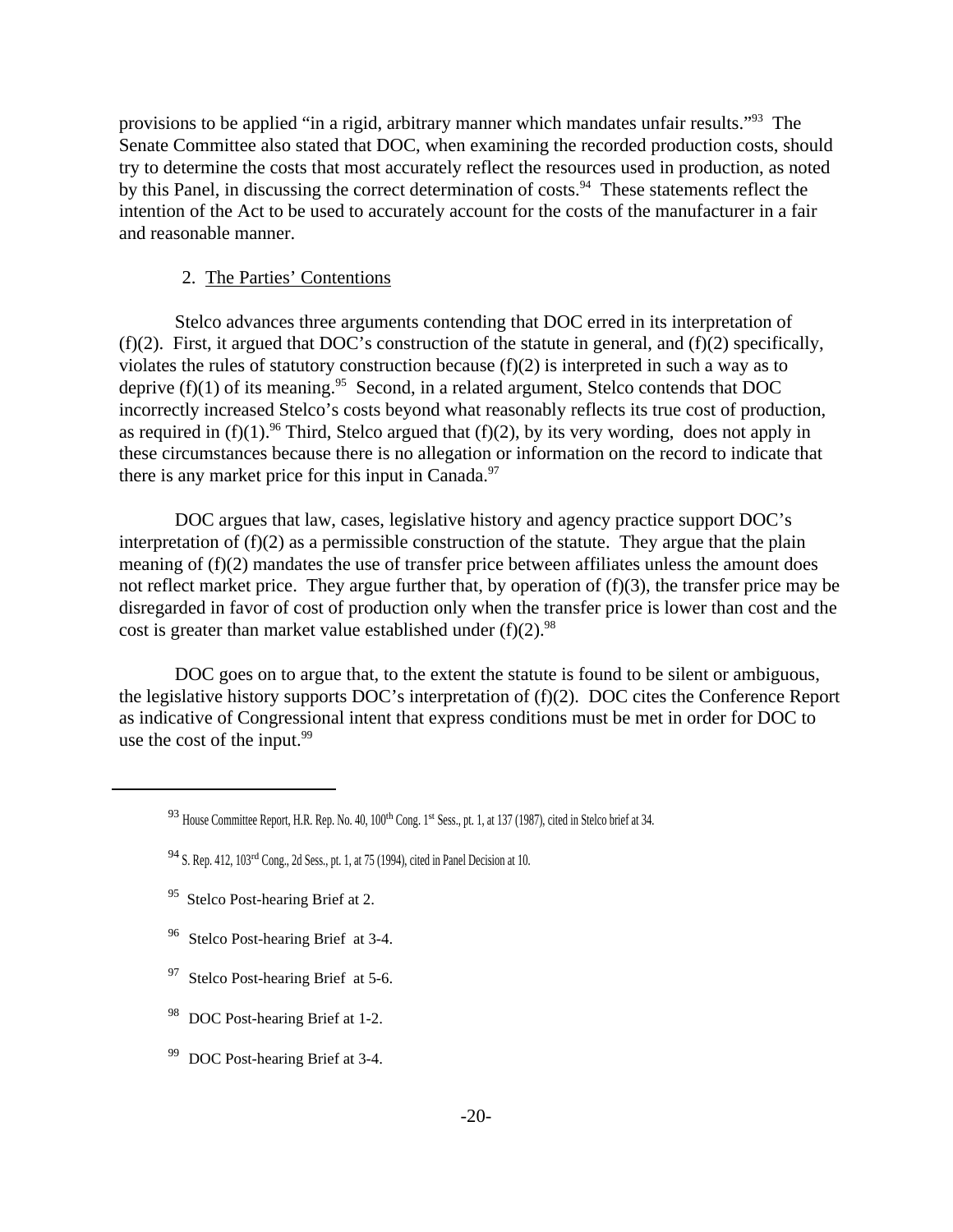provisions to be applied "in a rigid, arbitrary manner which mandates unfair results."<sup>93</sup> The Senate Committee also stated that DOC, when examining the recorded production costs, should try to determine the costs that most accurately reflect the resources used in production, as noted by this Panel, in discussing the correct determination of costs.<sup>94</sup> These statements reflect the intention of the Act to be used to accurately account for the costs of the manufacturer in a fair and reasonable manner.

### 2. The Parties' Contentions

Stelco advances three arguments contending that DOC erred in its interpretation of (f)(2). First, it argued that DOC's construction of the statute in general, and (f)(2) specifically, violates the rules of statutory construction because (f)(2) is interpreted in such a way as to deprive  $(f)(1)$  of its meaning.<sup>95</sup> Second, in a related argument, Stelco contends that DOC incorrectly increased Stelco's costs beyond what reasonably reflects its true cost of production, as required in  $(f)(1)$ .<sup>96</sup> Third, Stelco argued that  $(f)(2)$ , by its very wording, does not apply in these circumstances because there is no allegation or information on the record to indicate that there is any market price for this input in Canada. $97$ 

DOC argues that law, cases, legislative history and agency practice support DOC's interpretation of (f)(2) as a permissible construction of the statute. They argue that the plain meaning of (f)(2) mandates the use of transfer price between affiliates unless the amount does not reflect market price. They argue further that, by operation of  $(f)(3)$ , the transfer price may be disregarded in favor of cost of production only when the transfer price is lower than cost and the cost is greater than market value established under  $(f)(2)$ .<sup>98</sup>

DOC goes on to argue that, to the extent the statute is found to be silent or ambiguous, the legislative history supports DOC's interpretation of (f)(2). DOC cites the Conference Report as indicative of Congressional intent that express conditions must be met in order for DOC to use the cost of the input.<sup>99</sup>

- <sup>96</sup> Stelco Post-hearing Brief at 3-4.
- <sup>97</sup> Stelco Post-hearing Brief at 5-6.
- 98 DOC Post-hearing Brief at 1-2.
- <sup>99</sup> DOC Post-hearing Brief at 3-4.

<sup>93</sup> House Committee Report, H.R. Rep. No. 40, 100<sup>th</sup> Cong. 1<sup>st</sup> Sess., pt. 1, at 137 (1987), cited in Stelco brief at 34.

<sup>94</sup> S. Rep. 412, 103rd Cong., 2d Sess., pt. 1, at 75 (1994), cited in Panel Decision at 10.

<sup>&</sup>lt;sup>95</sup> Stelco Post-hearing Brief at 2.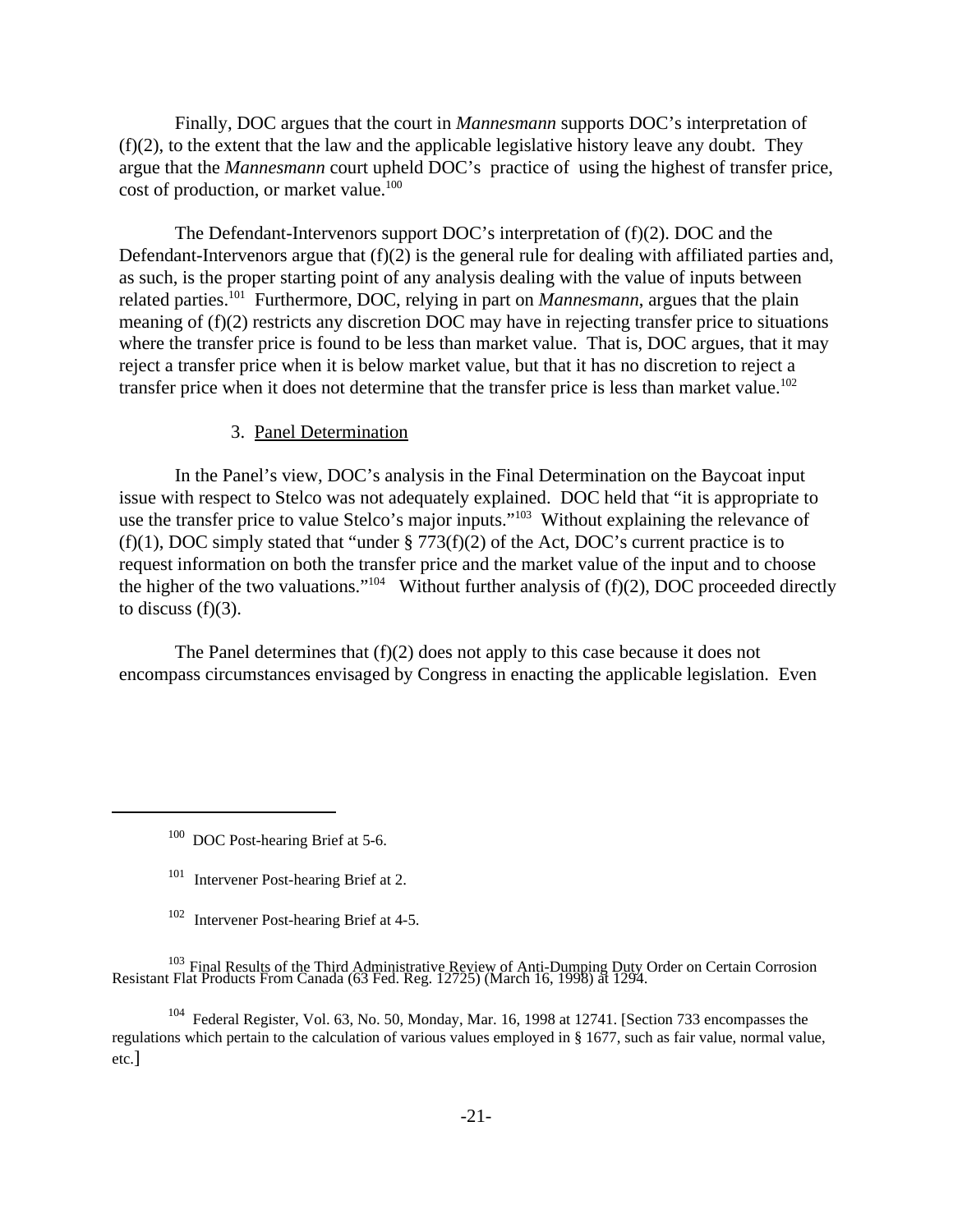Finally, DOC argues that the court in *Mannesmann* supports DOC's interpretation of  $(f)(2)$ , to the extent that the law and the applicable legislative history leave any doubt. They argue that the *Mannesmann* court upheld DOC's practice of using the highest of transfer price, cost of production, or market value.<sup>100</sup>

The Defendant-Intervenors support DOC's interpretation of (f)(2). DOC and the Defendant-Intervenors argue that  $(f)(2)$  is the general rule for dealing with affiliated parties and, as such, is the proper starting point of any analysis dealing with the value of inputs between related parties.<sup>101</sup> Furthermore, DOC, relying in part on *Mannesmann*, argues that the plain meaning of (f)(2) restricts any discretion DOC may have in rejecting transfer price to situations where the transfer price is found to be less than market value. That is, DOC argues, that it may reject a transfer price when it is below market value, but that it has no discretion to reject a transfer price when it does not determine that the transfer price is less than market value.<sup>102</sup>

#### 3. Panel Determination

In the Panel's view, DOC's analysis in the Final Determination on the Baycoat input issue with respect to Stelco was not adequately explained. DOC held that "it is appropriate to use the transfer price to value Stelco's major inputs."<sup>103</sup> Without explaining the relevance of (f)(1), DOC simply stated that "under  $\S 773(f)(2)$  of the Act, DOC's current practice is to request information on both the transfer price and the market value of the input and to choose the higher of the two valuations."<sup>104</sup> Without further analysis of  $(f)(2)$ , DOC proceeded directly to discuss  $(f)(3)$ .

The Panel determines that (f)(2) does not apply to this case because it does not encompass circumstances envisaged by Congress in enacting the applicable legislation. Even

<sup>103</sup> Final Results of the Third Administrative Review of Anti-Dumping Duty Order on Certain Corrosion<br>Resistant Flat Products From Canada (63 Fed. Reg. 12725) (March 16, 1998) at 1294.

<sup>104</sup> Federal Register, Vol. 63, No. 50, Monday, Mar. 16, 1998 at 12741. [Section 733 encompasses the regulations which pertain to the calculation of various values employed in § 1677, such as fair value, normal value, etc.]

<sup>&</sup>lt;sup>100</sup> DOC Post-hearing Brief at 5-6.

<sup>101</sup> Intervener Post-hearing Brief at 2.

<sup>&</sup>lt;sup>102</sup> Intervener Post-hearing Brief at 4-5.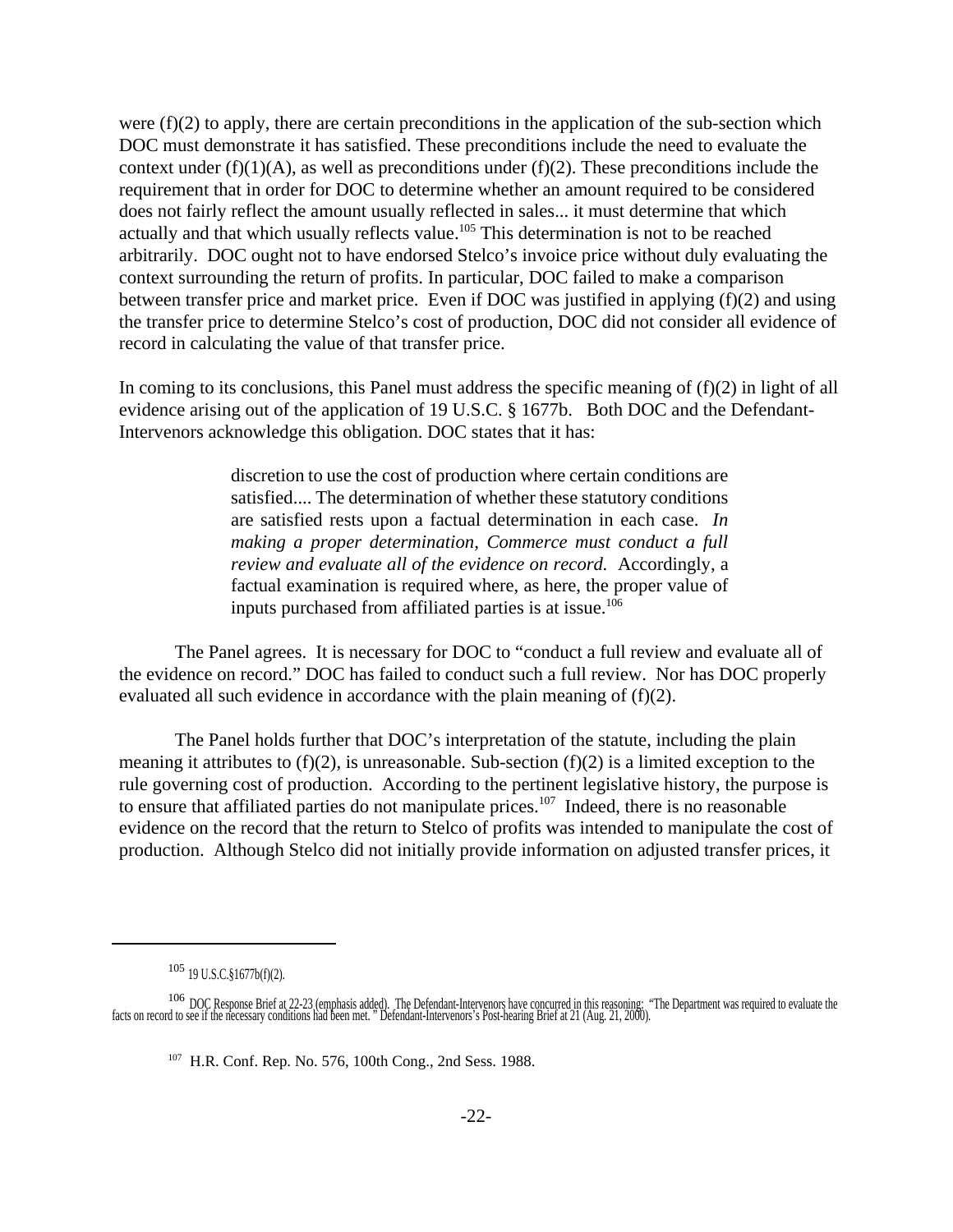were  $(f)(2)$  to apply, there are certain preconditions in the application of the sub-section which DOC must demonstrate it has satisfied. These preconditions include the need to evaluate the context under  $(f)(1)(A)$ , as well as preconditions under  $(f)(2)$ . These preconditions include the requirement that in order for DOC to determine whether an amount required to be considered does not fairly reflect the amount usually reflected in sales... it must determine that which actually and that which usually reflects value.<sup>105</sup> This determination is not to be reached arbitrarily. DOC ought not to have endorsed Stelco's invoice price without duly evaluating the context surrounding the return of profits. In particular, DOC failed to make a comparison between transfer price and market price. Even if DOC was justified in applying (f)(2) and using the transfer price to determine Stelco's cost of production, DOC did not consider all evidence of record in calculating the value of that transfer price.

In coming to its conclusions, this Panel must address the specific meaning of  $(f)(2)$  in light of all evidence arising out of the application of 19 U.S.C. § 1677b. Both DOC and the Defendant-Intervenors acknowledge this obligation. DOC states that it has:

> discretion to use the cost of production where certain conditions are satisfied.... The determination of whether these statutory conditions are satisfied rests upon a factual determination in each case. *In making a proper determination, Commerce must conduct a full review and evaluate all of the evidence on record.* Accordingly, a factual examination is required where, as here, the proper value of inputs purchased from affiliated parties is at issue.<sup>106</sup>

The Panel agrees. It is necessary for DOC to "conduct a full review and evaluate all of the evidence on record." DOC has failed to conduct such a full review. Nor has DOC properly evaluated all such evidence in accordance with the plain meaning of (f)(2).

The Panel holds further that DOC's interpretation of the statute, including the plain meaning it attributes to  $(f)(2)$ , is unreasonable. Sub-section  $(f)(2)$  is a limited exception to the rule governing cost of production. According to the pertinent legislative history, the purpose is to ensure that affiliated parties do not manipulate prices.<sup>107</sup> Indeed, there is no reasonable evidence on the record that the return to Stelco of profits was intended to manipulate the cost of production. Although Stelco did not initially provide information on adjusted transfer prices, it

<sup>105</sup> 19 U.S.C.§1677b(f)(2).

<sup>&</sup>lt;sup>106</sup> DOC Response Brief at 22-23 (emphasis added). The Defendant-Intervenors have concurred in this reasoning; "The Department was required to evaluate the facts on record to see if the necessary conditions had been met."

<sup>107</sup> H.R. Conf. Rep. No. 576, 100th Cong., 2nd Sess. 1988.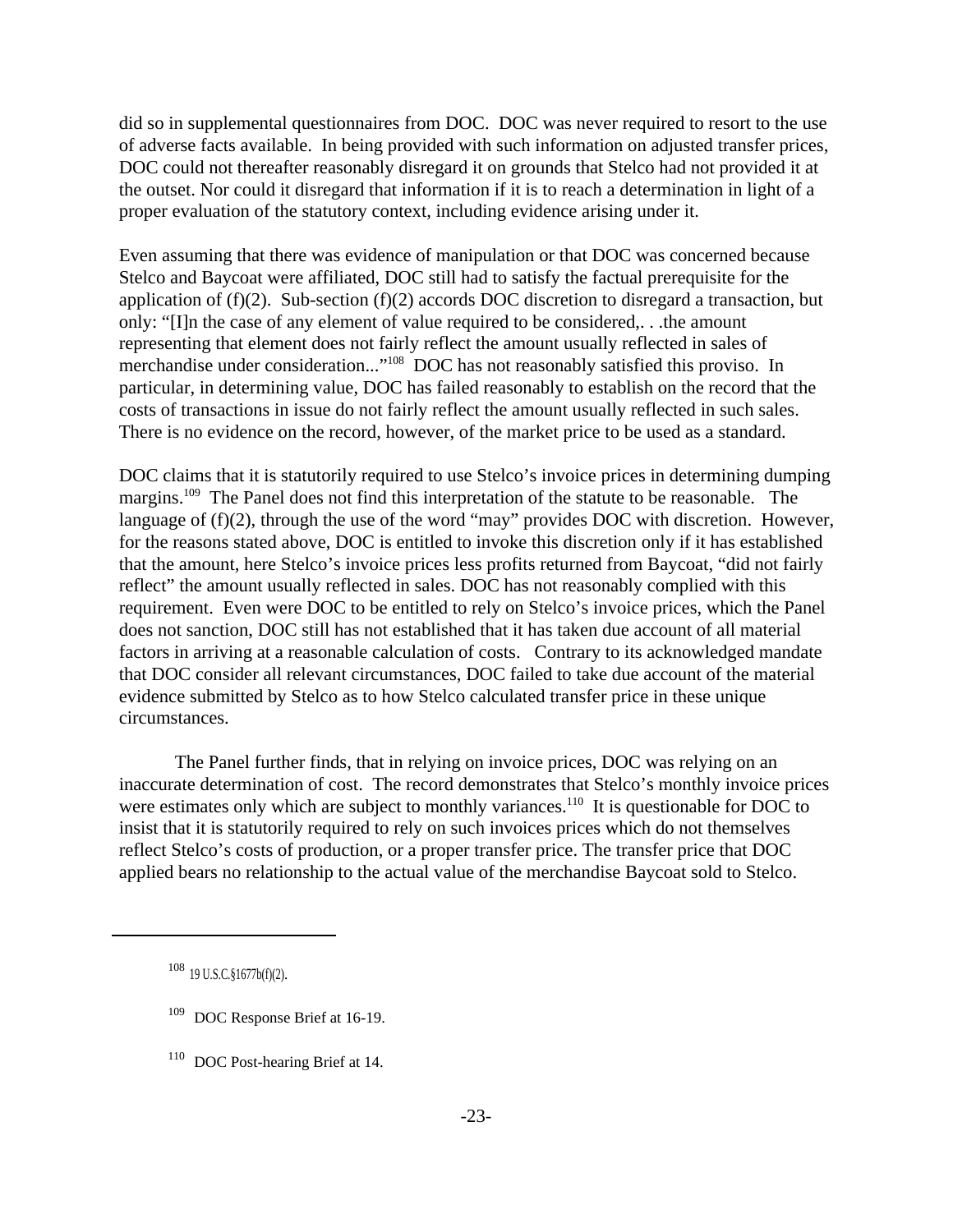did so in supplemental questionnaires from DOC. DOC was never required to resort to the use of adverse facts available. In being provided with such information on adjusted transfer prices, DOC could not thereafter reasonably disregard it on grounds that Stelco had not provided it at the outset. Nor could it disregard that information if it is to reach a determination in light of a proper evaluation of the statutory context, including evidence arising under it.

Even assuming that there was evidence of manipulation or that DOC was concerned because Stelco and Baycoat were affiliated, DOC still had to satisfy the factual prerequisite for the application of  $(f)(2)$ . Sub-section  $(f)(2)$  accords DOC discretion to disregard a transaction, but only: "[I]n the case of any element of value required to be considered,. . .the amount representing that element does not fairly reflect the amount usually reflected in sales of merchandise under consideration..."<sup>108</sup> DOC has not reasonably satisfied this proviso. In particular, in determining value, DOC has failed reasonably to establish on the record that the costs of transactions in issue do not fairly reflect the amount usually reflected in such sales. There is no evidence on the record, however, of the market price to be used as a standard.

DOC claims that it is statutorily required to use Stelco's invoice prices in determining dumping margins.<sup>109</sup> The Panel does not find this interpretation of the statute to be reasonable. The language of (f)(2), through the use of the word "may" provides DOC with discretion. However, for the reasons stated above, DOC is entitled to invoke this discretion only if it has established that the amount, here Stelco's invoice prices less profits returned from Baycoat, "did not fairly reflect" the amount usually reflected in sales. DOC has not reasonably complied with this requirement. Even were DOC to be entitled to rely on Stelco's invoice prices, which the Panel does not sanction, DOC still has not established that it has taken due account of all material factors in arriving at a reasonable calculation of costs. Contrary to its acknowledged mandate that DOC consider all relevant circumstances, DOC failed to take due account of the material evidence submitted by Stelco as to how Stelco calculated transfer price in these unique circumstances.

The Panel further finds, that in relying on invoice prices, DOC was relying on an inaccurate determination of cost. The record demonstrates that Stelco's monthly invoice prices were estimates only which are subject to monthly variances.<sup>110</sup> It is questionable for DOC to insist that it is statutorily required to rely on such invoices prices which do not themselves reflect Stelco's costs of production, or a proper transfer price. The transfer price that DOC applied bears no relationship to the actual value of the merchandise Baycoat sold to Stelco.

- <sup>109</sup> DOC Response Brief at 16-19.
- <sup>110</sup> DOC Post-hearing Brief at 14.

<sup>108</sup> 19 U.S.C.§1677b(f)(2).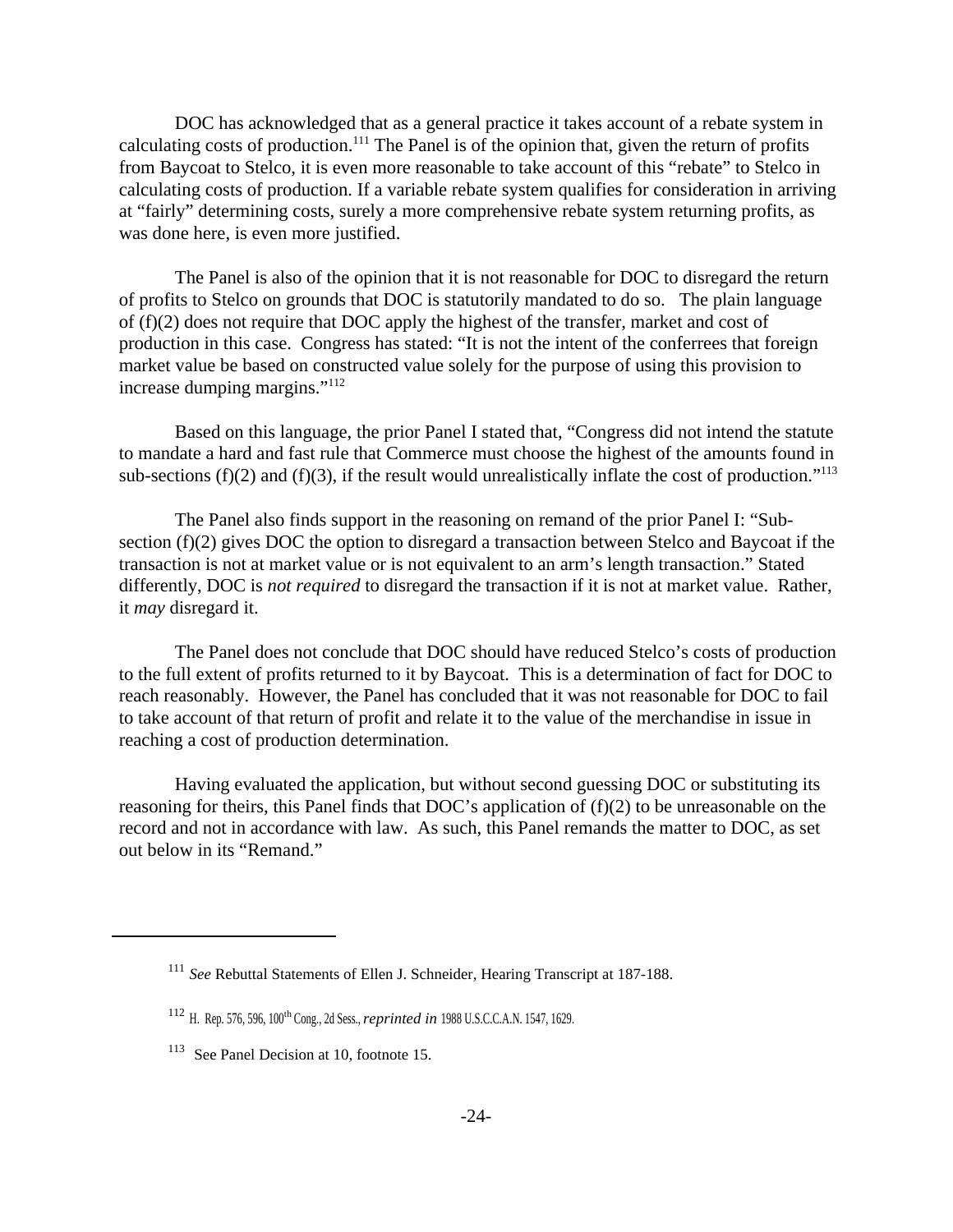DOC has acknowledged that as a general practice it takes account of a rebate system in calculating costs of production.<sup>111</sup> The Panel is of the opinion that, given the return of profits from Baycoat to Stelco, it is even more reasonable to take account of this "rebate" to Stelco in calculating costs of production. If a variable rebate system qualifies for consideration in arriving at "fairly" determining costs, surely a more comprehensive rebate system returning profits, as was done here, is even more justified.

The Panel is also of the opinion that it is not reasonable for DOC to disregard the return of profits to Stelco on grounds that DOC is statutorily mandated to do so. The plain language of (f)(2) does not require that DOC apply the highest of the transfer, market and cost of production in this case. Congress has stated: "It is not the intent of the conferrees that foreign market value be based on constructed value solely for the purpose of using this provision to increase dumping margins."<sup>112</sup>

Based on this language, the prior Panel I stated that, "Congress did not intend the statute to mandate a hard and fast rule that Commerce must choose the highest of the amounts found in sub-sections (f)(2) and (f)(3), if the result would unrealistically inflate the cost of production."<sup>113</sup>

The Panel also finds support in the reasoning on remand of the prior Panel I: "Subsection (f)(2) gives DOC the option to disregard a transaction between Stelco and Baycoat if the transaction is not at market value or is not equivalent to an arm's length transaction." Stated differently, DOC is *not required* to disregard the transaction if it is not at market value. Rather, it *may* disregard it.

The Panel does not conclude that DOC should have reduced Stelco's costs of production to the full extent of profits returned to it by Baycoat. This is a determination of fact for DOC to reach reasonably. However, the Panel has concluded that it was not reasonable for DOC to fail to take account of that return of profit and relate it to the value of the merchandise in issue in reaching a cost of production determination.

Having evaluated the application, but without second guessing DOC or substituting its reasoning for theirs, this Panel finds that DOC's application of (f)(2) to be unreasonable on the record and not in accordance with law. As such, this Panel remands the matter to DOC, as set out below in its "Remand."

<sup>111</sup> *See* Rebuttal Statements of Ellen J. Schneider, Hearing Transcript at 187-188.

<sup>112</sup> H. Rep. 576, 596, 100th Cong., 2d Sess., *reprinted in* 1988 U.S.C.C.A.N. 1547, 1629.

<sup>&</sup>lt;sup>113</sup> See Panel Decision at 10, footnote 15.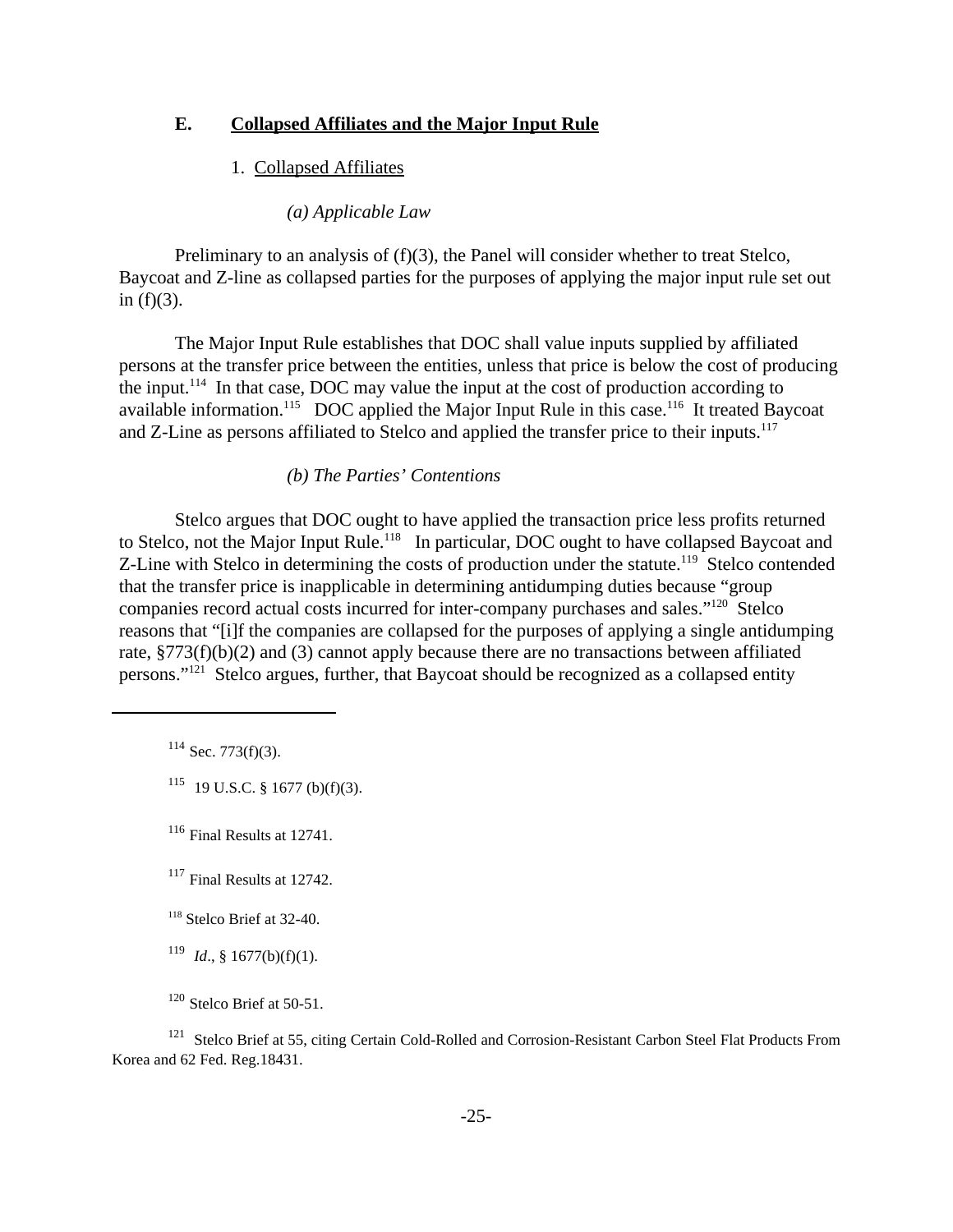# **E. Collapsed Affiliates and the Major Input Rule**

### 1. Collapsed Affiliates

### *(a) Applicable Law*

Preliminary to an analysis of (f)(3), the Panel will consider whether to treat Stelco, Baycoat and Z-line as collapsed parties for the purposes of applying the major input rule set out in  $(f)(3)$ .

The Major Input Rule establishes that DOC shall value inputs supplied by affiliated persons at the transfer price between the entities, unless that price is below the cost of producing the input.<sup>114</sup> In that case, DOC may value the input at the cost of production according to available information.<sup>115</sup> DOC applied the Major Input Rule in this case.<sup>116</sup> It treated Baycoat and Z-Line as persons affiliated to Stelco and applied the transfer price to their inputs.<sup>117</sup>

#### *(b) The Parties' Contentions*

Stelco argues that DOC ought to have applied the transaction price less profits returned to Stelco, not the Major Input Rule.<sup>118</sup> In particular, DOC ought to have collapsed Baycoat and Z-Line with Stelco in determining the costs of production under the statute.<sup>119</sup> Stelco contended that the transfer price is inapplicable in determining antidumping duties because "group companies record actual costs incurred for inter-company purchases and sales."<sup>120</sup> Stelco reasons that "[i]f the companies are collapsed for the purposes of applying a single antidumping rate, §773(f)(b)(2) and (3) cannot apply because there are no transactions between affiliated persons."121 Stelco argues, further, that Baycoat should be recognized as a collapsed entity

 $114$  Sec. 773(f)(3).

 $115$  19 U.S.C. § 1677 (b)(f)(3).

<sup>116</sup> Final Results at 12741.

<sup>117</sup> Final Results at 12742.

 $118$  Stelco Brief at 32-40.

 $119$  *Id.*, § 1677(b)(f)(1).

 $120$  Stelco Brief at 50-51.

<sup>121</sup> Stelco Brief at 55, citing Certain Cold-Rolled and Corrosion-Resistant Carbon Steel Flat Products From Korea and 62 Fed. Reg.18431.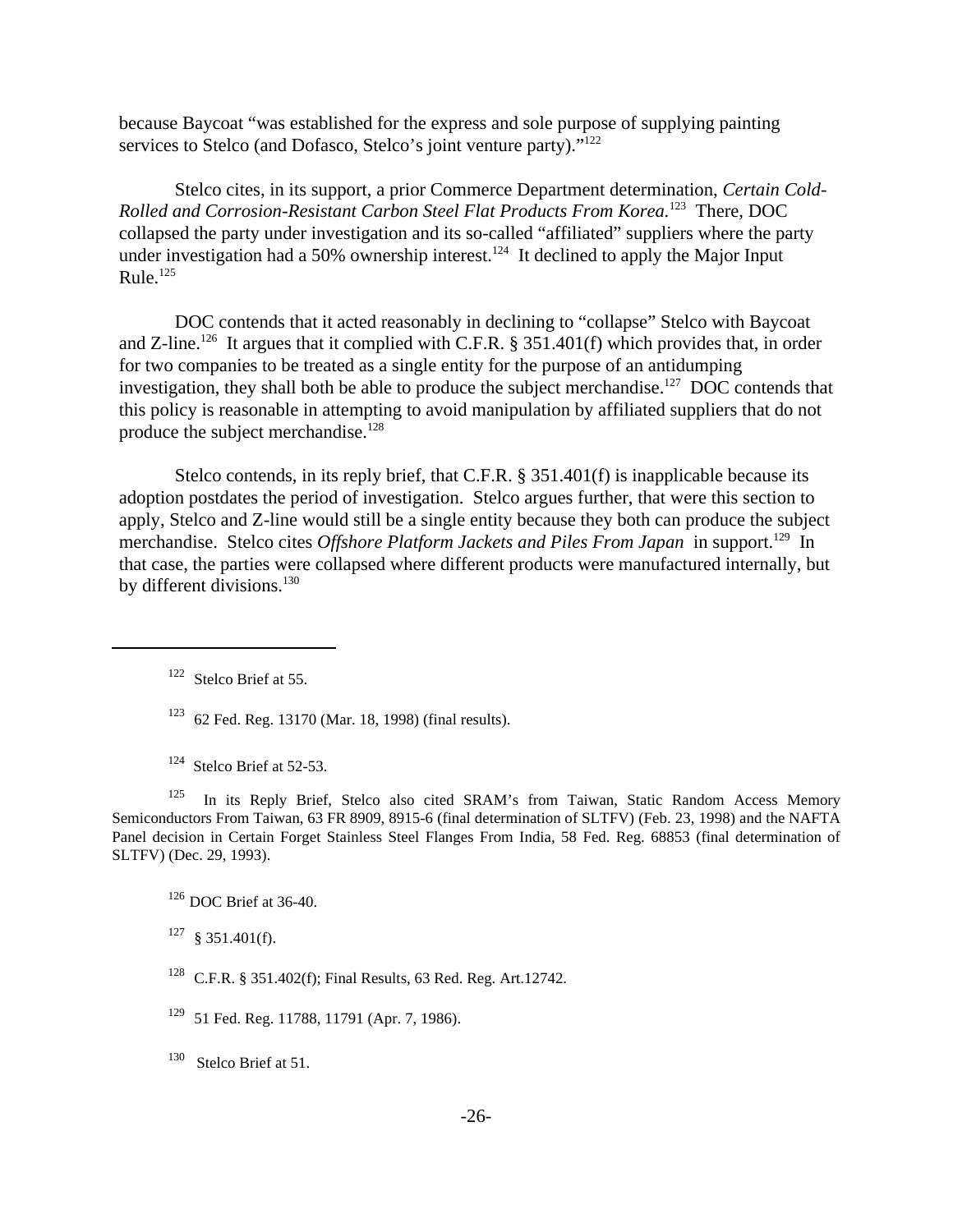because Baycoat "was established for the express and sole purpose of supplying painting services to Stelco (and Dofasco, Stelco's joint venture party)."<sup>122</sup>

Stelco cites, in its support, a prior Commerce Department determination, *Certain Cold-Rolled and Corrosion-Resistant Carbon Steel Flat Products From Korea.*<sup>123</sup> There, DOC collapsed the party under investigation and its so-called "affiliated" suppliers where the party under investigation had a 50% ownership interest.<sup>124</sup> It declined to apply the Major Input Rule. $^{125}$ 

DOC contends that it acted reasonably in declining to "collapse" Stelco with Baycoat and Z-line.<sup>126</sup> It argues that it complied with C.F.R. § 351.401(f) which provides that, in order for two companies to be treated as a single entity for the purpose of an antidumping investigation, they shall both be able to produce the subject merchandise.<sup>127</sup> DOC contends that this policy is reasonable in attempting to avoid manipulation by affiliated suppliers that do not produce the subject merchandise.<sup>128</sup>

Stelco contends, in its reply brief, that C.F.R. § 351.401(f) is inapplicable because its adoption postdates the period of investigation. Stelco argues further, that were this section to apply, Stelco and Z-line would still be a single entity because they both can produce the subject merchandise. Stelco cites *Offshore Platform Jackets and Piles From Japan* in support.<sup>129</sup> In that case, the parties were collapsed where different products were manufactured internally, but by different divisions.<sup>130</sup>

<sup>124</sup> Stelco Brief at 52-53.

<sup>125</sup> In its Reply Brief, Stelco also cited SRAM's from Taiwan, Static Random Access Memory Semiconductors From Taiwan, 63 FR 8909, 8915-6 (final determination of SLTFV) (Feb. 23, 1998) and the NAFTA Panel decision in Certain Forget Stainless Steel Flanges From India*,* 58 Fed. Reg. 68853 (final determination of SLTFV) (Dec. 29, 1993).

 $126$  DOC Brief at 36-40.

 $127 \text{ }$  § 351.401(f).

- <sup>128</sup> C.F.R. § 351.402(f); Final Results, 63 Red. Reg. Art.12742.
- 129 51 Fed. Reg. 11788, 11791 (Apr. 7, 1986).

<sup>130</sup> Stelco Brief at 51.

<sup>&</sup>lt;sup>122</sup> Stelco Brief at 55.

<sup>123</sup> 62 Fed. Reg. 13170 (Mar. 18, 1998) (final results).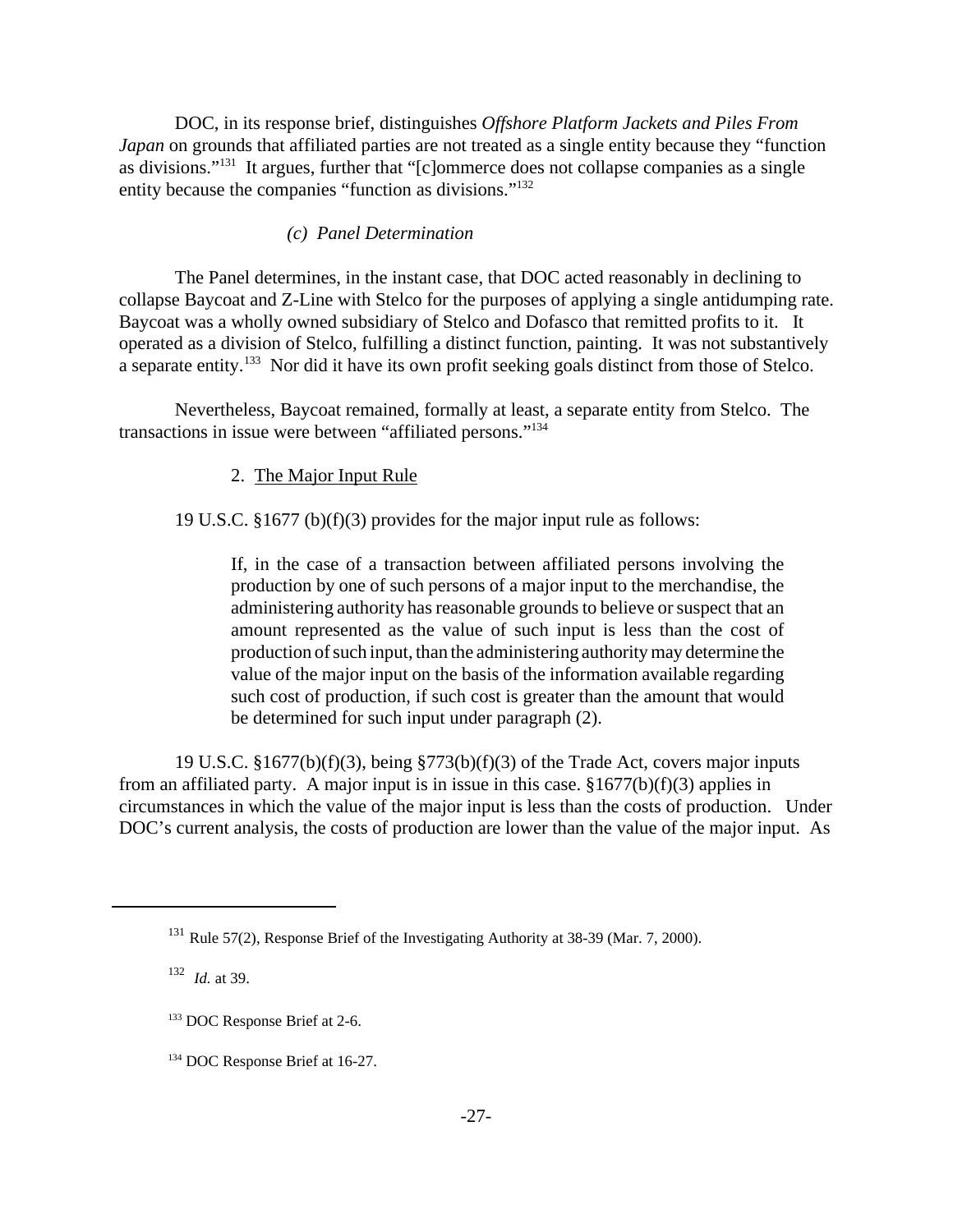DOC, in its response brief, distinguishes *Offshore Platform Jackets and Piles From Japan* on grounds that affiliated parties are not treated as a single entity because they "function as divisions."<sup>131</sup> It argues, further that "[c]ommerce does not collapse companies as a single entity because the companies "function as divisions."<sup>132</sup>

### *(c) Panel Determination*

The Panel determines, in the instant case, that DOC acted reasonably in declining to collapse Baycoat and Z-Line with Stelco for the purposes of applying a single antidumping rate. Baycoat was a wholly owned subsidiary of Stelco and Dofasco that remitted profits to it. It operated as a division of Stelco, fulfilling a distinct function, painting. It was not substantively a separate entity.<sup>133</sup> Nor did it have its own profit seeking goals distinct from those of Stelco.

Nevertheless, Baycoat remained, formally at least, a separate entity from Stelco. The transactions in issue were between "affiliated persons."<sup>134</sup>

2. The Major Input Rule

19 U.S.C. §1677 (b)(f)(3) provides for the major input rule as follows:

If, in the case of a transaction between affiliated persons involving the production by one of such persons of a major input to the merchandise, the administering authority has reasonable grounds to believe or suspect that an amount represented as the value of such input is less than the cost of production of such input, than the administering authority may determine the value of the major input on the basis of the information available regarding such cost of production, if such cost is greater than the amount that would be determined for such input under paragraph (2).

19 U.S.C. §1677(b)(f)(3), being §773(b)(f)(3) of the Trade Act, covers major inputs from an affiliated party. A major input is in issue in this case. §1677(b)(f)(3) applies in circumstances in which the value of the major input is less than the costs of production. Under DOC's current analysis, the costs of production are lower than the value of the major input. As

<sup>&</sup>lt;sup>131</sup> Rule 57(2), Response Brief of the Investigating Authority at 38-39 (Mar. 7, 2000).

<sup>&</sup>lt;sup>132</sup> *Id.* at 39.

<sup>133</sup> DOC Response Brief at 2-6.

<sup>134</sup> DOC Response Brief at 16-27.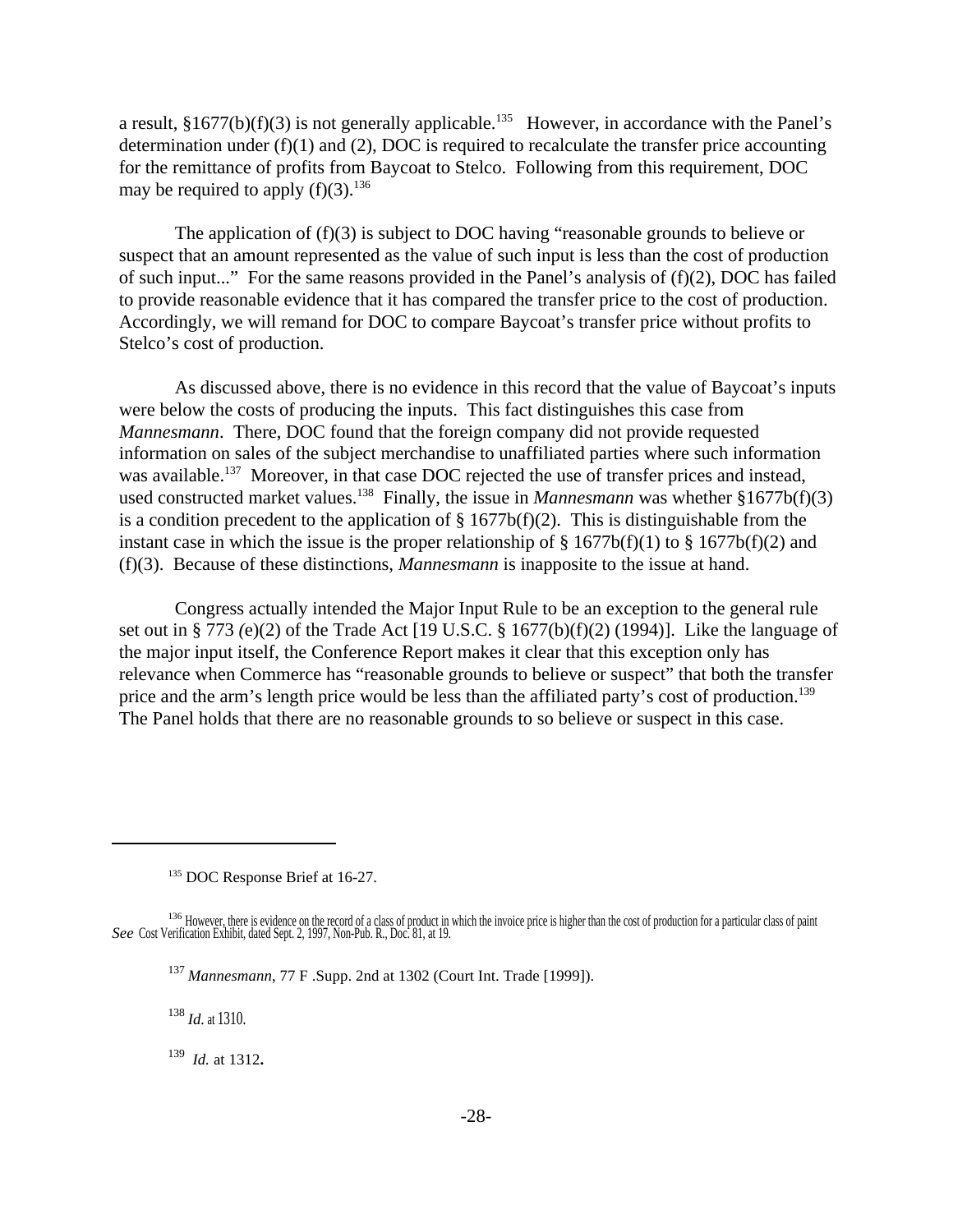a result,  $§1677(b)(f)(3)$  is not generally applicable.<sup>135</sup> However, in accordance with the Panel's determination under  $(f)(1)$  and  $(2)$ , DOC is required to recalculate the transfer price accounting for the remittance of profits from Baycoat to Stelco. Following from this requirement, DOC may be required to apply  $(f)(3)$ .<sup>136</sup>

The application of (f)(3) is subject to DOC having "reasonable grounds to believe or suspect that an amount represented as the value of such input is less than the cost of production of such input..." For the same reasons provided in the Panel's analysis of (f)(2), DOC has failed to provide reasonable evidence that it has compared the transfer price to the cost of production. Accordingly, we will remand for DOC to compare Baycoat's transfer price without profits to Stelco's cost of production.

As discussed above, there is no evidence in this record that the value of Baycoat's inputs were below the costs of producing the inputs. This fact distinguishes this case from *Mannesmann*. There, DOC found that the foreign company did not provide requested information on sales of the subject merchandise to unaffiliated parties where such information was available.<sup>137</sup> Moreover, in that case DOC rejected the use of transfer prices and instead, used constructed market values.<sup>138</sup> Finally, the issue in *Mannesmann* was whether §1677b(f)(3) is a condition precedent to the application of  $\S 1677b(f)(2)$ . This is distinguishable from the instant case in which the issue is the proper relationship of  $\S$  1677b(f)(1) to  $\S$  1677b(f)(2) and (f)(3). Because of these distinctions, *Mannesmann* is inapposite to the issue at hand.

Congress actually intended the Major Input Rule to be an exception to the general rule set out in § 773 *(*e)(2) of the Trade Act [19 U.S.C. § 1677(b)(f)(2) (1994)]. Like the language of the major input itself, the Conference Report makes it clear that this exception only has relevance when Commerce has "reasonable grounds to believe or suspect" that both the transfer price and the arm's length price would be less than the affiliated party's cost of production.<sup>139</sup> The Panel holds that there are no reasonable grounds to so believe or suspect in this case.

<sup>138</sup> *Id.* at 1310.

139 *Id.* at 1312**.**

<sup>135</sup> DOC Response Brief at 16-27.

<sup>&</sup>lt;sup>136</sup> However, there is evidence on the record of a class of product in which the invoice price is higher than the cost of production for a particular class of paint *See* Cost Verification Exhibit, dated Sept. 2, 1997, Non-Pub. R., Doc. 81, at 19.

<sup>137</sup> *Mannesmann*, 77 F .Supp. 2nd at 1302 (Court Int. Trade [1999]).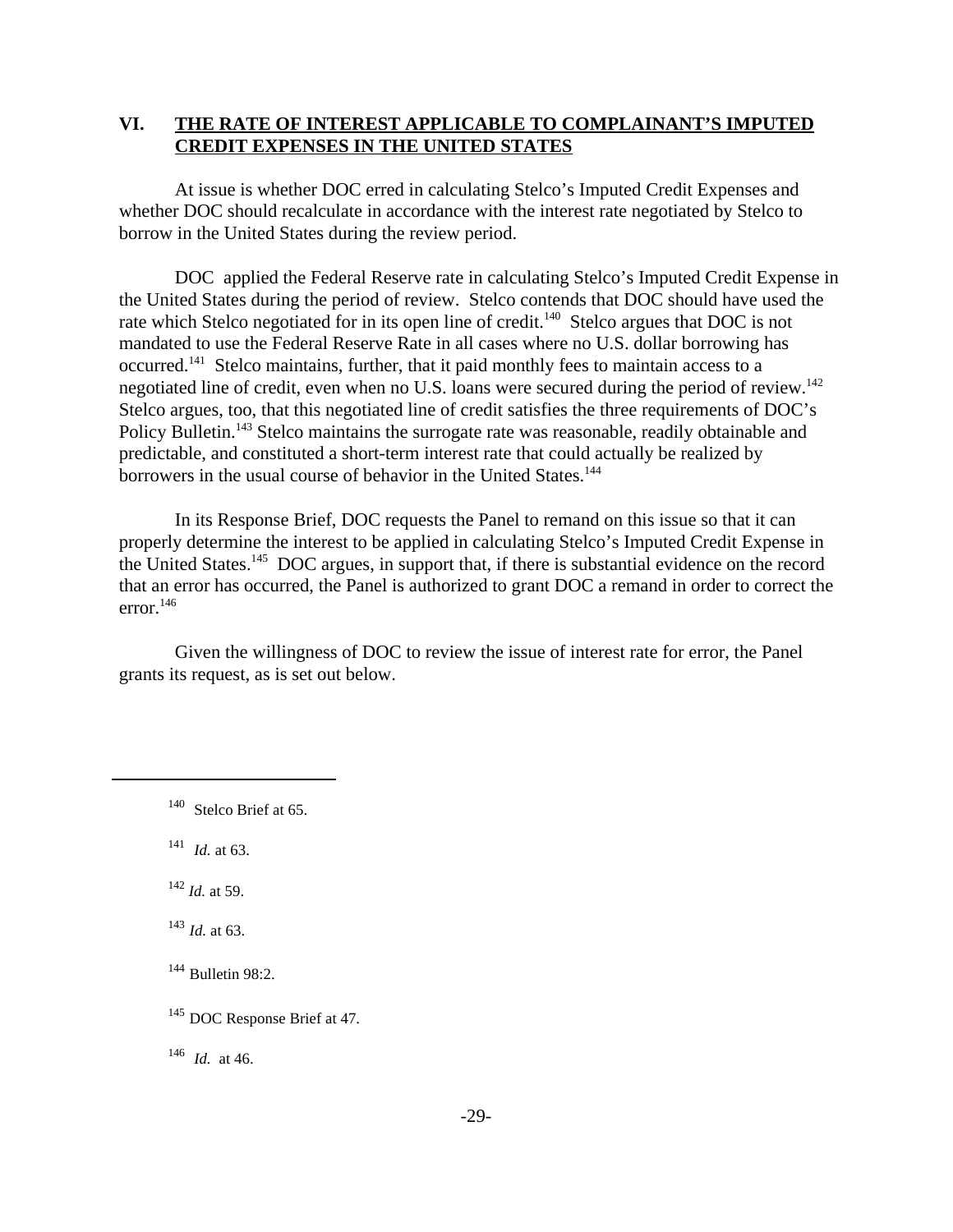# **VI. THE RATE OF INTEREST APPLICABLE TO COMPLAINANT'S IMPUTED CREDIT EXPENSES IN THE UNITED STATES**

At issue is whether DOC erred in calculating Stelco's Imputed Credit Expenses and whether DOC should recalculate in accordance with the interest rate negotiated by Stelco to borrow in the United States during the review period.

DOC applied the Federal Reserve rate in calculating Stelco's Imputed Credit Expense in the United States during the period of review. Stelco contends that DOC should have used the rate which Stelco negotiated for in its open line of credit.<sup>140</sup> Stelco argues that DOC is not mandated to use the Federal Reserve Rate in all cases where no U.S. dollar borrowing has occurred.<sup>141</sup> Stelco maintains, further, that it paid monthly fees to maintain access to a negotiated line of credit, even when no U.S. loans were secured during the period of review.<sup>142</sup> Stelco argues, too, that this negotiated line of credit satisfies the three requirements of DOC's Policy Bulletin.<sup>143</sup> Stelco maintains the surrogate rate was reasonable, readily obtainable and predictable, and constituted a short-term interest rate that could actually be realized by borrowers in the usual course of behavior in the United States.<sup>144</sup>

In its Response Brief, DOC requests the Panel to remand on this issue so that it can properly determine the interest to be applied in calculating Stelco's Imputed Credit Expense in the United States.<sup>145</sup> DOC argues, in support that, if there is substantial evidence on the record that an error has occurred, the Panel is authorized to grant DOC a remand in order to correct the error.<sup>146</sup>

Given the willingness of DOC to review the issue of interest rate for error, the Panel grants its request, as is set out below.

 $141$  *Id.* at 63.

 $^{142}$  *Id.* at 59.

<sup>143</sup> *Id.* at 63.

 $144$  Bulletin 98:2.

 $^{146}$  *Id.* at 46.

<sup>&</sup>lt;sup>140</sup> Stelco Brief at 65.

<sup>&</sup>lt;sup>145</sup> DOC Response Brief at 47.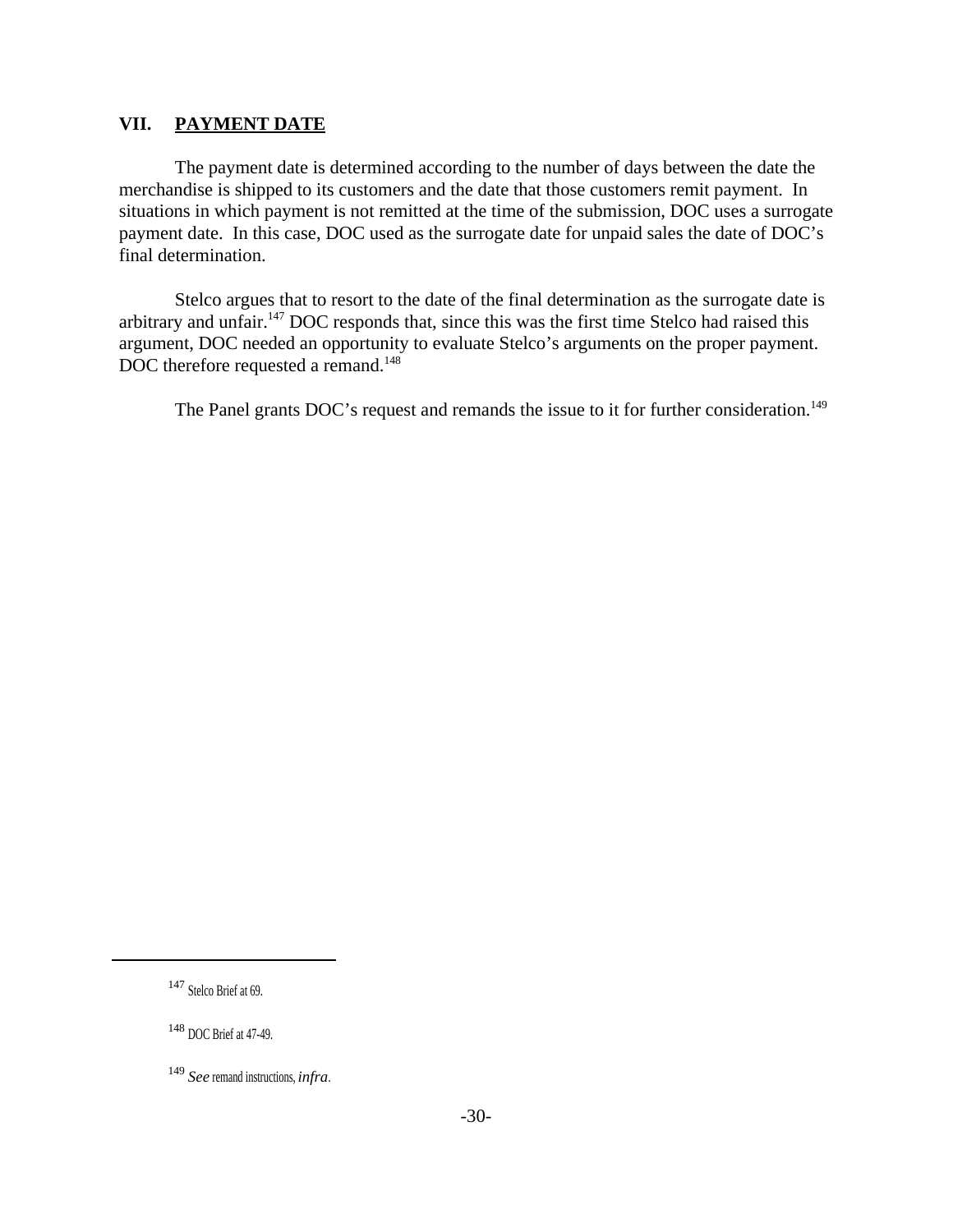### **VII. PAYMENT DATE**

The payment date is determined according to the number of days between the date the merchandise is shipped to its customers and the date that those customers remit payment. In situations in which payment is not remitted at the time of the submission, DOC uses a surrogate payment date. In this case, DOC used as the surrogate date for unpaid sales the date of DOC's final determination.

Stelco argues that to resort to the date of the final determination as the surrogate date is arbitrary and unfair.<sup>147</sup> DOC responds that, since this was the first time Stelco had raised this argument, DOC needed an opportunity to evaluate Stelco's arguments on the proper payment. DOC therefore requested a remand.<sup>148</sup>

The Panel grants DOC's request and remands the issue to it for further consideration.<sup>149</sup>

<sup>148</sup> DOC Brief at 47-49.

<sup>147</sup> Stelco Brief at 69.

<sup>149</sup> *See* remand instructions, *infra*.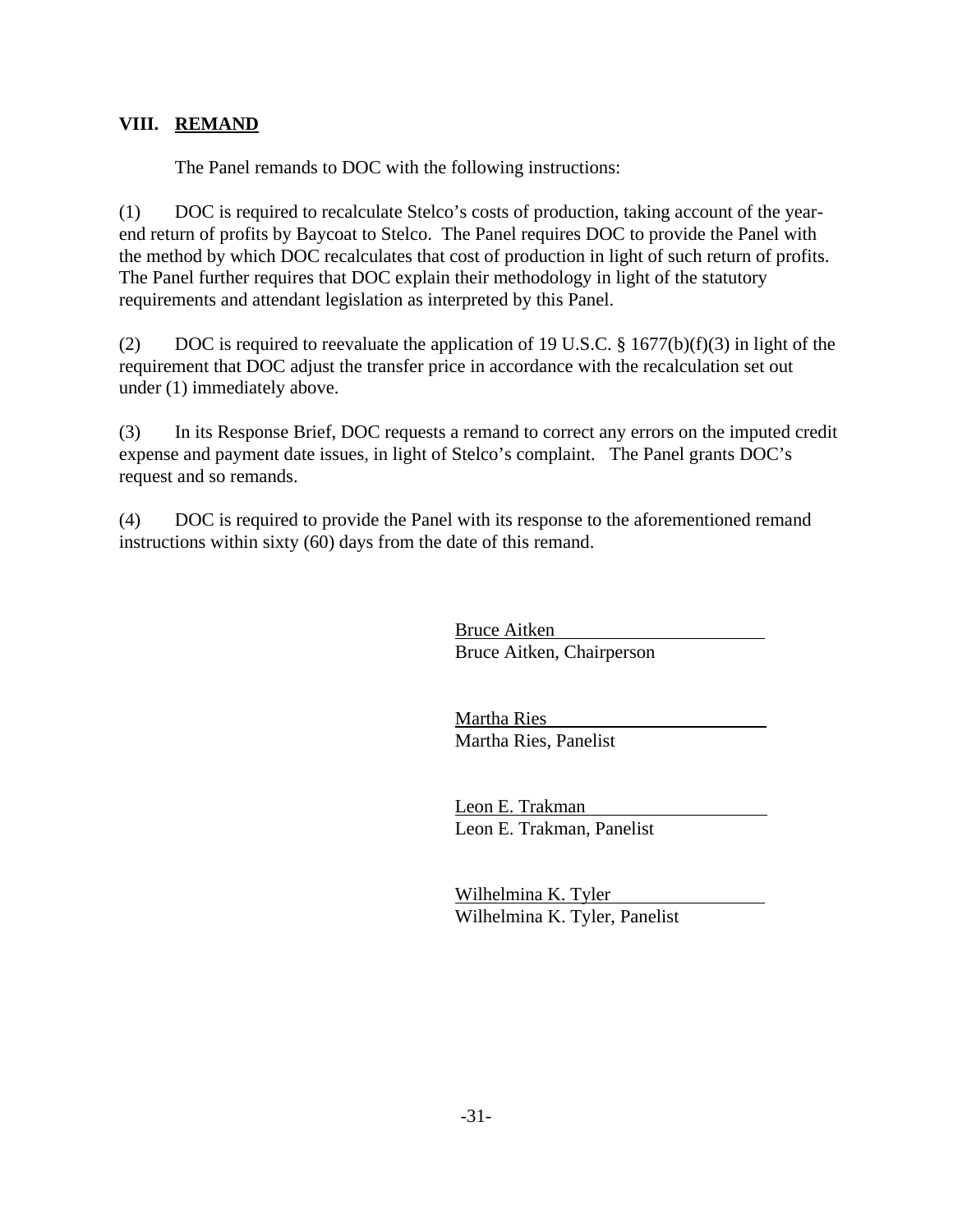# **VIII. REMAND**

The Panel remands to DOC with the following instructions:

(1) DOC is required to recalculate Stelco's costs of production, taking account of the yearend return of profits by Baycoat to Stelco. The Panel requires DOC to provide the Panel with the method by which DOC recalculates that cost of production in light of such return of profits. The Panel further requires that DOC explain their methodology in light of the statutory requirements and attendant legislation as interpreted by this Panel.

(2) DOC is required to reevaluate the application of 19 U.S.C.  $\S$  1677(b)(f)(3) in light of the requirement that DOC adjust the transfer price in accordance with the recalculation set out under (1) immediately above.

(3) In its Response Brief, DOC requests a remand to correct any errors on the imputed credit expense and payment date issues, in light of Stelco's complaint. The Panel grants DOC's request and so remands.

(4) DOC is required to provide the Panel with its response to the aforementioned remand instructions within sixty (60) days from the date of this remand.

> Bruce Aitken Bruce Aitken, Chairperson

Martha Ries Martha Ries, Panelist

Leon E. Trakman Leon E. Trakman, Panelist

Wilhelmina K. Tyler Wilhelmina K. Tyler, Panelist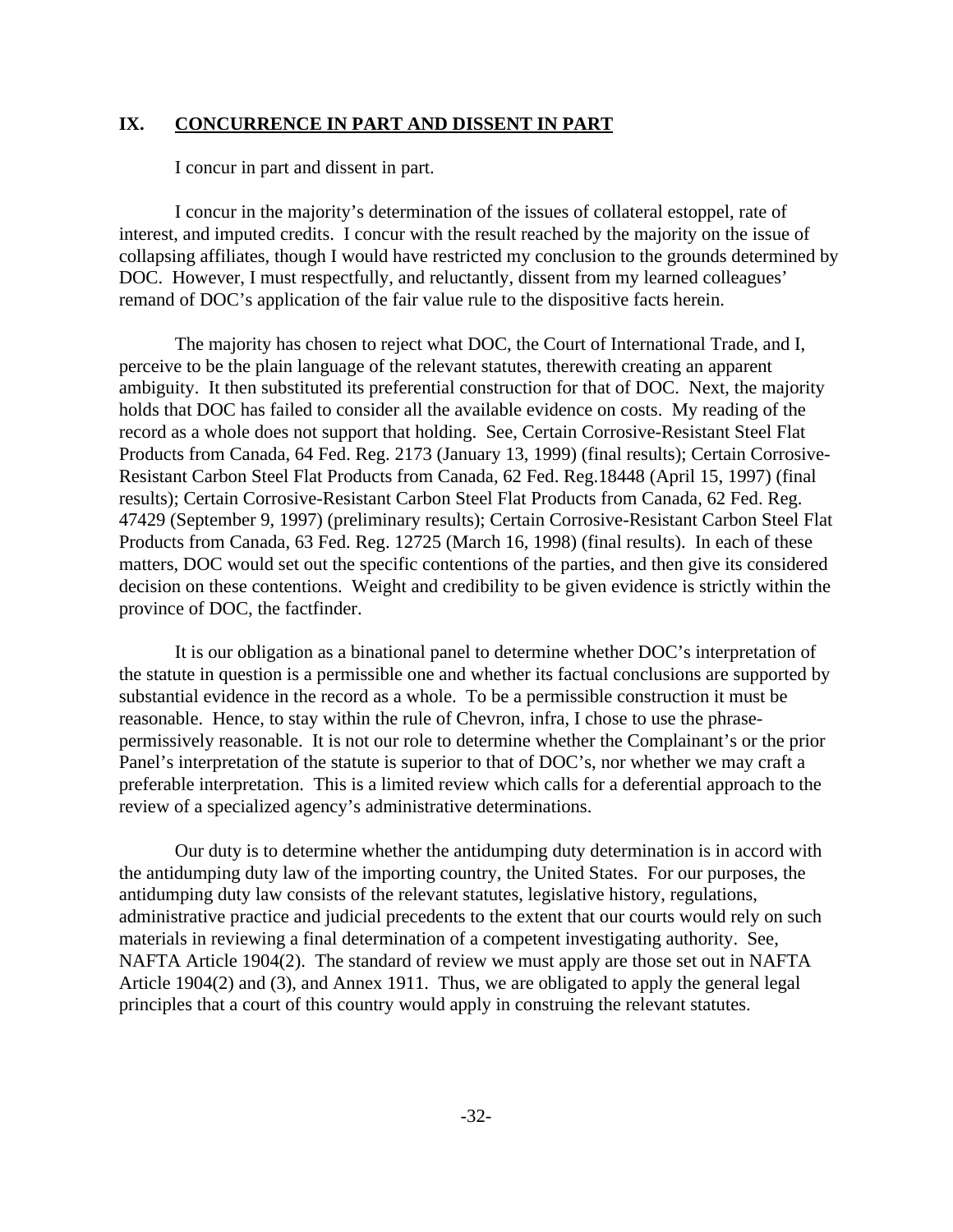### **IX. CONCURRENCE IN PART AND DISSENT IN PART**

I concur in part and dissent in part.

I concur in the majority's determination of the issues of collateral estoppel, rate of interest, and imputed credits. I concur with the result reached by the majority on the issue of collapsing affiliates, though I would have restricted my conclusion to the grounds determined by DOC. However, I must respectfully, and reluctantly, dissent from my learned colleagues' remand of DOC's application of the fair value rule to the dispositive facts herein.

The majority has chosen to reject what DOC, the Court of International Trade, and I, perceive to be the plain language of the relevant statutes, therewith creating an apparent ambiguity. It then substituted its preferential construction for that of DOC. Next, the majority holds that DOC has failed to consider all the available evidence on costs. My reading of the record as a whole does not support that holding. See, Certain Corrosive-Resistant Steel Flat Products from Canada, 64 Fed. Reg. 2173 (January 13, 1999) (final results); Certain Corrosive-Resistant Carbon Steel Flat Products from Canada, 62 Fed. Reg.18448 (April 15, 1997) (final results); Certain Corrosive-Resistant Carbon Steel Flat Products from Canada, 62 Fed. Reg. 47429 (September 9, 1997) (preliminary results); Certain Corrosive-Resistant Carbon Steel Flat Products from Canada, 63 Fed. Reg. 12725 (March 16, 1998) (final results). In each of these matters, DOC would set out the specific contentions of the parties, and then give its considered decision on these contentions. Weight and credibility to be given evidence is strictly within the province of DOC, the factfinder.

It is our obligation as a binational panel to determine whether DOC's interpretation of the statute in question is a permissible one and whether its factual conclusions are supported by substantial evidence in the record as a whole. To be a permissible construction it must be reasonable. Hence, to stay within the rule of Chevron, infra, I chose to use the phrasepermissively reasonable. It is not our role to determine whether the Complainant's or the prior Panel's interpretation of the statute is superior to that of DOC's, nor whether we may craft a preferable interpretation. This is a limited review which calls for a deferential approach to the review of a specialized agency's administrative determinations.

Our duty is to determine whether the antidumping duty determination is in accord with the antidumping duty law of the importing country, the United States. For our purposes, the antidumping duty law consists of the relevant statutes, legislative history, regulations, administrative practice and judicial precedents to the extent that our courts would rely on such materials in reviewing a final determination of a competent investigating authority. See, NAFTA Article 1904(2). The standard of review we must apply are those set out in NAFTA Article 1904(2) and (3), and Annex 1911. Thus, we are obligated to apply the general legal principles that a court of this country would apply in construing the relevant statutes.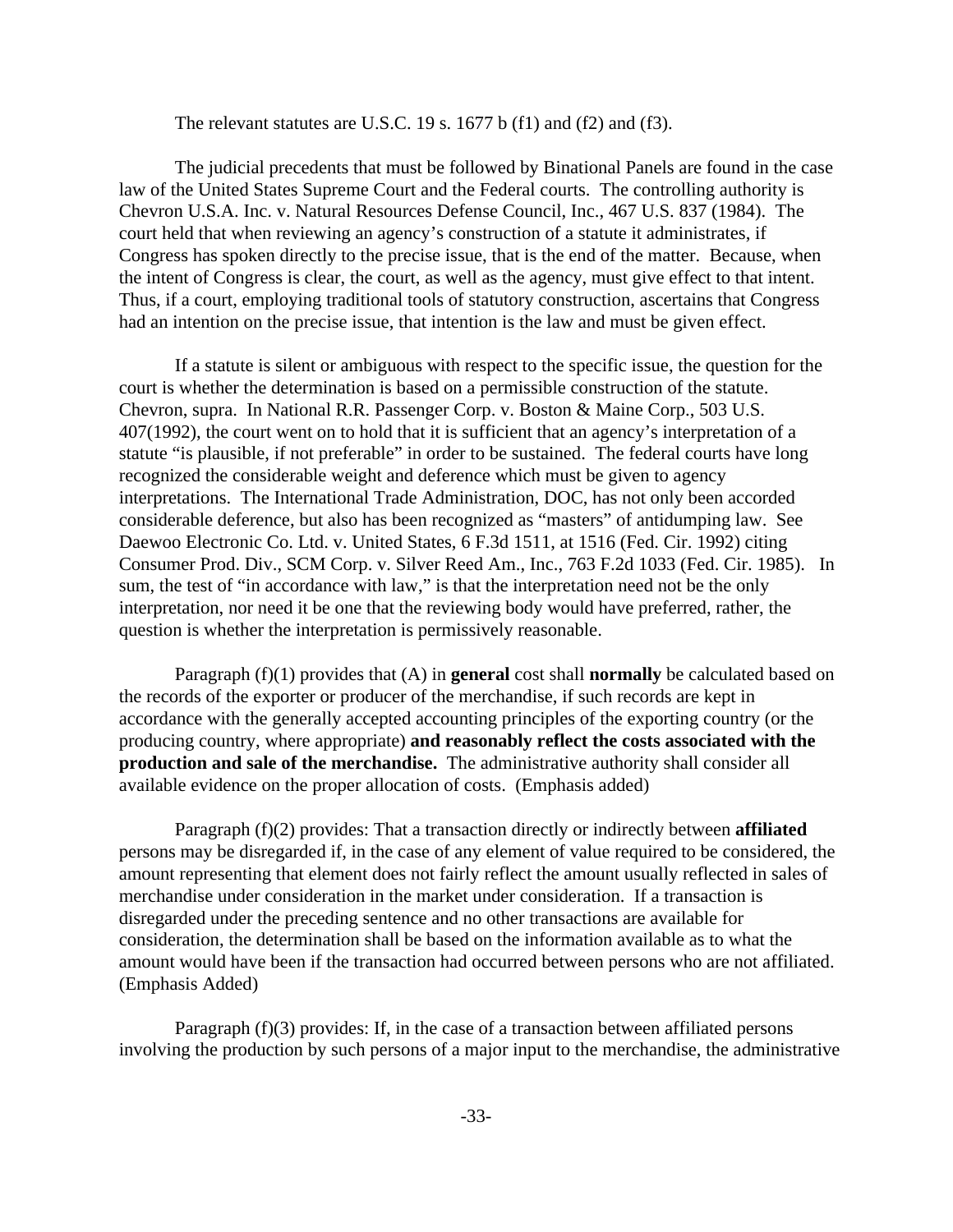The relevant statutes are U.S.C. 19 s. 1677 b (f1) and (f2) and (f3).

The judicial precedents that must be followed by Binational Panels are found in the case law of the United States Supreme Court and the Federal courts. The controlling authority is Chevron U.S.A. Inc. v. Natural Resources Defense Council, Inc., 467 U.S. 837 (1984). The court held that when reviewing an agency's construction of a statute it administrates, if Congress has spoken directly to the precise issue, that is the end of the matter. Because, when the intent of Congress is clear, the court, as well as the agency, must give effect to that intent. Thus, if a court, employing traditional tools of statutory construction, ascertains that Congress had an intention on the precise issue, that intention is the law and must be given effect.

If a statute is silent or ambiguous with respect to the specific issue, the question for the court is whether the determination is based on a permissible construction of the statute. Chevron, supra. In National R.R. Passenger Corp. v. Boston & Maine Corp., 503 U.S. 407(1992), the court went on to hold that it is sufficient that an agency's interpretation of a statute "is plausible, if not preferable" in order to be sustained. The federal courts have long recognized the considerable weight and deference which must be given to agency interpretations. The International Trade Administration, DOC, has not only been accorded considerable deference, but also has been recognized as "masters" of antidumping law. See Daewoo Electronic Co. Ltd. v. United States, 6 F.3d 1511, at 1516 (Fed. Cir. 1992) citing Consumer Prod. Div., SCM Corp. v. Silver Reed Am., Inc., 763 F.2d 1033 (Fed. Cir. 1985). In sum, the test of "in accordance with law," is that the interpretation need not be the only interpretation, nor need it be one that the reviewing body would have preferred, rather, the question is whether the interpretation is permissively reasonable.

Paragraph (f)(1) provides that (A) in **general** cost shall **normally** be calculated based on the records of the exporter or producer of the merchandise, if such records are kept in accordance with the generally accepted accounting principles of the exporting country (or the producing country, where appropriate) **and reasonably reflect the costs associated with the production and sale of the merchandise.** The administrative authority shall consider all available evidence on the proper allocation of costs. (Emphasis added)

Paragraph (f)(2) provides: That a transaction directly or indirectly between **affiliated** persons may be disregarded if, in the case of any element of value required to be considered, the amount representing that element does not fairly reflect the amount usually reflected in sales of merchandise under consideration in the market under consideration. If a transaction is disregarded under the preceding sentence and no other transactions are available for consideration, the determination shall be based on the information available as to what the amount would have been if the transaction had occurred between persons who are not affiliated. (Emphasis Added)

Paragraph (f)(3) provides: If, in the case of a transaction between affiliated persons involving the production by such persons of a major input to the merchandise, the administrative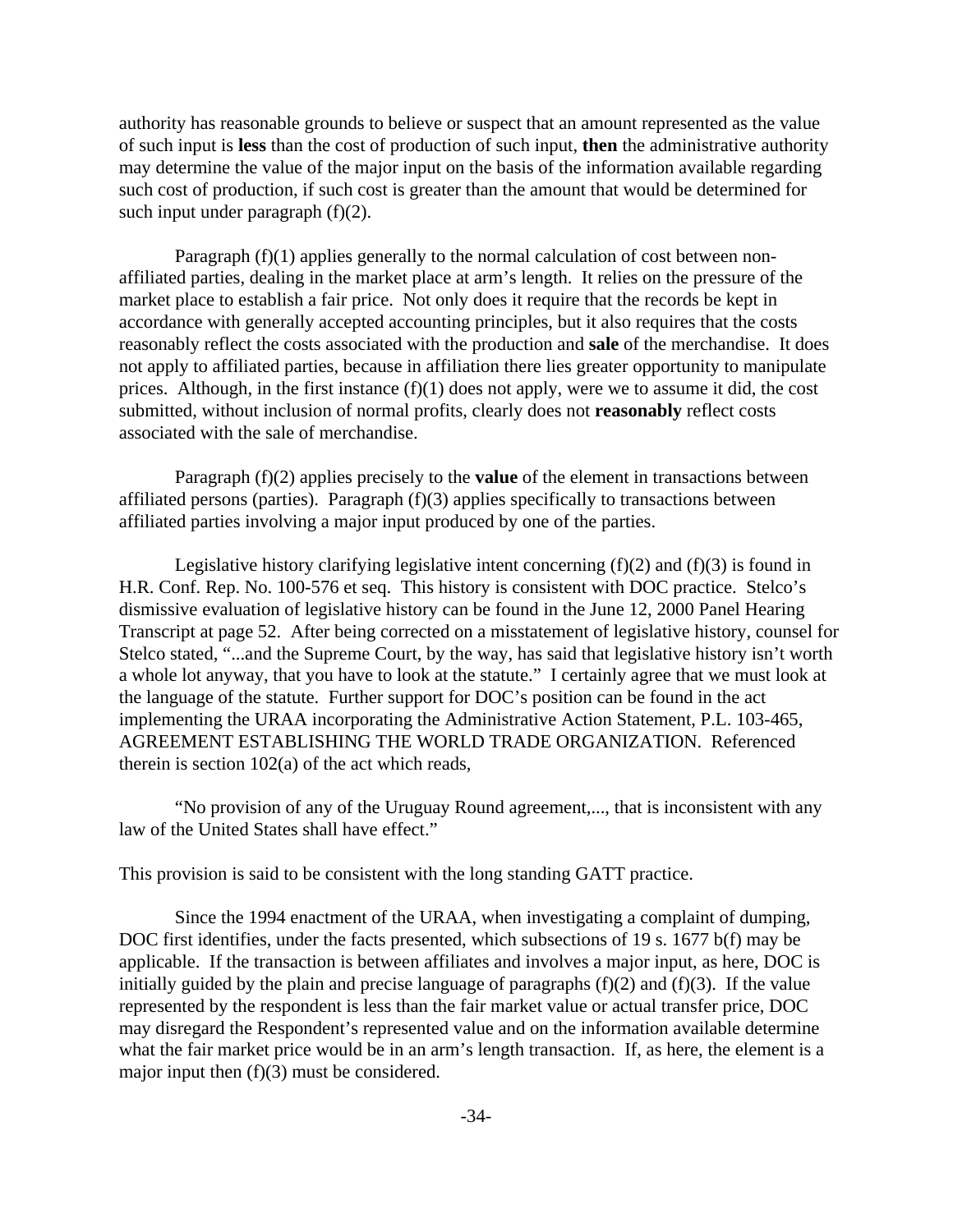authority has reasonable grounds to believe or suspect that an amount represented as the value of such input is **less** than the cost of production of such input, **then** the administrative authority may determine the value of the major input on the basis of the information available regarding such cost of production, if such cost is greater than the amount that would be determined for such input under paragraph (f)(2).

Paragraph (f)(1) applies generally to the normal calculation of cost between nonaffiliated parties, dealing in the market place at arm's length. It relies on the pressure of the market place to establish a fair price. Not only does it require that the records be kept in accordance with generally accepted accounting principles, but it also requires that the costs reasonably reflect the costs associated with the production and **sale** of the merchandise. It does not apply to affiliated parties, because in affiliation there lies greater opportunity to manipulate prices. Although, in the first instance (f)(1) does not apply, were we to assume it did, the cost submitted, without inclusion of normal profits, clearly does not **reasonably** reflect costs associated with the sale of merchandise.

Paragraph (f)(2) applies precisely to the **value** of the element in transactions between affiliated persons (parties). Paragraph (f)(3) applies specifically to transactions between affiliated parties involving a major input produced by one of the parties.

Legislative history clarifying legislative intent concerning  $(f)(2)$  and  $(f)(3)$  is found in H.R. Conf. Rep. No. 100-576 et seq. This history is consistent with DOC practice. Stelco's dismissive evaluation of legislative history can be found in the June 12, 2000 Panel Hearing Transcript at page 52. After being corrected on a misstatement of legislative history, counsel for Stelco stated, "...and the Supreme Court, by the way, has said that legislative history isn't worth a whole lot anyway, that you have to look at the statute." I certainly agree that we must look at the language of the statute. Further support for DOC's position can be found in the act implementing the URAA incorporating the Administrative Action Statement, P.L. 103-465, AGREEMENT ESTABLISHING THE WORLD TRADE ORGANIZATION. Referenced therein is section 102(a) of the act which reads,

"No provision of any of the Uruguay Round agreement,..., that is inconsistent with any law of the United States shall have effect."

This provision is said to be consistent with the long standing GATT practice.

Since the 1994 enactment of the URAA, when investigating a complaint of dumping, DOC first identifies, under the facts presented, which subsections of 19 s. 1677 b(f) may be applicable. If the transaction is between affiliates and involves a major input, as here, DOC is initially guided by the plain and precise language of paragraphs  $(f)(2)$  and  $(f)(3)$ . If the value represented by the respondent is less than the fair market value or actual transfer price, DOC may disregard the Respondent's represented value and on the information available determine what the fair market price would be in an arm's length transaction. If, as here, the element is a major input then (f)(3) must be considered.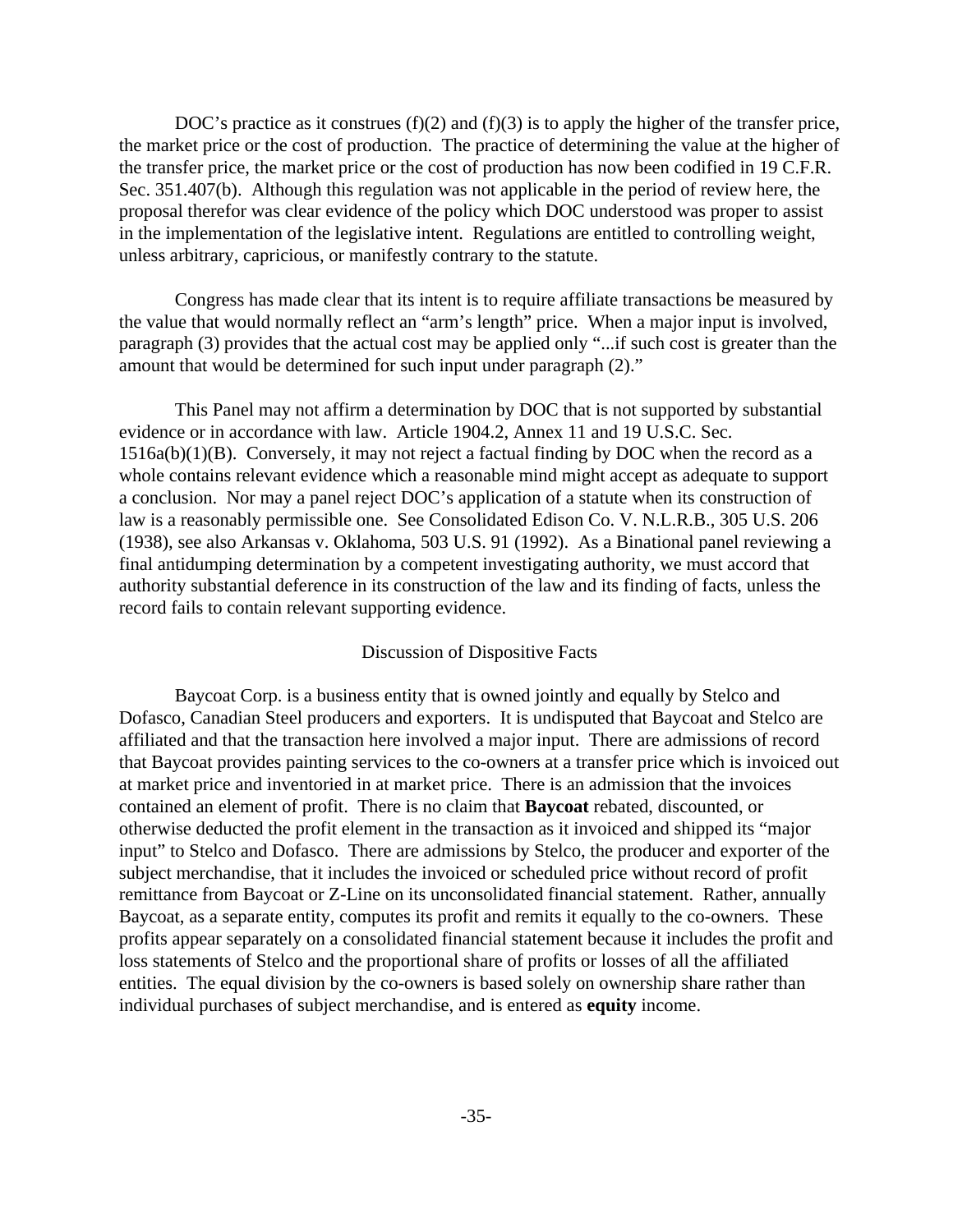DOC's practice as it construes  $(f)(2)$  and  $(f)(3)$  is to apply the higher of the transfer price, the market price or the cost of production. The practice of determining the value at the higher of the transfer price, the market price or the cost of production has now been codified in 19 C.F.R. Sec. 351.407(b). Although this regulation was not applicable in the period of review here, the proposal therefor was clear evidence of the policy which DOC understood was proper to assist in the implementation of the legislative intent. Regulations are entitled to controlling weight, unless arbitrary, capricious, or manifestly contrary to the statute.

Congress has made clear that its intent is to require affiliate transactions be measured by the value that would normally reflect an "arm's length" price. When a major input is involved, paragraph (3) provides that the actual cost may be applied only "...if such cost is greater than the amount that would be determined for such input under paragraph (2)."

This Panel may not affirm a determination by DOC that is not supported by substantial evidence or in accordance with law. Article 1904.2, Annex 11 and 19 U.S.C. Sec.  $1516a(b)(1)(B)$ . Conversely, it may not reject a factual finding by DOC when the record as a whole contains relevant evidence which a reasonable mind might accept as adequate to support a conclusion. Nor may a panel reject DOC's application of a statute when its construction of law is a reasonably permissible one. See Consolidated Edison Co. V. N.L.R.B., 305 U.S. 206 (1938), see also Arkansas v. Oklahoma, 503 U.S. 91 (1992). As a Binational panel reviewing a final antidumping determination by a competent investigating authority, we must accord that authority substantial deference in its construction of the law and its finding of facts, unless the record fails to contain relevant supporting evidence.

#### Discussion of Dispositive Facts

Baycoat Corp. is a business entity that is owned jointly and equally by Stelco and Dofasco, Canadian Steel producers and exporters. It is undisputed that Baycoat and Stelco are affiliated and that the transaction here involved a major input. There are admissions of record that Baycoat provides painting services to the co-owners at a transfer price which is invoiced out at market price and inventoried in at market price. There is an admission that the invoices contained an element of profit. There is no claim that **Baycoat** rebated, discounted, or otherwise deducted the profit element in the transaction as it invoiced and shipped its "major input" to Stelco and Dofasco. There are admissions by Stelco, the producer and exporter of the subject merchandise, that it includes the invoiced or scheduled price without record of profit remittance from Baycoat or Z-Line on its unconsolidated financial statement. Rather, annually Baycoat, as a separate entity, computes its profit and remits it equally to the co-owners. These profits appear separately on a consolidated financial statement because it includes the profit and loss statements of Stelco and the proportional share of profits or losses of all the affiliated entities. The equal division by the co-owners is based solely on ownership share rather than individual purchases of subject merchandise, and is entered as **equity** income.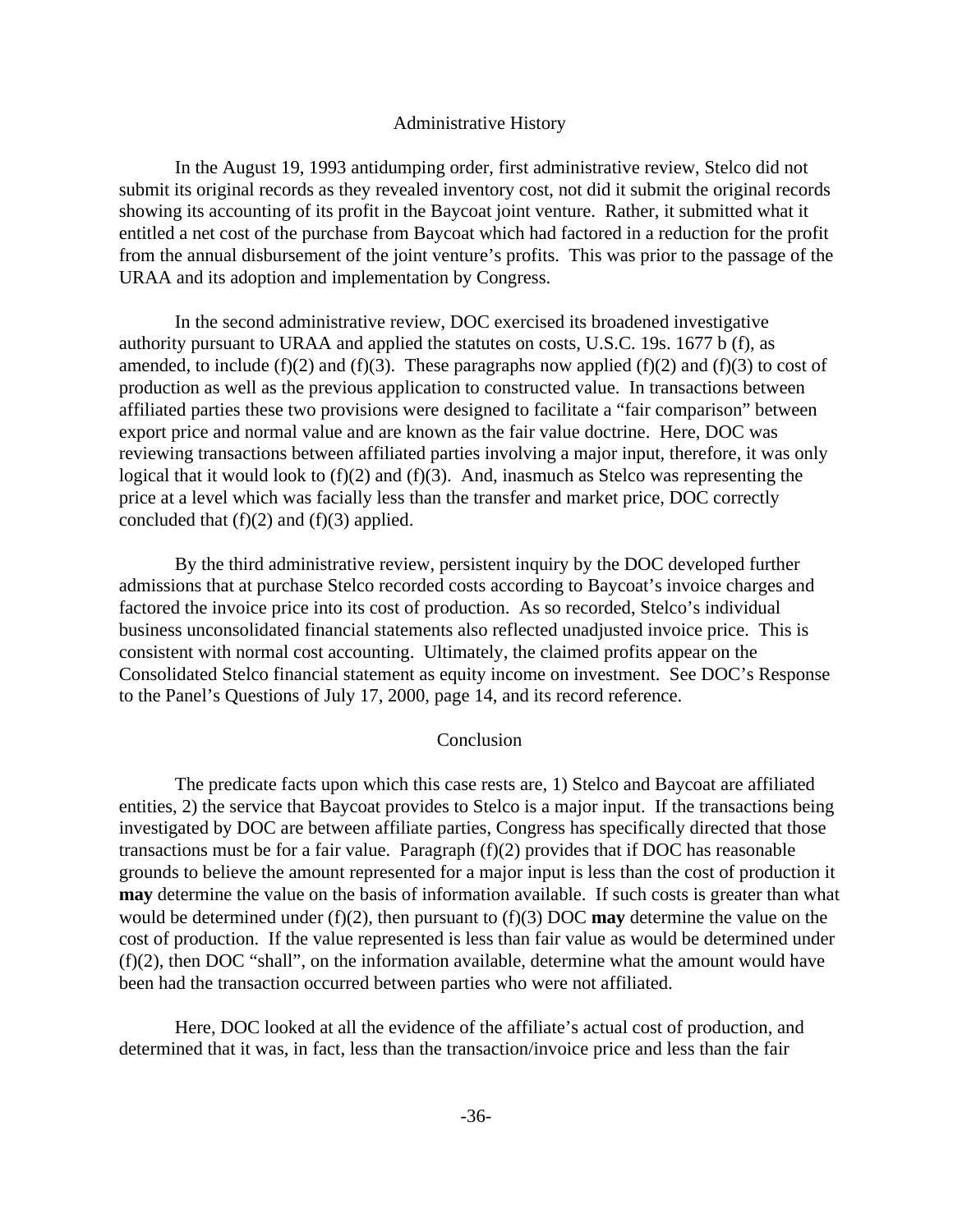#### Administrative History

In the August 19, 1993 antidumping order, first administrative review, Stelco did not submit its original records as they revealed inventory cost, not did it submit the original records showing its accounting of its profit in the Baycoat joint venture. Rather, it submitted what it entitled a net cost of the purchase from Baycoat which had factored in a reduction for the profit from the annual disbursement of the joint venture's profits. This was prior to the passage of the URAA and its adoption and implementation by Congress.

In the second administrative review, DOC exercised its broadened investigative authority pursuant to URAA and applied the statutes on costs, U.S.C. 19s. 1677 b (f), as amended, to include (f)(2) and (f)(3). These paragraphs now applied (f)(2) and (f)(3) to cost of production as well as the previous application to constructed value. In transactions between affiliated parties these two provisions were designed to facilitate a "fair comparison" between export price and normal value and are known as the fair value doctrine. Here, DOC was reviewing transactions between affiliated parties involving a major input, therefore, it was only logical that it would look to (f)(2) and (f)(3). And, inasmuch as Stelco was representing the price at a level which was facially less than the transfer and market price, DOC correctly concluded that  $(f)(2)$  and  $(f)(3)$  applied.

By the third administrative review, persistent inquiry by the DOC developed further admissions that at purchase Stelco recorded costs according to Baycoat's invoice charges and factored the invoice price into its cost of production. As so recorded, Stelco's individual business unconsolidated financial statements also reflected unadjusted invoice price. This is consistent with normal cost accounting. Ultimately, the claimed profits appear on the Consolidated Stelco financial statement as equity income on investment. See DOC's Response to the Panel's Questions of July 17, 2000, page 14, and its record reference.

#### Conclusion

The predicate facts upon which this case rests are, 1) Stelco and Baycoat are affiliated entities, 2) the service that Baycoat provides to Stelco is a major input. If the transactions being investigated by DOC are between affiliate parties, Congress has specifically directed that those transactions must be for a fair value. Paragraph (f)(2) provides that if DOC has reasonable grounds to believe the amount represented for a major input is less than the cost of production it **may** determine the value on the basis of information available. If such costs is greater than what would be determined under (f)(2), then pursuant to (f)(3) DOC **may** determine the value on the cost of production. If the value represented is less than fair value as would be determined under (f)(2), then DOC "shall", on the information available, determine what the amount would have been had the transaction occurred between parties who were not affiliated.

Here, DOC looked at all the evidence of the affiliate's actual cost of production, and determined that it was, in fact, less than the transaction/invoice price and less than the fair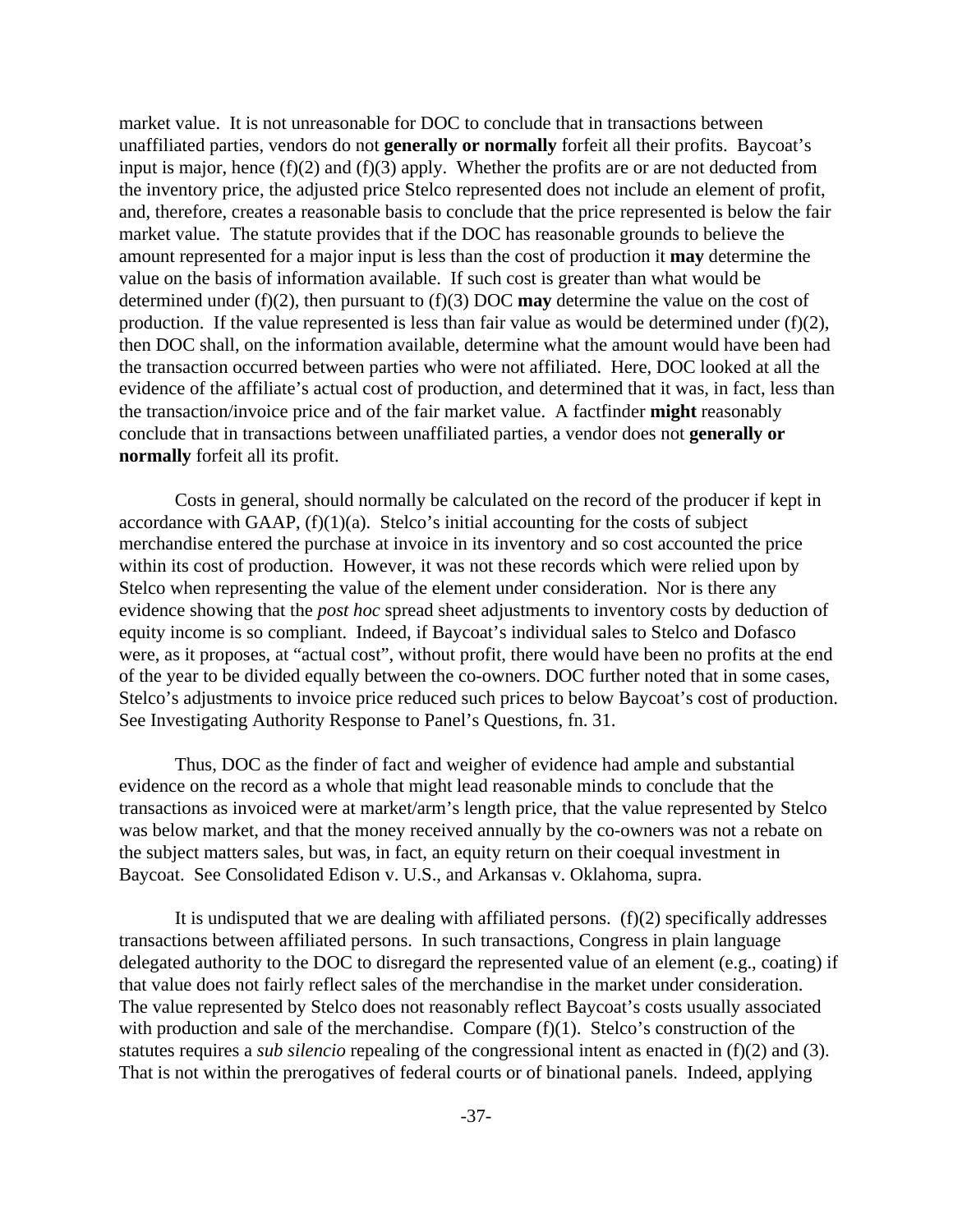market value. It is not unreasonable for DOC to conclude that in transactions between unaffiliated parties, vendors do not **generally or normally** forfeit all their profits. Baycoat's input is major, hence  $(f)(2)$  and  $(f)(3)$  apply. Whether the profits are or are not deducted from the inventory price, the adjusted price Stelco represented does not include an element of profit, and, therefore, creates a reasonable basis to conclude that the price represented is below the fair market value. The statute provides that if the DOC has reasonable grounds to believe the amount represented for a major input is less than the cost of production it **may** determine the value on the basis of information available. If such cost is greater than what would be determined under (f)(2), then pursuant to (f)(3) DOC **may** determine the value on the cost of production. If the value represented is less than fair value as would be determined under  $(f)(2)$ , then DOC shall, on the information available, determine what the amount would have been had the transaction occurred between parties who were not affiliated. Here, DOC looked at all the evidence of the affiliate's actual cost of production, and determined that it was, in fact, less than the transaction/invoice price and of the fair market value. A factfinder **might** reasonably conclude that in transactions between unaffiliated parties, a vendor does not **generally or normally** forfeit all its profit.

Costs in general, should normally be calculated on the record of the producer if kept in accordance with GAAP,  $(f)(1)(a)$ . Stelco's initial accounting for the costs of subject merchandise entered the purchase at invoice in its inventory and so cost accounted the price within its cost of production. However, it was not these records which were relied upon by Stelco when representing the value of the element under consideration. Nor is there any evidence showing that the *post hoc* spread sheet adjustments to inventory costs by deduction of equity income is so compliant. Indeed, if Baycoat's individual sales to Stelco and Dofasco were, as it proposes, at "actual cost", without profit, there would have been no profits at the end of the year to be divided equally between the co-owners. DOC further noted that in some cases, Stelco's adjustments to invoice price reduced such prices to below Baycoat's cost of production. See Investigating Authority Response to Panel's Questions, fn. 31.

Thus, DOC as the finder of fact and weigher of evidence had ample and substantial evidence on the record as a whole that might lead reasonable minds to conclude that the transactions as invoiced were at market/arm's length price, that the value represented by Stelco was below market, and that the money received annually by the co-owners was not a rebate on the subject matters sales, but was, in fact, an equity return on their coequal investment in Baycoat. See Consolidated Edison v. U.S., and Arkansas v. Oklahoma, supra.

It is undisputed that we are dealing with affiliated persons.  $(f)(2)$  specifically addresses transactions between affiliated persons. In such transactions, Congress in plain language delegated authority to the DOC to disregard the represented value of an element (e.g., coating) if that value does not fairly reflect sales of the merchandise in the market under consideration. The value represented by Stelco does not reasonably reflect Baycoat's costs usually associated with production and sale of the merchandise. Compare  $(f)(1)$ . Stelco's construction of the statutes requires a *sub silencio* repealing of the congressional intent as enacted in (f)(2) and (3). That is not within the prerogatives of federal courts or of binational panels. Indeed, applying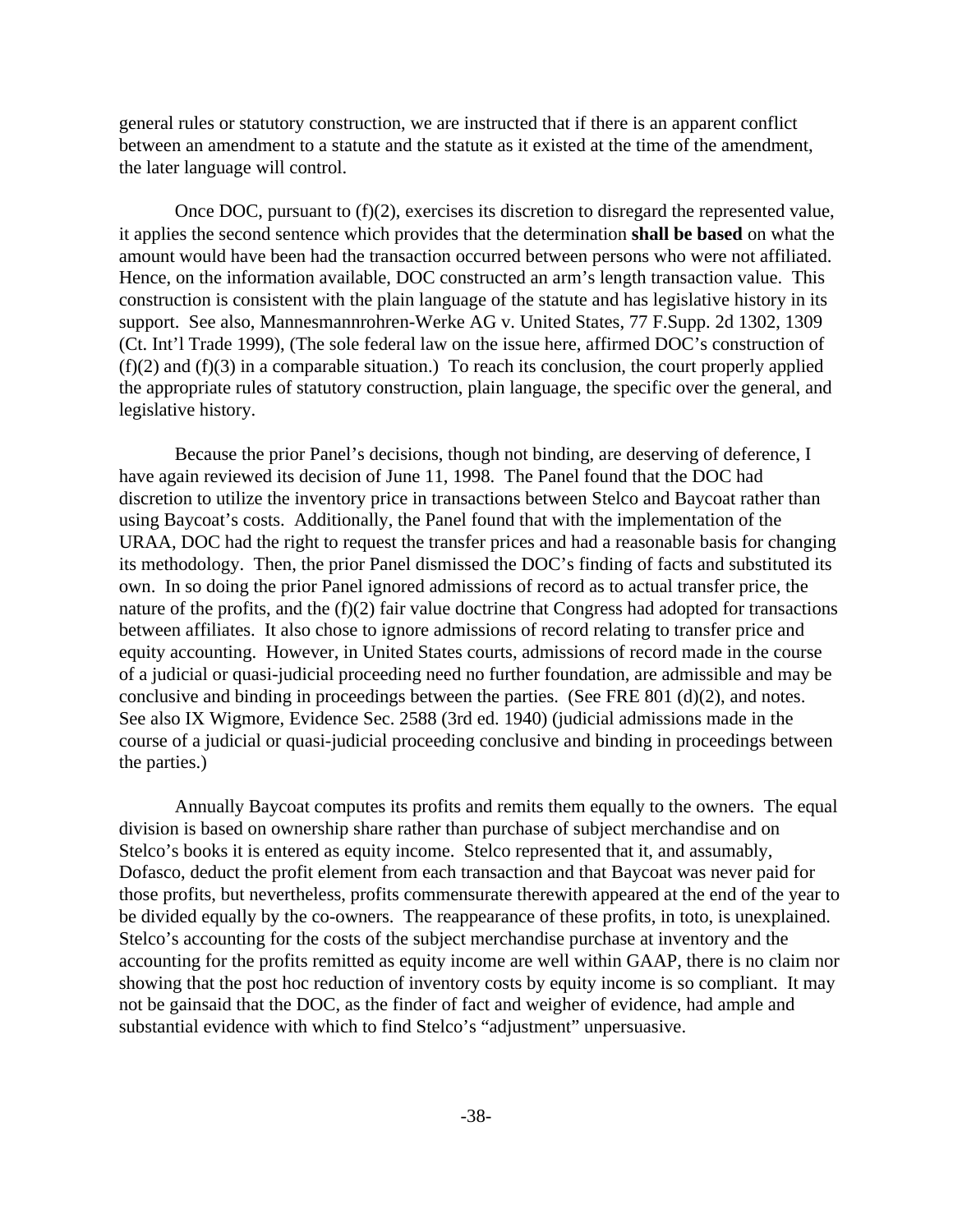general rules or statutory construction, we are instructed that if there is an apparent conflict between an amendment to a statute and the statute as it existed at the time of the amendment, the later language will control.

Once DOC, pursuant to (f)(2), exercises its discretion to disregard the represented value, it applies the second sentence which provides that the determination **shall be based** on what the amount would have been had the transaction occurred between persons who were not affiliated. Hence, on the information available, DOC constructed an arm's length transaction value. This construction is consistent with the plain language of the statute and has legislative history in its support. See also, Mannesmannrohren-Werke AG v. United States, 77 F.Supp. 2d 1302, 1309 (Ct. Int'l Trade 1999), (The sole federal law on the issue here, affirmed DOC's construction of  $(f)(2)$  and  $(f)(3)$  in a comparable situation.) To reach its conclusion, the court properly applied the appropriate rules of statutory construction, plain language, the specific over the general, and legislative history.

Because the prior Panel's decisions, though not binding, are deserving of deference, I have again reviewed its decision of June 11, 1998. The Panel found that the DOC had discretion to utilize the inventory price in transactions between Stelco and Baycoat rather than using Baycoat's costs. Additionally, the Panel found that with the implementation of the URAA, DOC had the right to request the transfer prices and had a reasonable basis for changing its methodology. Then, the prior Panel dismissed the DOC's finding of facts and substituted its own. In so doing the prior Panel ignored admissions of record as to actual transfer price, the nature of the profits, and the (f)(2) fair value doctrine that Congress had adopted for transactions between affiliates. It also chose to ignore admissions of record relating to transfer price and equity accounting. However, in United States courts, admissions of record made in the course of a judicial or quasi-judicial proceeding need no further foundation, are admissible and may be conclusive and binding in proceedings between the parties. (See FRE 801 (d)(2), and notes. See also IX Wigmore, Evidence Sec. 2588 (3rd ed. 1940) (judicial admissions made in the course of a judicial or quasi-judicial proceeding conclusive and binding in proceedings between the parties.)

Annually Baycoat computes its profits and remits them equally to the owners. The equal division is based on ownership share rather than purchase of subject merchandise and on Stelco's books it is entered as equity income. Stelco represented that it, and assumably, Dofasco, deduct the profit element from each transaction and that Baycoat was never paid for those profits, but nevertheless, profits commensurate therewith appeared at the end of the year to be divided equally by the co-owners. The reappearance of these profits, in toto, is unexplained. Stelco's accounting for the costs of the subject merchandise purchase at inventory and the accounting for the profits remitted as equity income are well within GAAP, there is no claim nor showing that the post hoc reduction of inventory costs by equity income is so compliant. It may not be gainsaid that the DOC, as the finder of fact and weigher of evidence, had ample and substantial evidence with which to find Stelco's "adjustment" unpersuasive.